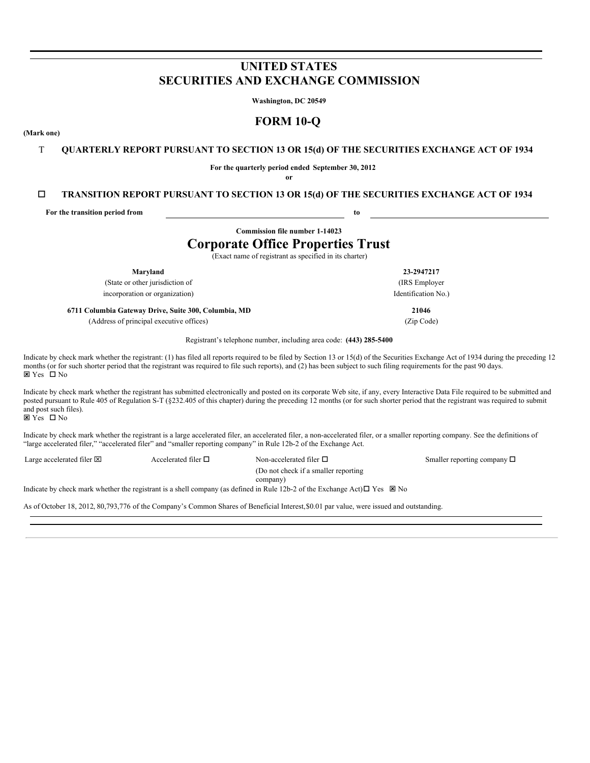# **UNITED STATES SECURITIES AND EXCHANGE COMMISSION**

**Washington, DC 20549**

# **FORM 10-Q**

**(Mark one)**

# T **QUARTERLY REPORT PURSUANT TO SECTION 13 OR 15(d) OF THE SECURITIES EXCHANGE ACT OF 1934**

**For the quarterly period ended September 30, 2012**

**or**

# o **TRANSITION REPORT PURSUANT TO SECTION 13 OR 15(d) OF THE SECURITIES EXCHANGE ACT OF 1934**

**For the transition period from to**

| <b>Commission file number 1-14023</b>                  |                     |  |  |  |  |  |  |
|--------------------------------------------------------|---------------------|--|--|--|--|--|--|
| <b>Corporate Office Properties Trust</b>               |                     |  |  |  |  |  |  |
| (Exact name of registrant as specified in its charter) |                     |  |  |  |  |  |  |
| Maryland                                               | 23-2947217          |  |  |  |  |  |  |
| (State or other jurisdiction of                        | (IRS Employer)      |  |  |  |  |  |  |
| incorporation or organization)                         | Identification No.) |  |  |  |  |  |  |
| 6711 Columbia Gateway Drive, Suite 300, Columbia, MD   | 21046               |  |  |  |  |  |  |
| (Address of principal executive offices)               | (Zip Code)          |  |  |  |  |  |  |

Registrant's telephone number, including area code: **(443) 285-5400**

Indicate by check mark whether the registrant: (1) has filed all reports required to be filed by Section 13 or 15(d) of the Securities Exchange Act of 1934 during the preceding 12 months (or for such shorter period that the registrant was required to file such reports), and (2) has been subject to such filing requirements for the past 90 days.  $\boxtimes$  Yes  $\Box$  No

Indicate by check mark whether the registrant has submitted electronically and posted on its corporate Web site, if any, every Interactive Data File required to be submitted and posted pursuant to Rule 405 of Regulation S-T (§232.405 of this chapter) during the preceding 12 months (or for such shorter period that the registrant was required to submit and post such files).  $\overline{\mathbf{z}}$  Yes  $\Box$  No

Indicate by check mark whether the registrant is a large accelerated filer, an accelerated filer, a non-accelerated filer, or a smaller reporting company. See the definitions of "large accelerated filer," "accelerated filer" and "smaller reporting company" in Rule 12b-2 of the Exchange Act.

Large accelerated filer  $\Box$  Accelerated filer  $\Box$  Non-accelerated filer  $\Box$  Smaller reporting company  $\Box$ (Do not check if a smaller reporting company) Indicate by check mark whether the registrant is a shell company (as defined in Rule 12b-2 of the Exchange Act) $\Box$  Yes  $\boxtimes$  No

As of October 18, 2012, 80,793,776 of the Company's Common Shares of Beneficial Interest,\$0.01 par value, were issued and outstanding.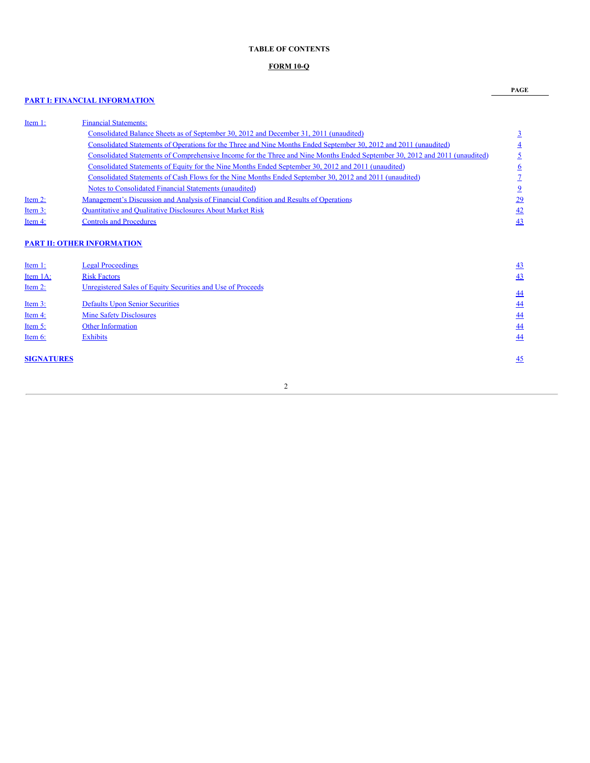# **TABLE OF CONTENTS**

# **FORM 10-Q**

# **PART I: FINANCIAL [INFORMATION](#page-2-0)**

**PAGE**

| Item 1:           | <b>Financial Statements:</b>                                                                                                |                 |
|-------------------|-----------------------------------------------------------------------------------------------------------------------------|-----------------|
|                   | Consolidated Balance Sheets as of September 30, 2012 and December 31, 2011 (unaudited)                                      |                 |
|                   | Consolidated Statements of Operations for the Three and Nine Months Ended September 30, 2012 and 2011 (unaudited)           | $\overline{4}$  |
|                   | Consolidated Statements of Comprehensive Income for the Three and Nine Months Ended September 30, 2012 and 2011 (unaudited) | 5               |
|                   | Consolidated Statements of Equity for the Nine Months Ended September 30, 2012 and 2011 (unaudited)                         | $\underline{6}$ |
|                   | Consolidated Statements of Cash Flows for the Nine Months Ended September 30, 2012 and 2011 (unaudited)                     | $\overline{1}$  |
|                   | Notes to Consolidated Financial Statements (unaudited)                                                                      | $\overline{9}$  |
| Item $2$ :        | Management's Discussion and Analysis of Financial Condition and Results of Operations                                       | 29              |
| Item 3:           | <b>Quantitative and Qualitative Disclosures About Market Risk</b>                                                           | 42              |
| Item 4:           | <b>Controls and Procedures</b>                                                                                              | 43              |
|                   | <b>PART II: OTHER INFORMATION</b>                                                                                           |                 |
| Item 1:           | <b>Legal Proceedings</b>                                                                                                    | 43              |
| Item 1A:          | <b>Risk Factors</b>                                                                                                         | 43              |
| Item 2:           | Unregistered Sales of Equity Securities and Use of Proceeds                                                                 | 44              |
| Item $3:$         | <b>Defaults Upon Senior Securities</b>                                                                                      | $\overline{44}$ |
| Item 4:           | <b>Mine Safety Disclosures</b>                                                                                              | $\overline{44}$ |
| Item $5$ :        | Other Information                                                                                                           | 44              |
| Item 6:           | <b>Exhibits</b>                                                                                                             | 44              |
|                   |                                                                                                                             |                 |
| <b>SIGNATURES</b> |                                                                                                                             | <u>45</u>       |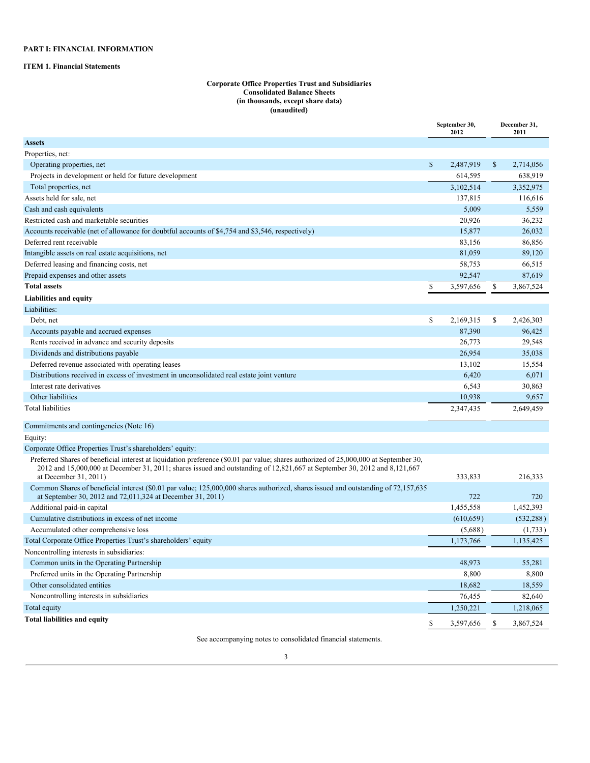# <span id="page-2-2"></span><span id="page-2-1"></span><span id="page-2-0"></span>**ITEM 1. Financial Statements**

#### **Corporate Office Properties Trust and Subsidiaries Consolidated Balance Sheets (in thousands, except share data) (unaudited)**

|                                                                                                                                                                                                                                                                    | September 30,<br>2012 |            |              | December 31,<br>2011 |
|--------------------------------------------------------------------------------------------------------------------------------------------------------------------------------------------------------------------------------------------------------------------|-----------------------|------------|--------------|----------------------|
| <b>Assets</b>                                                                                                                                                                                                                                                      |                       |            |              |                      |
| Properties, net:                                                                                                                                                                                                                                                   |                       |            |              |                      |
| Operating properties, net                                                                                                                                                                                                                                          | $\mathbb{S}$          | 2,487,919  | $\mathbb{S}$ | 2,714,056            |
| Projects in development or held for future development                                                                                                                                                                                                             |                       | 614,595    |              | 638,919              |
| Total properties, net                                                                                                                                                                                                                                              |                       | 3,102,514  |              | 3,352,975            |
| Assets held for sale, net                                                                                                                                                                                                                                          |                       | 137,815    |              | 116,616              |
| Cash and cash equivalents                                                                                                                                                                                                                                          |                       | 5,009      |              | 5,559                |
| Restricted cash and marketable securities                                                                                                                                                                                                                          |                       | 20,926     |              | 36,232               |
| Accounts receivable (net of allowance for doubtful accounts of \$4,754 and \$3,546, respectively)                                                                                                                                                                  |                       | 15,877     |              | 26,032               |
| Deferred rent receivable                                                                                                                                                                                                                                           |                       | 83,156     |              | 86,856               |
| Intangible assets on real estate acquisitions, net                                                                                                                                                                                                                 |                       | 81,059     |              | 89,120               |
| Deferred leasing and financing costs, net                                                                                                                                                                                                                          |                       | 58,753     |              | 66,515               |
| Prepaid expenses and other assets                                                                                                                                                                                                                                  |                       | 92,547     |              | 87,619               |
| <b>Total assets</b>                                                                                                                                                                                                                                                | \$                    | 3,597,656  | $\mathbb S$  | 3,867,524            |
| <b>Liabilities and equity</b>                                                                                                                                                                                                                                      |                       |            |              |                      |
| Liabilities:                                                                                                                                                                                                                                                       |                       |            |              |                      |
| Debt, net                                                                                                                                                                                                                                                          | \$                    | 2,169,315  | \$           | 2,426,303            |
| Accounts payable and accrued expenses                                                                                                                                                                                                                              |                       | 87,390     |              | 96,425               |
| Rents received in advance and security deposits                                                                                                                                                                                                                    |                       | 26,773     |              | 29,548               |
| Dividends and distributions payable                                                                                                                                                                                                                                |                       | 26,954     |              | 35,038               |
| Deferred revenue associated with operating leases                                                                                                                                                                                                                  |                       | 13,102     |              | 15,554               |
| Distributions received in excess of investment in unconsolidated real estate joint venture                                                                                                                                                                         |                       | 6,420      |              | 6,071                |
| Interest rate derivatives                                                                                                                                                                                                                                          |                       | 6,543      |              | 30,863               |
| Other liabilities                                                                                                                                                                                                                                                  |                       | 10,938     |              | 9,657                |
| <b>Total liabilities</b>                                                                                                                                                                                                                                           |                       | 2,347,435  |              | 2,649,459            |
|                                                                                                                                                                                                                                                                    |                       |            |              |                      |
| Commitments and contingencies (Note 16)                                                                                                                                                                                                                            |                       |            |              |                      |
| Equity:                                                                                                                                                                                                                                                            |                       |            |              |                      |
| Corporate Office Properties Trust's shareholders' equity:                                                                                                                                                                                                          |                       |            |              |                      |
| Preferred Shares of beneficial interest at liquidation preference (\$0.01 par value; shares authorized of 25,000,000 at September 30,<br>2012 and 15,000,000 at December 31, 2011; shares issued and outstanding of 12,821,667 at September 30, 2012 and 8,121,667 |                       |            |              |                      |
| at December 31, 2011)                                                                                                                                                                                                                                              |                       | 333,833    |              | 216,333              |
| Common Shares of beneficial interest (\$0.01 par value; 125,000,000 shares authorized, shares issued and outstanding of 72,157,635<br>at September 30, 2012 and 72,011,324 at December 31, 2011)                                                                   |                       | 722        |              | 720                  |
| Additional paid-in capital                                                                                                                                                                                                                                         |                       | 1,455,558  |              | 1,452,393            |
| Cumulative distributions in excess of net income                                                                                                                                                                                                                   |                       | (610, 659) |              | (532, 288)           |
| Accumulated other comprehensive loss                                                                                                                                                                                                                               |                       | (5,688)    |              | (1,733)              |
| Total Corporate Office Properties Trust's shareholders' equity                                                                                                                                                                                                     |                       | 1,173,766  |              | 1,135,425            |
| Noncontrolling interests in subsidiaries:                                                                                                                                                                                                                          |                       |            |              |                      |
| Common units in the Operating Partnership                                                                                                                                                                                                                          |                       | 48,973     |              | 55,281               |
| Preferred units in the Operating Partnership                                                                                                                                                                                                                       |                       | 8,800      |              | 8,800                |
| Other consolidated entities                                                                                                                                                                                                                                        |                       | 18,682     |              | 18,559               |
| Noncontrolling interests in subsidiaries                                                                                                                                                                                                                           |                       | 76,455     |              | 82,640               |
| Total equity                                                                                                                                                                                                                                                       |                       | 1,250,221  |              | 1,218,065            |
| <b>Total liabilities and equity</b>                                                                                                                                                                                                                                |                       |            |              |                      |
|                                                                                                                                                                                                                                                                    | \$                    | 3,597,656  | \$           | 3,867,524            |

See accompanying notes to consolidated financial statements.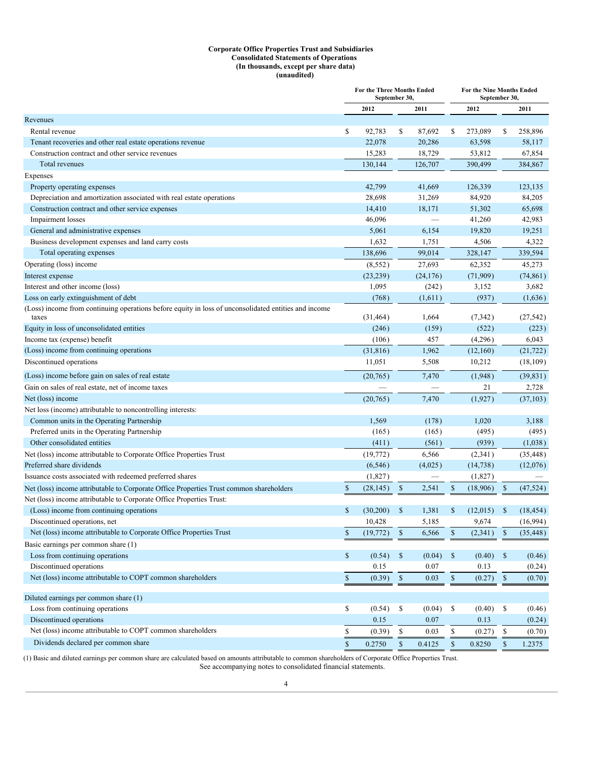#### **Corporate Office Properties Trust and Subsidiaries Consolidated Statements of Operations (In thousands, except per share data) (unaudited)**

<span id="page-3-0"></span>

|                                                                                                      | For the Three Months Ended<br>September 30, |           |               |                                 | For the Nine Months Ended<br>September 30, |           |                           |           |
|------------------------------------------------------------------------------------------------------|---------------------------------------------|-----------|---------------|---------------------------------|--------------------------------------------|-----------|---------------------------|-----------|
|                                                                                                      |                                             | 2012      |               | 2011                            |                                            | 2012      |                           | 2011      |
| Revenues                                                                                             |                                             |           |               |                                 |                                            |           |                           |           |
| Rental revenue                                                                                       | \$                                          | 92,783    | \$            | 87,692                          | \$                                         | 273,089   | \$                        | 258,896   |
| Tenant recoveries and other real estate operations revenue                                           |                                             | 22,078    |               | 20,286                          |                                            | 63,598    |                           | 58,117    |
| Construction contract and other service revenues                                                     |                                             | 15,283    |               | 18,729                          |                                            | 53,812    |                           | 67,854    |
| <b>Total revenues</b>                                                                                |                                             | 130,144   |               | 126,707                         |                                            | 390,499   |                           | 384,867   |
| Expenses                                                                                             |                                             |           |               |                                 |                                            |           |                           |           |
| Property operating expenses                                                                          |                                             | 42,799    |               | 41,669                          |                                            | 126.339   |                           | 123,135   |
| Depreciation and amortization associated with real estate operations                                 |                                             | 28,698    |               | 31,269                          |                                            | 84,920    |                           | 84,205    |
| Construction contract and other service expenses                                                     |                                             | 14,410    |               | 18,171                          |                                            | 51,302    |                           | 65,698    |
| Impairment losses                                                                                    |                                             | 46,096    |               |                                 |                                            | 41,260    |                           | 42,983    |
| General and administrative expenses                                                                  |                                             | 5,061     |               | 6,154                           |                                            | 19,820    |                           | 19,251    |
| Business development expenses and land carry costs                                                   |                                             | 1,632     |               | 1,751                           |                                            | 4,506     |                           | 4,322     |
| Total operating expenses                                                                             |                                             | 138,696   |               | 99,014                          |                                            | 328,147   |                           | 339,594   |
| Operating (loss) income                                                                              |                                             | (8,552)   |               | 27,693                          |                                            | 62,352    |                           | 45,273    |
| Interest expense                                                                                     |                                             | (23, 239) |               | (24, 176)                       |                                            | (71,909)  |                           | (74, 861) |
| Interest and other income (loss)                                                                     |                                             | 1,095     |               | (242)                           |                                            | 3,152     |                           | 3,682     |
| Loss on early extinguishment of debt                                                                 |                                             | (768)     |               | (1,611)                         |                                            | (937)     |                           | (1,636)   |
| (Loss) income from continuing operations before equity in loss of unconsolidated entities and income |                                             |           |               |                                 |                                            |           |                           |           |
| taxes                                                                                                |                                             | (31, 464) |               | 1,664                           |                                            | (7, 342)  |                           | (27, 542) |
| Equity in loss of unconsolidated entities                                                            |                                             | (246)     |               | (159)                           |                                            | (522)     |                           | (223)     |
| Income tax (expense) benefit                                                                         |                                             | (106)     |               | 457                             |                                            | (4,296)   |                           | 6,043     |
| (Loss) income from continuing operations                                                             |                                             | (31, 816) |               | 1,962                           |                                            | (12,160)  |                           | (21, 722) |
| Discontinued operations                                                                              |                                             | 11,051    |               | 5,508                           |                                            | 10,212    |                           | (18, 109) |
| (Loss) income before gain on sales of real estate                                                    |                                             | (20,765)  |               | 7,470                           |                                            | (1,948)   |                           | (39, 831) |
| Gain on sales of real estate, net of income taxes                                                    |                                             |           |               |                                 |                                            | 21        |                           | 2,728     |
| Net (loss) income                                                                                    |                                             | (20,765)  |               | 7,470                           |                                            | (1,927)   |                           | (37, 103) |
| Net loss (income) attributable to noncontrolling interests:                                          |                                             |           |               |                                 |                                            |           |                           |           |
| Common units in the Operating Partnership                                                            |                                             | 1,569     |               | (178)                           |                                            | 1,020     |                           | 3,188     |
| Preferred units in the Operating Partnership                                                         |                                             | (165)     |               | (165)                           |                                            | (495)     |                           | (495)     |
| Other consolidated entities                                                                          |                                             | (411)     |               | (561)                           |                                            | (939)     |                           | (1,038)   |
| Net (loss) income attributable to Corporate Office Properties Trust                                  |                                             | (19,772)  |               | 6,566                           |                                            | (2,341)   |                           | (35, 448) |
| Preferred share dividends                                                                            |                                             | (6, 546)  |               | (4,025)                         |                                            | (14, 738) |                           | (12,076)  |
| Issuance costs associated with redeemed preferred shares                                             |                                             | (1,827)   |               | $\overbrace{\qquad \qquad }^{}$ |                                            | (1,827)   |                           |           |
| Net (loss) income attributable to Corporate Office Properties Trust common shareholders              | $\mathbb S$                                 | (28, 145) | $\mathbb{S}$  | 2,541                           | $\mathbb{S}$                               | (18,906)  | \$                        | (47, 524) |
| Net (loss) income attributable to Corporate Office Properties Trust:                                 |                                             |           |               |                                 |                                            |           |                           |           |
| (Loss) income from continuing operations                                                             | $\mathbb{S}$                                | (30,200)  | <sup>\$</sup> | 1,381                           | <sup>\$</sup>                              | (12,015)  | <sup>\$</sup>             | (18, 454) |
| Discontinued operations, net                                                                         |                                             | 10,428    |               | 5,185                           |                                            | 9,674     |                           | (16,994)  |
| Net (loss) income attributable to Corporate Office Properties Trust                                  | $\mathbb S$                                 | (19,772)  | $\sqrt{5}$    | 6,566                           | \$                                         | (2,341)   | $\boldsymbol{\mathsf{S}}$ | (35, 448) |
| Basic earnings per common share (1)                                                                  |                                             |           |               |                                 |                                            |           |                           |           |
| Loss from continuing operations                                                                      | \$                                          | (0.54)    | $\mathbb{S}$  | (0.04)                          | $\boldsymbol{\mathsf{S}}$                  | (0.40)    | $\mathbb{S}$              | (0.46)    |
| Discontinued operations                                                                              |                                             | 0.15      |               | 0.07                            |                                            | 0.13      |                           | (0.24)    |
| Net (loss) income attributable to COPT common shareholders                                           | $\mathbb S$                                 | (0.39)    | $\mathbb{S}$  | 0.03                            | $\mathbb{S}$                               | (0.27)    | $\mathbb{S}$              | (0.70)    |
| Diluted earnings per common share (1)                                                                |                                             |           |               |                                 |                                            |           |                           |           |
| Loss from continuing operations                                                                      | \$                                          | (0.54)    | \$            | (0.04)                          | \$                                         | (0.40)    | \$                        | (0.46)    |
| Discontinued operations                                                                              |                                             | 0.15      |               | 0.07                            |                                            | 0.13      |                           | (0.24)    |
| Net (loss) income attributable to COPT common shareholders                                           | \$                                          | (0.39)    | \$            | 0.03                            | \$                                         | (0.27)    | \$                        | (0.70)    |
| Dividends declared per common share                                                                  | $\mathbb S$                                 | 0.2750    | $\mathbb{S}$  | 0.4125                          | $\mathbb{S}$                               | 0.8250    | $\mathbb{S}$              | 1.2375    |

(1) Basic and diluted earnings per common share are calculated based on amounts attributable to common shareholders of Corporate Office Properties Trust. See accompanying notes to consolidated financial statements.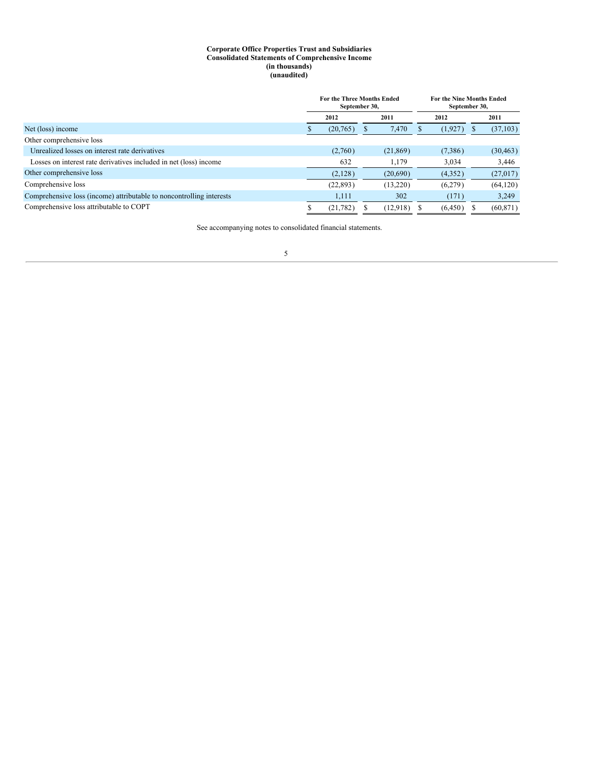#### **Corporate Office Properties Trust and Subsidiaries Consolidated Statements of Comprehensive Income (in thousands) (unaudited)**

<span id="page-4-0"></span>

|                                                                      | For the Three Months Ended<br>September 30, |           |            |           |  | <b>For the Nine Months Ended</b><br>September 30, |  |           |  |
|----------------------------------------------------------------------|---------------------------------------------|-----------|------------|-----------|--|---------------------------------------------------|--|-----------|--|
|                                                                      | 2012                                        |           |            | 2011      |  | 2012                                              |  | 2011      |  |
| Net (loss) income                                                    |                                             | (20,765)  | 7,470<br>S |           |  | (1,927)                                           |  | (37,103)  |  |
| Other comprehensive loss                                             |                                             |           |            |           |  |                                                   |  |           |  |
| Unrealized losses on interest rate derivatives                       |                                             | (2,760)   |            | (21, 869) |  | (7,386)                                           |  | (30, 463) |  |
| Losses on interest rate derivatives included in net (loss) income    |                                             | 632       |            | 1,179     |  | 3,034                                             |  | 3,446     |  |
| Other comprehensive loss                                             |                                             | (2,128)   |            | (20,690)  |  | (4,352)                                           |  | (27,017)  |  |
| Comprehensive loss                                                   |                                             | (22, 893) |            | (13,220)  |  | (6,279)                                           |  | (64, 120) |  |
| Comprehensive loss (income) attributable to noncontrolling interests |                                             | 1,111     |            | 302       |  | (171)                                             |  | 3,249     |  |
| Comprehensive loss attributable to COPT                              |                                             | (21, 782) |            | (12, 918) |  | (6, 450)                                          |  | (60, 871) |  |

See accompanying notes to consolidated financial statements.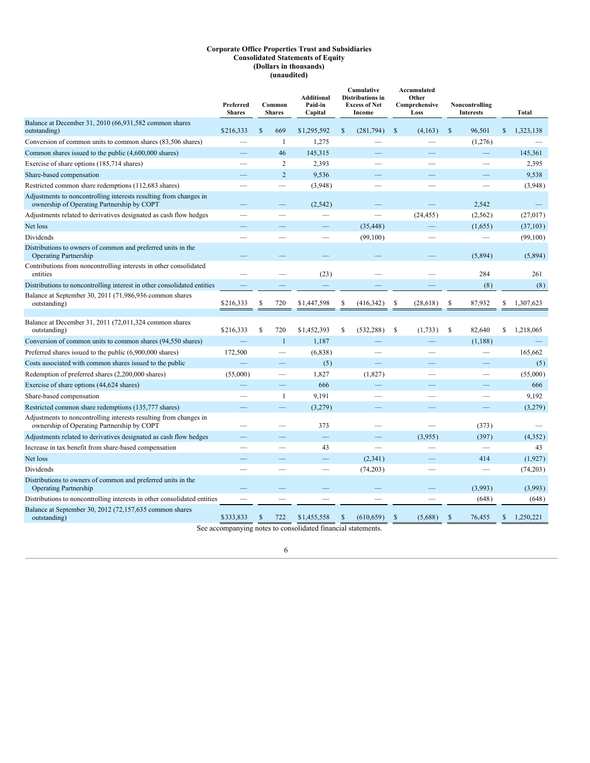#### **Corporate Office Properties Trust and Subsidiaries Consolidated Statements of Equity (Dollars in thousands) (unaudited)**

<span id="page-5-0"></span>

|                                                                                                                 | Preferred<br><b>Shares</b> |    | Common<br><b>Shares</b>  | <b>Additional</b><br>Paid-in<br>Capital |    | Cumulative<br><b>Distributions</b> in<br><b>Excess of Net</b><br>Income |    | Other<br>Loss |               | Comprehensive |    |           |  |  |  | Accumulated |  |  |  |  |  |  |  |  |  |  |  | Noncontrolling<br><b>Interests</b> |  | <b>Total</b> |
|-----------------------------------------------------------------------------------------------------------------|----------------------------|----|--------------------------|-----------------------------------------|----|-------------------------------------------------------------------------|----|---------------|---------------|---------------|----|-----------|--|--|--|-------------|--|--|--|--|--|--|--|--|--|--|--|------------------------------------|--|--------------|
| Balance at December 31, 2010 (66,931,582 common shares<br>outstanding)                                          | \$216,333                  | \$ | 669                      | \$1,295,592                             | \$ | (281, 794)                                                              | \$ | (4,163)       | <sup>\$</sup> | 96,501        | \$ | 1,323,138 |  |  |  |             |  |  |  |  |  |  |  |  |  |  |  |                                    |  |              |
| Conversion of common units to common shares (83,506 shares)                                                     |                            |    | 1                        | 1,275                                   |    |                                                                         |    |               |               | (1,276)       |    |           |  |  |  |             |  |  |  |  |  |  |  |  |  |  |  |                                    |  |              |
| Common shares issued to the public (4,600,000 shares)                                                           |                            |    | 46                       | 145,315                                 |    |                                                                         |    |               |               |               |    | 145,361   |  |  |  |             |  |  |  |  |  |  |  |  |  |  |  |                                    |  |              |
| Exercise of share options (185,714 shares)                                                                      |                            |    | 2                        | 2,393                                   |    |                                                                         |    |               |               |               |    | 2,395     |  |  |  |             |  |  |  |  |  |  |  |  |  |  |  |                                    |  |              |
| Share-based compensation                                                                                        |                            |    | $\overline{2}$           | 9,536                                   |    |                                                                         |    |               |               |               |    | 9,538     |  |  |  |             |  |  |  |  |  |  |  |  |  |  |  |                                    |  |              |
| Restricted common share redemptions (112,683 shares)                                                            |                            |    |                          | (3,948)                                 |    |                                                                         |    |               |               |               |    | (3,948)   |  |  |  |             |  |  |  |  |  |  |  |  |  |  |  |                                    |  |              |
| Adjustments to noncontrolling interests resulting from changes in<br>ownership of Operating Partnership by COPT |                            |    |                          | (2, 542)                                |    |                                                                         |    |               |               | 2,542         |    |           |  |  |  |             |  |  |  |  |  |  |  |  |  |  |  |                                    |  |              |
| Adjustments related to derivatives designated as cash flow hedges                                               |                            |    |                          |                                         |    |                                                                         |    | (24, 455)     |               | (2,562)       |    | (27,017)  |  |  |  |             |  |  |  |  |  |  |  |  |  |  |  |                                    |  |              |
| Net loss                                                                                                        |                            |    |                          |                                         |    | (35, 448)                                                               |    |               |               | (1,655)       |    | (37, 103) |  |  |  |             |  |  |  |  |  |  |  |  |  |  |  |                                    |  |              |
| Dividends                                                                                                       |                            |    |                          |                                         |    | (99,100)                                                                |    |               |               |               |    | (99,100)  |  |  |  |             |  |  |  |  |  |  |  |  |  |  |  |                                    |  |              |
| Distributions to owners of common and preferred units in the<br><b>Operating Partnership</b>                    |                            |    |                          |                                         |    |                                                                         |    |               |               | (5,894)       |    | (5,894)   |  |  |  |             |  |  |  |  |  |  |  |  |  |  |  |                                    |  |              |
| Contributions from noncontrolling interests in other consolidated<br>entities                                   |                            |    |                          | (23)                                    |    |                                                                         |    |               |               | 284           |    | 261       |  |  |  |             |  |  |  |  |  |  |  |  |  |  |  |                                    |  |              |
| Distributions to noncontrolling interest in other consolidated entities                                         |                            |    |                          |                                         |    |                                                                         |    |               |               | (8)           |    | (8)       |  |  |  |             |  |  |  |  |  |  |  |  |  |  |  |                                    |  |              |
| Balance at September 30, 2011 (71,986,936 common shares<br>outstanding)                                         | \$216,333                  | S  | 720                      | \$1,447,598                             | S  | (416, 342)                                                              | S  | (28, 618)     | \$            | 87,932        | \$ | 1,307,623 |  |  |  |             |  |  |  |  |  |  |  |  |  |  |  |                                    |  |              |
| Balance at December 31, 2011 (72,011,324 common shares<br>outstanding)                                          | \$216,333                  |    | 720                      | \$1,452,393                             | \$ | (532, 288)                                                              | S  | (1,733)       | \$            | 82,640        | \$ | 1,218,065 |  |  |  |             |  |  |  |  |  |  |  |  |  |  |  |                                    |  |              |
| Conversion of common units to common shares (94,550 shares)                                                     |                            |    |                          | 1,187                                   |    |                                                                         |    |               |               | (1,188)       |    |           |  |  |  |             |  |  |  |  |  |  |  |  |  |  |  |                                    |  |              |
| Preferred shares issued to the public (6,900,000 shares)                                                        | 172,500                    |    |                          | (6,838)                                 |    |                                                                         |    |               |               |               |    | 165,662   |  |  |  |             |  |  |  |  |  |  |  |  |  |  |  |                                    |  |              |
| Costs associated with common shares issued to the public                                                        |                            |    |                          | (5)                                     |    |                                                                         |    |               |               |               |    | (5)       |  |  |  |             |  |  |  |  |  |  |  |  |  |  |  |                                    |  |              |
| Redemption of preferred shares (2,200,000 shares)                                                               | (55,000)                   |    | $\overline{\phantom{a}}$ | 1,827                                   |    | (1,827)                                                                 |    |               |               |               |    | (55,000)  |  |  |  |             |  |  |  |  |  |  |  |  |  |  |  |                                    |  |              |
| Exercise of share options (44,624 shares)                                                                       |                            |    |                          | 666                                     |    |                                                                         |    |               |               |               |    | 666       |  |  |  |             |  |  |  |  |  |  |  |  |  |  |  |                                    |  |              |
| Share-based compensation                                                                                        |                            |    | $\mathbf{1}$             | 9,191                                   |    |                                                                         |    |               |               |               |    | 9,192     |  |  |  |             |  |  |  |  |  |  |  |  |  |  |  |                                    |  |              |
| Restricted common share redemptions (135,777 shares)                                                            |                            |    |                          | (3,279)                                 |    |                                                                         |    |               |               |               |    | (3,279)   |  |  |  |             |  |  |  |  |  |  |  |  |  |  |  |                                    |  |              |
| Adjustments to noncontrolling interests resulting from changes in<br>ownership of Operating Partnership by COPT |                            |    |                          | 373                                     |    |                                                                         |    |               |               | (373)         |    |           |  |  |  |             |  |  |  |  |  |  |  |  |  |  |  |                                    |  |              |
| Adjustments related to derivatives designated as cash flow hedges                                               |                            |    |                          |                                         |    |                                                                         |    | (3,955)       |               | (397)         |    | (4, 352)  |  |  |  |             |  |  |  |  |  |  |  |  |  |  |  |                                    |  |              |
| Increase in tax benefit from share-based compensation                                                           |                            |    |                          | 43                                      |    |                                                                         |    |               |               |               |    | 43        |  |  |  |             |  |  |  |  |  |  |  |  |  |  |  |                                    |  |              |
| Net loss                                                                                                        |                            |    |                          |                                         |    | (2,341)                                                                 |    |               |               | 414           |    | (1,927)   |  |  |  |             |  |  |  |  |  |  |  |  |  |  |  |                                    |  |              |
| Dividends                                                                                                       |                            |    |                          |                                         |    | (74,203)                                                                |    |               |               |               |    | (74,203)  |  |  |  |             |  |  |  |  |  |  |  |  |  |  |  |                                    |  |              |
| Distributions to owners of common and preferred units in the<br><b>Operating Partnership</b>                    |                            |    |                          |                                         |    |                                                                         |    |               |               | (3,993)       |    | (3,993)   |  |  |  |             |  |  |  |  |  |  |  |  |  |  |  |                                    |  |              |
| Distributions to noncontrolling interests in other consolidated entities                                        |                            |    |                          |                                         |    |                                                                         |    |               |               | (648)         |    | (648)     |  |  |  |             |  |  |  |  |  |  |  |  |  |  |  |                                    |  |              |
| Balance at September 30, 2012 (72,157,635 common shares<br>outstanding)                                         | \$333,833                  | S  | 722                      | \$1,455,558                             | S  | (610, 659)                                                              | S  | (5,688)       |               | 76,455        |    | 1,250,221 |  |  |  |             |  |  |  |  |  |  |  |  |  |  |  |                                    |  |              |

See accompanying notes to consolidated financial statements.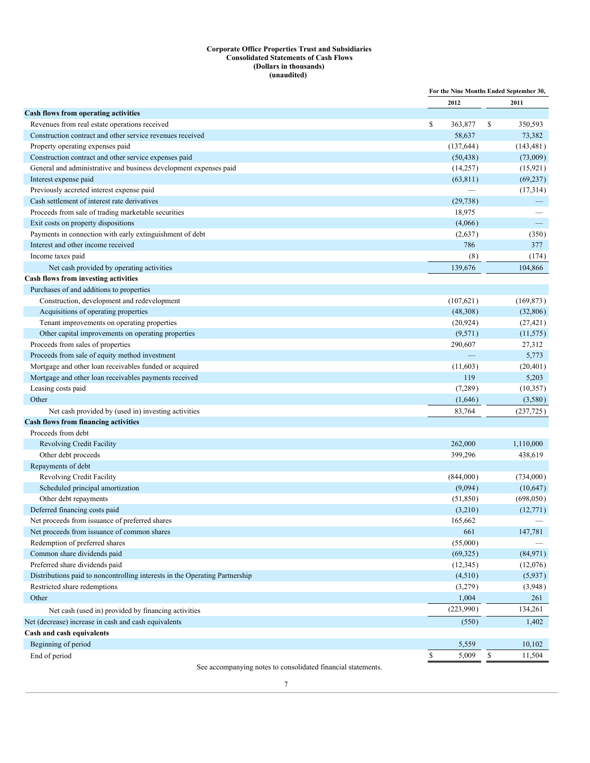#### **Corporate Office Properties Trust and Subsidiaries Consolidated Statements of Cash Flows (Dollars in thousands) (unaudited)**

<span id="page-6-0"></span>

|                                                                             |               | For the Nine Months Ended September 30, |
|-----------------------------------------------------------------------------|---------------|-----------------------------------------|
|                                                                             | 2012          | 2011                                    |
| Cash flows from operating activities                                        |               |                                         |
| Revenues from real estate operations received                               | \$<br>363,877 | \$<br>350,593                           |
| Construction contract and other service revenues received                   | 58,637        | 73,382                                  |
| Property operating expenses paid                                            | (137, 644)    | (143, 481)                              |
| Construction contract and other service expenses paid                       | (50, 438)     | (73,009)                                |
| General and administrative and business development expenses paid           | (14,257)      | (15, 921)                               |
| Interest expense paid                                                       | (63, 811)     | (69, 237)                               |
| Previously accreted interest expense paid                                   |               | (17, 314)                               |
| Cash settlement of interest rate derivatives                                | (29, 738)     |                                         |
| Proceeds from sale of trading marketable securities                         | 18,975        |                                         |
| Exit costs on property dispositions                                         | (4,066)       |                                         |
| Payments in connection with early extinguishment of debt                    | (2,637)       | (350)                                   |
| Interest and other income received                                          | 786           | 377                                     |
| Income taxes paid                                                           | (8)           | (174)                                   |
| Net cash provided by operating activities                                   | 139,676       | 104,866                                 |
| Cash flows from investing activities                                        |               |                                         |
| Purchases of and additions to properties                                    |               |                                         |
| Construction, development and redevelopment                                 | (107, 621)    | (169, 873)                              |
| Acquisitions of operating properties                                        | (48,308)      | (32, 806)                               |
| Tenant improvements on operating properties                                 | (20, 924)     | (27, 421)                               |
| Other capital improvements on operating properties                          | (9,571)       | (11, 575)                               |
| Proceeds from sales of properties                                           | 290,607       | 27,312                                  |
| Proceeds from sale of equity method investment                              |               | 5,773                                   |
| Mortgage and other loan receivables funded or acquired                      | (11,603)      | (20, 401)                               |
| Mortgage and other loan receivables payments received                       | 119           | 5,203                                   |
| Leasing costs paid                                                          | (7,289)       | (10, 357)                               |
| Other                                                                       | (1,646)       | (3,580)                                 |
| Net cash provided by (used in) investing activities                         | 83,764        | (237, 725)                              |
| <b>Cash flows from financing activities</b>                                 |               |                                         |
| Proceeds from debt                                                          |               |                                         |
| <b>Revolving Credit Facility</b>                                            | 262,000       | 1,110,000                               |
| Other debt proceeds                                                         | 399,296       | 438,619                                 |
| Repayments of debt                                                          |               |                                         |
| <b>Revolving Credit Facility</b>                                            | (844,000)     | (734,000)                               |
| Scheduled principal amortization                                            | (9,094)       | (10, 647)                               |
| Other debt repayments                                                       | (51, 850)     | (698,050)                               |
| Deferred financing costs paid                                               | (3,210)       | (12, 771)                               |
| Net proceeds from issuance of preferred shares                              | 165,662       |                                         |
| Net proceeds from issuance of common shares                                 | 661           | 147,781                                 |
| Redemption of preferred shares                                              | (55,000)      |                                         |
| Common share dividends paid                                                 | (69,325)      | (84, 971)                               |
| Preferred share dividends paid                                              | (12, 345)     | (12,076)                                |
| Distributions paid to noncontrolling interests in the Operating Partnership | (4,510)       | (5,937)                                 |
| Restricted share redemptions                                                | (3,279)       | (3,948)                                 |
| Other                                                                       | 1,004         | 261                                     |
|                                                                             |               |                                         |
| Net cash (used in) provided by financing activities                         | (223,990)     | 134,261                                 |
| Net (decrease) increase in cash and cash equivalents                        | (550)         | 1,402                                   |
| Cash and cash equivalents                                                   |               |                                         |
| Beginning of period                                                         | 5,559         | 10,102                                  |
| End of period                                                               | \$<br>5,009   | \$<br>11,504                            |

See accompanying notes to consolidated financial statements.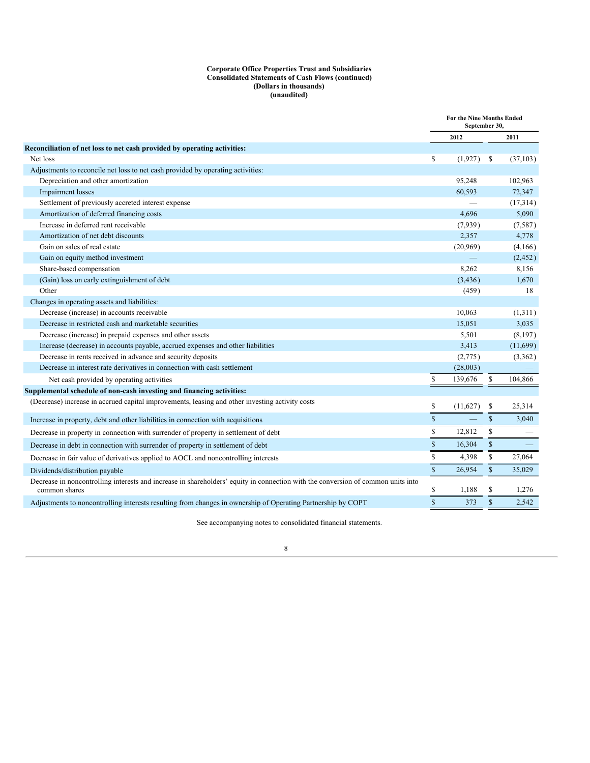#### **Corporate Office Properties Trust and Subsidiaries Consolidated Statements of Cash Flows (continued) (Dollars in thousands) (unaudited)**

|                                                                                                                                                   |               |          | For the Nine Months Ended<br>September 30, |          |  |
|---------------------------------------------------------------------------------------------------------------------------------------------------|---------------|----------|--------------------------------------------|----------|--|
|                                                                                                                                                   |               | 2012     |                                            | 2011     |  |
| Reconciliation of net loss to net cash provided by operating activities:                                                                          |               |          |                                            |          |  |
| Net loss                                                                                                                                          | S             | (1,927)  | -S                                         | (37,103) |  |
| Adjustments to reconcile net loss to net cash provided by operating activities:                                                                   |               |          |                                            |          |  |
| Depreciation and other amortization                                                                                                               |               | 95,248   |                                            | 102,963  |  |
| Impairment losses                                                                                                                                 |               | 60,593   |                                            | 72,347   |  |
| Settlement of previously accreted interest expense                                                                                                |               |          |                                            | (17,314) |  |
| Amortization of deferred financing costs                                                                                                          |               | 4,696    |                                            | 5,090    |  |
| Increase in deferred rent receivable                                                                                                              |               | (7,939)  |                                            | (7,587)  |  |
| Amortization of net debt discounts                                                                                                                |               | 2,357    |                                            | 4,778    |  |
| Gain on sales of real estate                                                                                                                      |               | (20,969) |                                            | (4,166)  |  |
| Gain on equity method investment                                                                                                                  |               |          |                                            | (2, 452) |  |
| Share-based compensation                                                                                                                          |               | 8,262    |                                            | 8,156    |  |
| (Gain) loss on early extinguishment of debt                                                                                                       |               | (3, 436) |                                            | 1,670    |  |
| Other                                                                                                                                             |               | (459)    |                                            | 18       |  |
| Changes in operating assets and liabilities:                                                                                                      |               |          |                                            |          |  |
| Decrease (increase) in accounts receivable                                                                                                        |               | 10,063   |                                            | (1,311)  |  |
| Decrease in restricted cash and marketable securities                                                                                             |               | 15,051   |                                            | 3,035    |  |
| Decrease (increase) in prepaid expenses and other assets                                                                                          |               | 5,501    |                                            | (8,197)  |  |
| Increase (decrease) in accounts payable, accrued expenses and other liabilities                                                                   |               | 3,413    |                                            | (11,699) |  |
| Decrease in rents received in advance and security deposits                                                                                       |               | (2,775)  |                                            | (3,362)  |  |
| Decrease in interest rate derivatives in connection with cash settlement                                                                          |               | (28,003) |                                            |          |  |
| Net cash provided by operating activities                                                                                                         | \$            | 139,676  | \$                                         | 104,866  |  |
| Supplemental schedule of non-cash investing and financing activities:                                                                             |               |          |                                            |          |  |
| (Decrease) increase in accrued capital improvements, leasing and other investing activity costs                                                   | \$            | (11,627) | \$                                         | 25,314   |  |
| Increase in property, debt and other liabilities in connection with acquisitions                                                                  | \$            |          | $\mathcal{S}$                              | 3,040    |  |
| Decrease in property in connection with surrender of property in settlement of debt                                                               | \$            | 12,812   | \$                                         |          |  |
| Decrease in debt in connection with surrender of property in settlement of debt                                                                   | \$            | 16,304   | $\mathbb{S}$                               |          |  |
| Decrease in fair value of derivatives applied to AOCL and noncontrolling interests                                                                | \$            | 4,398    | \$                                         | 27,064   |  |
| Dividends/distribution payable                                                                                                                    | $\mathsf{\$}$ | 26,954   | $\mathbb{S}$                               | 35,029   |  |
| Decrease in noncontrolling interests and increase in shareholders' equity in connection with the conversion of common units into<br>common shares | \$            | 1.188    | S                                          | 1,276    |  |
| Adjustments to noncontrolling interests resulting from changes in ownership of Operating Partnership by COPT                                      | \$            | 373      | $\mathcal{S}$                              | 2,542    |  |
|                                                                                                                                                   |               |          |                                            |          |  |

See accompanying notes to consolidated financial statements.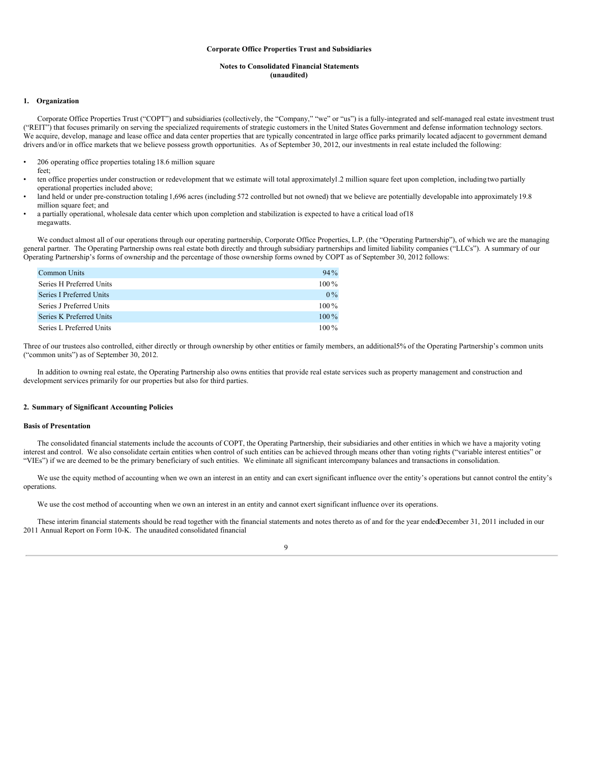#### **Corporate Office Properties Trust and Subsidiaries**

#### **Notes to Consolidated Financial Statements (unaudited)**

### <span id="page-8-0"></span>**1. Organization**

Corporate Office Properties Trust ("COPT") and subsidiaries (collectively, the "Company," "we" or "us") is a fully-integrated and self-managed real estate investment trust ("REIT") that focuses primarily on serving the specialized requirements of strategic customers in the United States Government and defense information technology sectors. We acquire, develop, manage and lease office and data center properties that are typically concentrated in large office parks primarily located adjacent to government demand drivers and/or in office markets that we believe possess growth opportunities. As of September 30, 2012, our investments in real estate included the following:

- 206 operating office properties totaling 18.6 million square feet;
- ten office properties under construction or redevelopment that we estimate will total approximately1.2 million square feet upon completion, including two partially operational properties included above;
- land held or under pre-construction totaling 1,696 acres (including 572 controlled but not owned) that we believe are potentially developable into approximately 19.8 million square feet; and
- a partially operational, wholesale data center which upon completion and stabilization is expected to have a critical load of18 megawatts.

We conduct almost all of our operations through our operating partnership, Corporate Office Properties, L.P. (the "Operating Partnership"), of which we are the managing general partner. The Operating Partnership owns real estate both directly and through subsidiary partnerships and limited liability companies ("LLCs"). A summary of our Operating Partnership's forms of ownership and the percentage of those ownership forms owned by COPT as of September 30, 2012 follows:

| Common Units             | $94\%$  |
|--------------------------|---------|
| Series H Preferred Units | $100\%$ |
| Series I Preferred Units | $0\%$   |
| Series J Preferred Units | $100\%$ |
| Series K Preferred Units | $100\%$ |
| Series L Preferred Units | $100\%$ |

Three of our trustees also controlled, either directly or through ownership by other entities or family members, an additional5% of the Operating Partnership's common units ("common units") as of September 30, 2012.

In addition to owning real estate, the Operating Partnership also owns entities that provide real estate services such as property management and construction and development services primarily for our properties but also for third parties.

#### **2. Summary of Significant Accounting Policies**

#### **Basis of Presentation**

The consolidated financial statements include the accounts of COPT, the Operating Partnership, their subsidiaries and other entities in which we have a majority voting interest and control. We also consolidate certain entities when control of such entities can be achieved through means other than voting rights ("variable interest entities" or "VIEs") if we are deemed to be the primary beneficiary of such entities. We eliminate all significant intercompany balances and transactions in consolidation.

We use the equity method of accounting when we own an interest in an entity and can exert significant influence over the entity's operations but cannot control the entity's operations.

We use the cost method of accounting when we own an interest in an entity and cannot exert significant influence over its operations.

These interim financial statements should be read together with the financial statements and notes thereto as of and for the year endedDecember 31, 2011 included in our 2011 Annual Report on Form 10-K. The unaudited consolidated financial

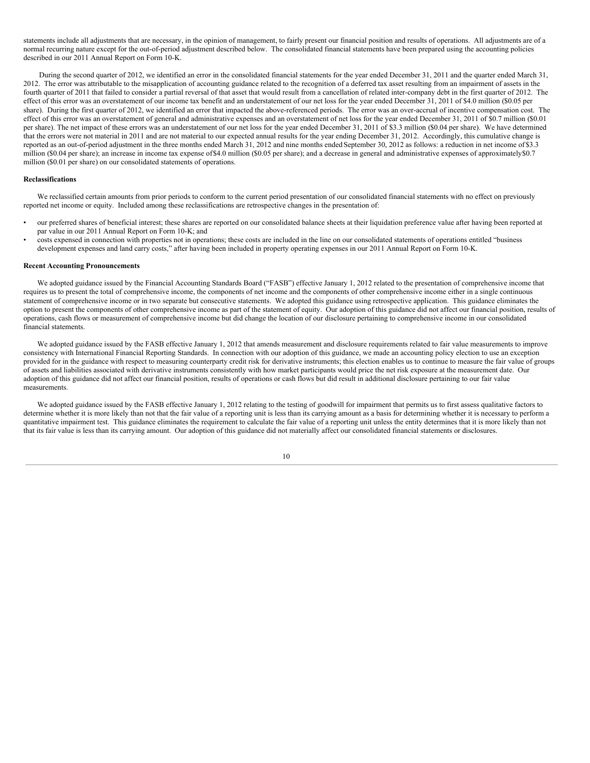statements include all adjustments that are necessary, in the opinion of management, to fairly present our financial position and results of operations. All adjustments are of a normal recurring nature except for the out-of-period adjustment described below. The consolidated financial statements have been prepared using the accounting policies described in our 2011 Annual Report on Form 10-K.

During the second quarter of 2012, we identified an error in the consolidated financial statements for the year ended December 31, 2011 and the quarter ended March 31, 2012. The error was attributable to the misapplication of accounting guidance related to the recognition of a deferred tax asset resulting from an impairment of assets in the fourth quarter of 2011 that failed to consider a partial reversal of that asset that would result from a cancellation of related inter-company debt in the first quarter of 2012. The effect of this error was an overstatement of our income tax benefit and an understatement of our net loss for the year ended December 31, 2011 of \$4.0 million (\$0.05 per share). During the first quarter of 2012, we identified an error that impacted the above-referenced periods. The error was an over-accrual of incentive compensation cost. The effect of this error was an overstatement of general and administrative expenses and an overstatement of net loss for the year ended December 31, 2011 of \$0.7 million (\$0.01) per share). The net impact of these errors was an understatement of our net loss for the year ended December 31, 2011 of \$3.3 million (\$0.04 per share). We have determined that the errors were not material in 2011 and are not material to our expected annual results for the year ending December 31, 2012. Accordingly, this cumulative change is reported as an out-of-period adjustment in the three months ended March 31, 2012 and nine months ended September 30, 2012 as follows: a reduction in net income of \$3.3 million (\$0.04 per share); an increase in income tax expense of\$4.0 million (\$0.05 per share); and a decrease in general and administrative expenses of approximately\$0.7 million (\$0.01 per share) on our consolidated statements of operations.

# **Reclassifications**

We reclassified certain amounts from prior periods to conform to the current period presentation of our consolidated financial statements with no effect on previously reported net income or equity. Included among these reclassifications are retrospective changes in the presentation of:

- our preferred shares of beneficial interest; these shares are reported on our consolidated balance sheets at their liquidation preference value after having been reported at par value in our 2011 Annual Report on Form 10-K; and
- costs expensed in connection with properties not in operations; these costs are included in the line on our consolidated statements of operations entitled "business development expenses and land carry costs," after having been included in property operating expenses in our 2011 Annual Report on Form 10-K.

#### **Recent Accounting Pronouncements**

We adopted guidance issued by the Financial Accounting Standards Board ("FASB") effective January 1, 2012 related to the presentation of comprehensive income that requires us to present the total of comprehensive income, the components of net income and the components of other comprehensive income either in a single continuous statement of comprehensive income or in two separate but consecutive statements. We adopted this guidance using retrospective application. This guidance eliminates the option to present the components of other comprehensive income as part of the statement of equity. Our adoption of this guidance did not affect our financial position, results of operations, cash flows or measurement of comprehensive income but did change the location of our disclosure pertaining to comprehensive income in our consolidated financial statements.

We adopted guidance issued by the FASB effective January 1, 2012 that amends measurement and disclosure requirements related to fair value measurements to improve consistency with International Financial Reporting Standards. In connection with our adoption of this guidance, we made an accounting policy election to use an exception provided for in the guidance with respect to measuring counterparty credit risk for derivative instruments; this election enables us to continue to measure the fair value of groups of assets and liabilities associated with derivative instruments consistently with how market participants would price the net risk exposure at the measurement date. Our adoption of this guidance did not affect our financial position, results of operations or cash flows but did result in additional disclosure pertaining to our fair value measurements.

We adopted guidance issued by the FASB effective January 1, 2012 relating to the testing of goodwill for impairment that permits us to first assess qualitative factors to determine whether it is more likely than not that the fair value of a reporting unit is less than its carrying amount as a basis for determining whether it is necessary to perform a quantitative impairment test. This guidance eliminates the requirement to calculate the fair value of a reporting unit unless the entity determines that it is more likely than not that its fair value is less than its carrying amount. Our adoption of this guidance did not materially affect our consolidated financial statements or disclosures.

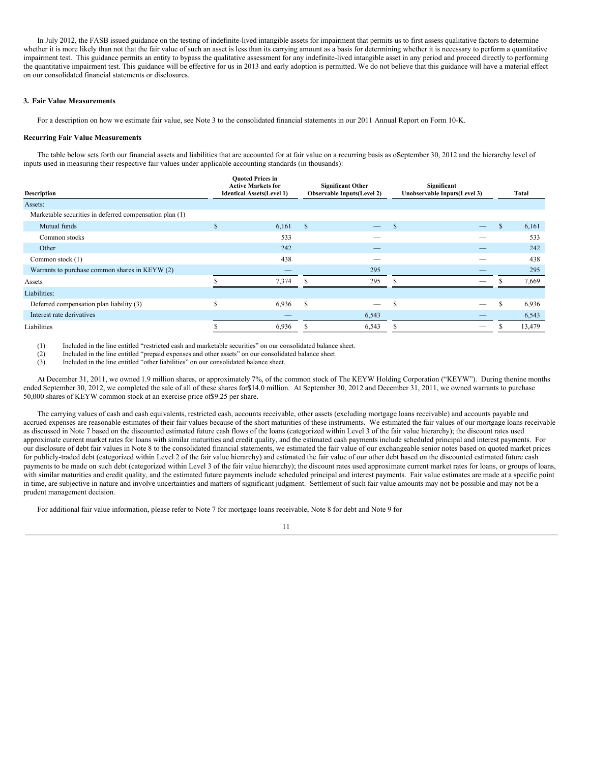In July 2012, the FASB issued guidance on the testing of indefinite-lived intangible assets for impairment that permits us to first assess qualitative factors to determine whether it is more likely than not that the fair value of such an asset is less than its carrying amount as a basis for determining whether it is necessary to perform a quantitative impairment test. This guidance permits an entity to bypass the qualitative assessment for any indefinite-lived intangible asset in any period and proceed directly to performing the quantitative impairment test. This guidance will be effective for us in 2013 and early adoption is permitted. We do not believe that this guidance will have a material effect on our consolidated financial statements or disclosures.

# **3. Fair Value Measurements**

For a description on how we estimate fair value, see Note 3 to the consolidated financial statements in our 2011 Annual Report on Form 10-K.

### **Recurring Fair Value Measurements**

The table below sets forth our financial assets and liabilities that are accounted for at fair value on a recurring basis as offeptember 30, 2012 and the hierarchy level of inputs used in measuring their respective fair values under applicable accounting standards (in thousands):

|             |                                                                                          | <b>Significant Other</b> | Significant<br>Unobservable Inputs(Level 3) |  |    | Total  |
|-------------|------------------------------------------------------------------------------------------|--------------------------|---------------------------------------------|--|----|--------|
|             |                                                                                          |                          |                                             |  |    |        |
|             |                                                                                          |                          |                                             |  |    |        |
| \$<br>6,161 | <sup>\$</sup>                                                                            |                          | $\mathcal{S}$                               |  | S  | 6,161  |
| 533         |                                                                                          |                          |                                             |  |    | 533    |
| 242         |                                                                                          |                          |                                             |  |    | 242    |
| 438         |                                                                                          |                          |                                             |  |    | 438    |
|             |                                                                                          | 295                      |                                             |  |    | 295    |
| 7,374       | S                                                                                        | 295                      |                                             |  | S  | 7,669  |
|             |                                                                                          |                          |                                             |  |    |        |
| \$<br>6,936 | S                                                                                        |                          | \$                                          |  | S  | 6,936  |
|             |                                                                                          | 6,543                    |                                             |  |    | 6,543  |
| 6,936       |                                                                                          | 6,543                    |                                             |  | ъ. | 13,479 |
|             | <b>Ouoted Prices in</b><br><b>Active Markets for</b><br><b>Identical Assets(Level 1)</b> |                          | <b>Observable Inputs(Level 2)</b>           |  |    |        |

(1) Included in the line entitled "restricted cash and marketable securities" on our consolidated balance sheet.

(2) Included in the line entitled "prepaid expenses and other assets" on our consolidated balance sheet.<br>(3) Included in the line entitled "other liabilities" on our consolidated balance sheet.

Included in the line entitled "other liabilities" on our consolidated balance sheet.

At December 31, 2011, we owned 1.9 million shares, or approximately 7%, of the common stock of The KEYW Holding Corporation ("KEYW"). During thenine months ended September 30, 2012, we completed the sale of all of these shares for \$14.0 million. At September 30, 2012 and December 31, 2011, we owned warrants to purchase 50,000 shares of KEYW common stock at an exercise price of\$9.25 per share.

The carrying values of cash and cash equivalents, restricted cash, accounts receivable, other assets (excluding mortgage loans receivable) and accounts payable and accrued expenses are reasonable estimates of their fair values because of the short maturities of these instruments. We estimated the fair values of our mortgage loans receivable as discussed in Note 7 based on the discounted estimated future cash flows of the loans (categorized within Level 3 of the fair value hierarchy); the discount rates used approximate current market rates for loans with similar maturities and credit quality, and the estimated cash payments include scheduled principal and interest payments. For our disclosure of debt fair values in Note 8 to the consolidated financial statements, we estimated the fair value of our exchangeable senior notes based on quoted market prices for publicly-traded debt (categorized within Level 2 of the fair value hierarchy) and estimated the fair value of our other debt based on the discounted estimated future cash payments to be made on such debt (categorized within Level 3 of the fair value hierarchy); the discount rates used approximate current market rates for loans, or groups of loans, with similar maturities and credit quality, and the estimated future payments include scheduled principal and interest payments. Fair value estimates are made at a specific point in time, are subjective in nature and involve uncertainties and matters of significant judgment. Settlement of such fair value amounts may not be possible and may not be a prudent management decision.

For additional fair value information, please refer to Note 7 for mortgage loans receivable, Note 8 for debt and Note 9 for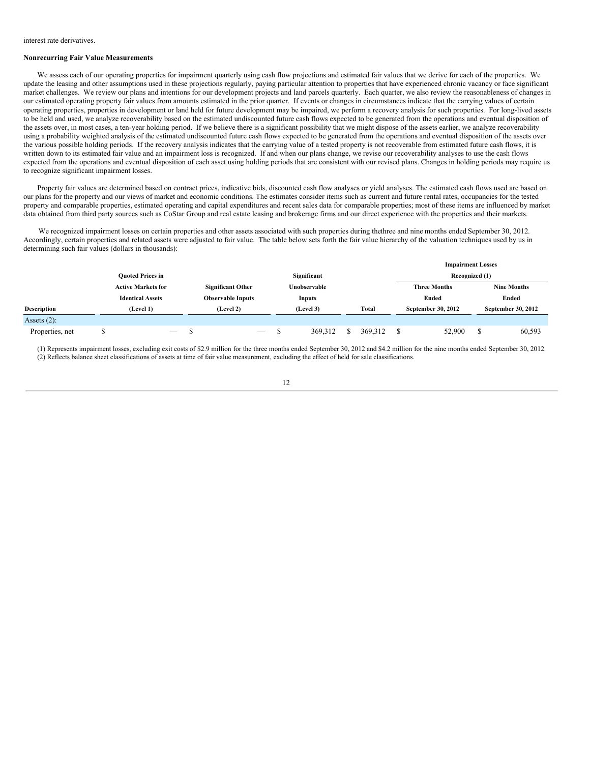#### **Nonrecurring Fair Value Measurements**

We assess each of our operating properties for impairment quarterly using cash flow projections and estimated fair values that we derive for each of the properties. We update the leasing and other assumptions used in these projections regularly, paying particular attention to properties that have experienced chronic vacancy or face significant market challenges. We review our plans and intentions for our development projects and land parcels quarterly. Each quarter, we also review the reasonableness of changes in our estimated operating property fair values from amounts estimated in the prior quarter. If events or changes in circumstances indicate that the carrying values of certain operating properties, properties in development or land held for future development may be impaired, we perform a recovery analysis for such properties. For long-lived assets to be held and used, we analyze recoverability based on the estimated undiscounted future cash flows expected to be generated from the operations and eventual disposition of the assets over, in most cases, a ten-year holding period. If we believe there is a significant possibility that we might dispose of the assets earlier, we analyze recoverability using a probability weighted analysis of the estimated undiscounted future cash flows expected to be generated from the operations and eventual disposition of the assets over the various possible holding periods. If the recovery analysis indicates that the carrying value of a tested property is not recoverable from estimated future cash flows, it is written down to its estimated fair value and an impairment loss is recognized. If and when our plans change, we revise our recoverability analyses to use the cash flows expected from the operations and eventual disposition of each asset using holding periods that are consistent with our revised plans. Changes in holding periods may require us to recognize significant impairment losses.

Property fair values are determined based on contract prices, indicative bids, discounted cash flow analyses or yield analyses. The estimated cash flows used are based on our plans for the property and our views of market and economic conditions. The estimates consider items such as current and future rental rates, occupancies for the tested property and comparable properties, estimated operating and capital expenditures and recent sales data for comparable properties; most of these items are influenced by market data obtained from third party sources such as CoStar Group and real estate leasing and brokerage firms and our direct experience with the properties and their markets.

We recognized impairment losses on certain properties and other assets associated with such properties during thethree and nine months ended September 30, 2012. Accordingly, certain properties and related assets were adjusted to fair value. The table below sets forth the fair value hierarchy of the valuation techniques used by us in determining such fair values (dollars in thousands):

|                    |                         |                           |                                 |  |                          |                                 |             |                    |  |         |       | <b>Impairment Losses</b> |                |                    |
|--------------------|-------------------------|---------------------------|---------------------------------|--|--------------------------|---------------------------------|-------------|--------------------|--|---------|-------|--------------------------|----------------|--------------------|
|                    | <b>Ouoted Prices in</b> |                           |                                 |  |                          |                                 | Significant |                    |  |         |       |                          | Recognized (1) |                    |
|                    |                         | <b>Active Markets for</b> |                                 |  | <b>Significant Other</b> |                                 |             | Unobservable       |  |         |       | <b>Three Months</b>      |                | <b>Nine Months</b> |
|                    |                         | <b>Identical Assets</b>   |                                 |  | <b>Observable Inputs</b> |                                 | Inputs      |                    |  |         | Ended |                          | Ended          |                    |
| <b>Description</b> |                         | (Level 1)                 |                                 |  | (Level 2)                |                                 |             | Total<br>(Level 3) |  |         |       | September 30, 2012       |                | September 30, 2012 |
| Assets $(2)$ :     |                         |                           |                                 |  |                          |                                 |             |                    |  |         |       |                          |                |                    |
| Properties, net    |                         |                           | $\hspace{0.1mm}-\hspace{0.1mm}$ |  |                          | $\hspace{0.1mm}-\hspace{0.1mm}$ |             | 369,312            |  | 369.312 |       | 52,900                   |                | 60,593             |

(1) Represents impairment losses, excluding exit costs of \$2.9 million for the three months ended September 30, 2012 and \$4.2 million for the nine months ended September 30, 2012. (2) Reflects balance sheet classifications of assets at time of fair value measurement, excluding the effect of held for sale classifications.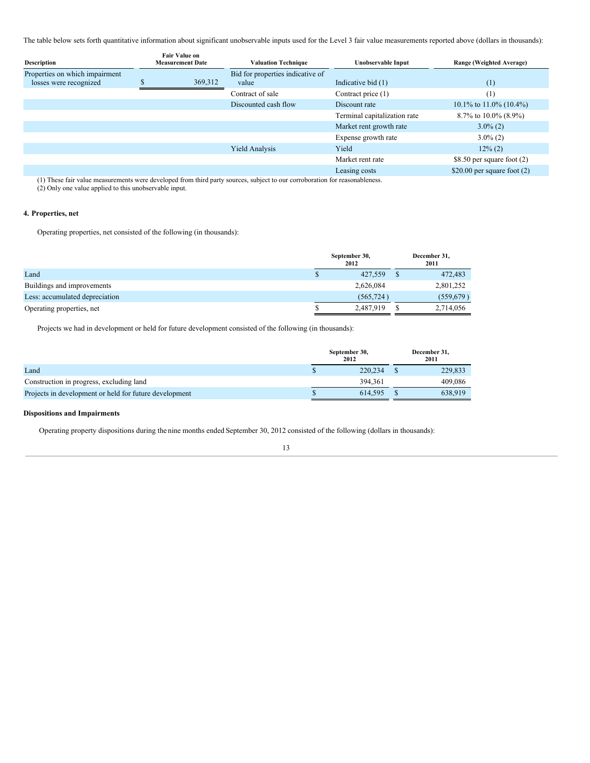The table below sets forth quantitative information about significant unobservable inputs used for the Level 3 fair value measurements reported above (dollars in thousands):

| <b>Description</b>             | <b>Fair Value on</b><br><b>Measurement Date</b> | <b>Valuation Technique</b>       | <b>Unobservable Input</b>    | Range (Weighted Average)      |
|--------------------------------|-------------------------------------------------|----------------------------------|------------------------------|-------------------------------|
| Properties on which impairment |                                                 | Bid for properties indicative of |                              |                               |
| losses were recognized         | 369,312                                         | value                            | Indicative bid $(1)$         | (1)                           |
|                                |                                                 | Contract of sale                 | Contract price (1)           | (1)                           |
|                                |                                                 | Discounted cash flow             | Discount rate                | 10.1% to 11.0% $(10.4\%)$     |
|                                |                                                 |                                  | Terminal capitalization rate | 8.7% to 10.0% (8.9%)          |
|                                |                                                 |                                  | Market rent growth rate      | $3.0\%$ (2)                   |
|                                |                                                 |                                  | Expense growth rate          | $3.0\%$ (2)                   |
|                                |                                                 | <b>Yield Analysis</b>            | Yield                        | $12\%$ (2)                    |
|                                |                                                 |                                  | Market rent rate             | \$8.50 per square foot $(2)$  |
|                                |                                                 |                                  | Leasing costs                | \$20.00 per square foot $(2)$ |

(1) These fair value measurements were developed from third party sources, subject to our corroboration for reasonableness. (2) Only one value applied to this unobservable input.

# **4. Properties, net**

Operating properties, net consisted of the following (in thousands):

|                                | September 30,<br>2012 | December 31,<br>2011 |
|--------------------------------|-----------------------|----------------------|
| Land                           | 427,559               | 472,483              |
| Buildings and improvements     | 2,626,084             | 2,801,252            |
| Less: accumulated depreciation | (565, 724)            | (559, 679)           |
| Operating properties, net      | 2,487,919             | 2,714,056            |

Projects we had in development or held for future development consisted of the following (in thousands):

|                                                        | September 30,<br>2012 | December 31,<br>2011 |
|--------------------------------------------------------|-----------------------|----------------------|
| Land                                                   | 220,234               | 229.833              |
| Construction in progress, excluding land               | 394.361               | 409,086              |
| Projects in development or held for future development | 614.595               | 638.919              |

# **Dispositions and Impairments**

Operating property dispositions during the nine months ended September 30, 2012 consisted of the following (dollars in thousands):

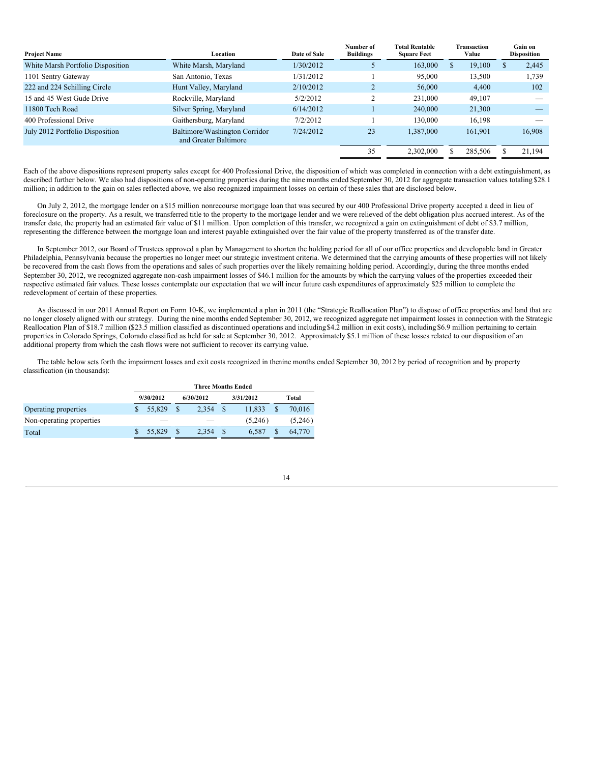| <b>Project Name</b>               | Location                                               | Date of Sale | Number of<br><b>Buildings</b> | <b>Total Rentable</b><br><b>Square Feet</b> | Transaction<br>Value | Gain on<br><b>Disposition</b> |
|-----------------------------------|--------------------------------------------------------|--------------|-------------------------------|---------------------------------------------|----------------------|-------------------------------|
| White Marsh Portfolio Disposition | White Marsh, Maryland                                  | 1/30/2012    |                               | 163,000                                     | 19,100               | 2,445<br><b>S</b>             |
| 1101 Sentry Gateway               | San Antonio, Texas                                     | 1/31/2012    |                               | 95,000                                      | 13,500               | 1,739                         |
| 222 and 224 Schilling Circle      | Hunt Valley, Maryland                                  | 2/10/2012    |                               | 56,000                                      | 4,400                | 102                           |
| 15 and 45 West Gude Drive         | Rockville, Maryland                                    | 5/2/2012     |                               | 231,000                                     | 49,107               |                               |
| 11800 Tech Road                   | Silver Spring, Maryland                                | 6/14/2012    |                               | 240,000                                     | 21,300               |                               |
| 400 Professional Drive            | Gaithersburg, Maryland                                 | 7/2/2012     |                               | 130,000                                     | 16,198               |                               |
| July 2012 Portfolio Disposition   | Baltimore/Washington Corridor<br>and Greater Baltimore | 7/24/2012    | 23<br>1.387,000<br>161.901    |                                             | 16.908               |                               |
|                                   |                                                        |              | 35                            | 2.302.000                                   | 285,506              | 21.194                        |

Each of the above dispositions represent property sales except for 400 Professional Drive, the disposition of which was completed in connection with a debt extinguishment, as described further below. We also had dispositions of non-operating properties during the nine months ended September 30, 2012 for aggregate transaction values totaling \$28.1 million; in addition to the gain on sales reflected above, we also recognized impairment losses on certain of these sales that are disclosed below.

On July 2, 2012, the mortgage lender on a\$15 million nonrecourse mortgage loan that was secured by our 400 Professional Drive property accepted a deed in lieu of foreclosure on the property. As a result, we transferred title to the property to the mortgage lender and we were relieved of the debt obligation plus accrued interest. As of the transfer date, the property had an estimated fair value of \$11 million. Upon completion of this transfer, we recognized a gain on extinguishment of debt of \$3.7 million, representing the difference between the mortgage loan and interest payable extinguished over the fair value of the property transferred as of the transfer date.

In September 2012, our Board of Trustees approved a plan by Management to shorten the holding period for all of our office properties and developable land in Greater Philadelphia, Pennsylvania because the properties no longer meet our strategic investment criteria. We determined that the carrying amounts of these properties will not likely be recovered from the cash flows from the operations and sales of such properties over the likely remaining holding period. Accordingly, during the three months ended September 30, 2012, we recognized aggregate non-cash impairment losses of \$46.1 million for the amounts by which the carrying values of the properties exceeded their respective estimated fair values. These losses contemplate our expectation that we will incur future cash expenditures of approximately \$25 million to complete the redevelopment of certain of these properties.

As discussed in our 2011 Annual Report on Form 10-K, we implemented a plan in 2011 (the "Strategic Reallocation Plan") to dispose of office properties and land that are no longer closely aligned with our strategy. During the nine months ended September 30, 2012, we recognized aggregate net impairment losses in connection with the Strategic Reallocation Plan of \$18.7 million (\$23.5 million classified as discontinued operations and including \$4.2 million in exit costs), including \$6.9 million pertaining to certain properties in Colorado Springs, Colorado classified as held for sale at September 30, 2012. Approximately \$5.1 million of these losses related to our disposition of an additional property from which the cash flows were not sufficient to recover its carrying value.

The table below sets forth the impairment losses and exit costs recognized in thenine months ended September 30, 2012 by period of recognition and by property classification (in thousands):

|                          | <b>Three Months Ended</b> |           |          |           |  |           |  |         |  |  |  |
|--------------------------|---------------------------|-----------|----------|-----------|--|-----------|--|---------|--|--|--|
|                          |                           | 9/30/2012 |          | 6/30/2012 |  | 3/31/2012 |  | Total   |  |  |  |
| Operating properties     |                           | 55,829    | <b>S</b> | 2.354     |  | 11.833    |  | 70,016  |  |  |  |
| Non-operating properties |                           | ___       |          |           |  | (5,246)   |  | (5,246) |  |  |  |
| Total                    |                           | 55,829    | S        | 2.354     |  | 6.587     |  | 64,770  |  |  |  |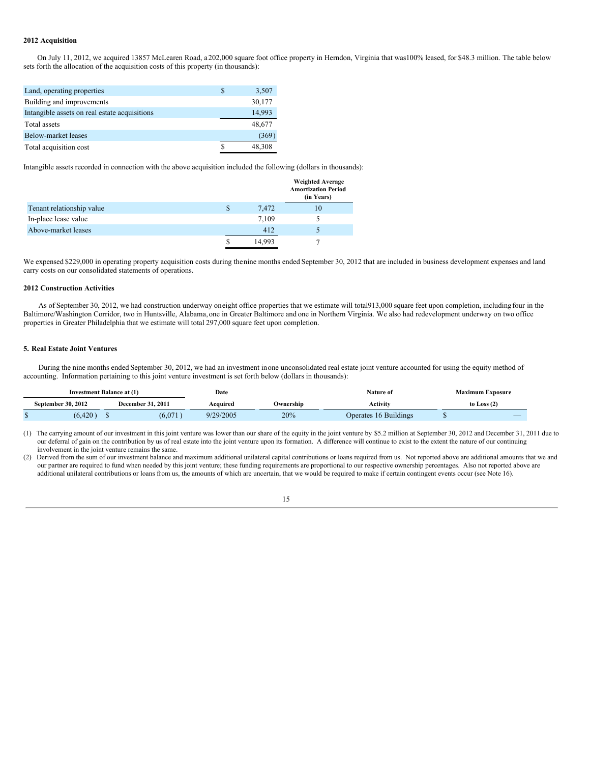# **2012 Acquisition**

On July 11, 2012, we acquired 13857 McLearen Road, a202,000 square foot office property in Herndon, Virginia that was100% leased, for \$48.3 million. The table below sets forth the allocation of the acquisition costs of this property (in thousands):

| Land, operating properties                    | S | 3,507  |
|-----------------------------------------------|---|--------|
| Building and improvements                     |   | 30,177 |
| Intangible assets on real estate acquisitions |   | 14,993 |
| Total assets                                  |   | 48,677 |
| Below-market leases                           |   | (369)  |
| Total acquisition cost                        | S | 48,308 |

Intangible assets recorded in connection with the above acquisition included the following (dollars in thousands):

|                           |    |        | <b>Weighted Average</b><br><b>Amortization Period</b><br>(in Years) |
|---------------------------|----|--------|---------------------------------------------------------------------|
| Tenant relationship value | S  | 7.472  | 10                                                                  |
| In-place lease value      |    | 7.109  |                                                                     |
| Above-market leases       |    | 412    |                                                                     |
|                           | \$ | 14.993 |                                                                     |

We expensed \$229,000 in operating property acquisition costs during thenine months ended September 30, 2012 that are included in business development expenses and land carry costs on our consolidated statements of operations.

# **2012 Construction Activities**

As of September 30, 2012, we had construction underway oneight office properties that we estimate will total913,000 square feet upon completion, including four in the Baltimore/Washington Corridor, two in Huntsville, Alabama, one in Greater Baltimore and one in Northern Virginia. We also had redevelopment underway on two office properties in Greater Philadelphia that we estimate will total 297,000 square feet upon completion.

# **5. Real Estate Joint Ventures**

During the nine months ended September 30, 2012, we had an investment inone unconsolidated real estate joint venture accounted for using the equity method of accounting. Information pertaining to this joint venture investment is set forth below (dollars in thousands):

| Investment Balance at (1) |                               | Date      |           | Nature of             |               | <b>Maximum Exposure</b> |  |
|---------------------------|-------------------------------|-----------|-----------|-----------------------|---------------|-------------------------|--|
| September 30, 2012        | December 31, 2011<br>Acauired |           | Ownership | Activity              | to Loss $(2)$ |                         |  |
| (6.420)                   | (6,071)                       | 9/29/2005 | 20%       | Operates 16 Buildings |               |                         |  |

(1) The carrying amount of our investment in this joint venture was lower than our share of the equity in the joint venture by \$5.2 million at September 30, 2012 and December 31, 2011 due to our deferral of gain on the contribution by us of real estate into the joint venture upon its formation. A difference will continue to exist to the extent the nature of our continuing involvement in the joint venture remains the same.

(2) Derived from the sum of our investment balance and maximum additional unilateral capital contributions or loans required from us. Not reported above are additional amounts that we and our partner are required to fund when needed by this joint venture; these funding requirements are proportional to our respective ownership percentages. Also not reported above are additional unilateral contributions or loans from us, the amounts of which are uncertain, that we would be required to make if certain contingent events occur (see Note 16).

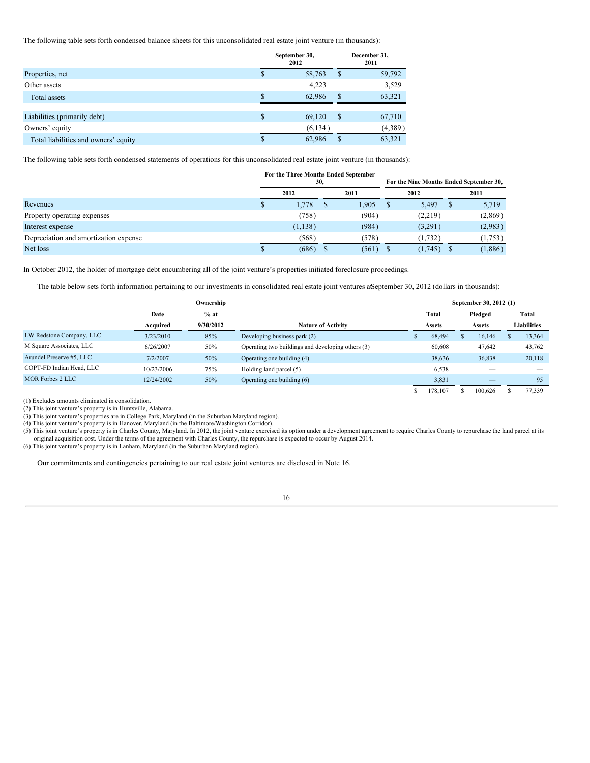The following table sets forth condensed balance sheets for this unconsolidated real estate joint venture (in thousands):

|                                      |    | September 30,<br>2012 |              | December 31,<br>2011 |
|--------------------------------------|----|-----------------------|--------------|----------------------|
| Properties, net                      | S  | 58,763                | <sup>S</sup> | 59,792               |
| Other assets                         |    | 4,223                 |              | 3,529                |
| Total assets                         |    | 62,986                | S.           | 63,321               |
|                                      |    |                       |              |                      |
| Liabilities (primarily debt)         | \$ | 69,120                | <sup>S</sup> | 67,710               |
| Owners' equity                       |    | (6, 134)              |              | (4,389)              |
| Total liabilities and owners' equity |    | 62,986                |              | 63,321               |

The following table sets forth condensed statements of operations for this unconsolidated real estate joint venture (in thousands):

|                                       |      | For the Three Months Ended September |     |       |                                         |         |      |         |  |
|---------------------------------------|------|--------------------------------------|-----|-------|-----------------------------------------|---------|------|---------|--|
|                                       |      |                                      | 30, |       | For the Nine Months Ended September 30, |         |      |         |  |
|                                       | 2012 |                                      |     | 2011  |                                         | 2012    | 2011 |         |  |
| Revenues                              |      | 1,778                                |     | 1,905 |                                         | 5,497   |      | 5,719   |  |
| Property operating expenses           |      | (758)                                |     | (904) |                                         | (2,219) |      | (2,869) |  |
| Interest expense                      |      | (1, 138)                             |     | (984) |                                         | (3,291) |      | (2,983) |  |
| Depreciation and amortization expense |      | (568)                                |     | (578) |                                         | (1,732) |      | (1,753) |  |
| Net loss                              |      | (686)                                |     | (561) |                                         | (1,745) |      | (1,886) |  |

In October 2012, the holder of mortgage debt encumbering all of the joint venture's properties initiated foreclosure proceedings.

The table below sets forth information pertaining to our investments in consolidated real estate joint ventures affeptember 30, 2012 (dollars in thousands):

|                          |            | Ownership |                                                   |       |               | September 30, 2012 (1) |               |  |                    |  |
|--------------------------|------------|-----------|---------------------------------------------------|-------|---------------|------------------------|---------------|--|--------------------|--|
|                          | Date       | $%$ at    |                                                   | Total |               |                        |               |  | Total              |  |
|                          | Acquired   | 9/30/2012 | <b>Nature of Activity</b>                         |       | <b>Assets</b> |                        | <b>Assets</b> |  | <b>Liabilities</b> |  |
| LW Redstone Company, LLC | 3/23/2010  | 85%       | Developing business park (2)                      |       | 68,494        |                        | 16,146        |  | 13,364             |  |
| M Square Associates, LLC | 6/26/2007  | 50%       | Operating two buildings and developing others (3) |       | 60,608        |                        | 47,642        |  | 43,762             |  |
| Arundel Preserve #5, LLC | 7/2/2007   | 50%       | Operating one building (4)                        |       | 38,636        |                        | 36,838        |  | 20,118             |  |
| COPT-FD Indian Head, LLC | 10/23/2006 | 75%       | Holding land parcel (5)                           |       | 6,538         |                        |               |  |                    |  |
| MOR Forbes 2 LLC         | 12/24/2002 | 50%       | Operating one building $(6)$                      |       | 3,831         |                        | __            |  | 95                 |  |
|                          |            |           |                                                   |       | 178,107       |                        | 100,626       |  | 77.339             |  |

(1) Excludes amounts eliminated in consolidation.

(2) This joint venture's property is in Huntsville, Alabama.

(3) This joint venture's properties are in College Park, Maryland (in the Suburban Maryland region).

(4) This joint venture's property is in Hanover, Maryland (in the Baltimore/Washington Corridor).

(5) This joint venture's property is in Charles County, Maryland. In 2012, the joint venture exercised its option under a development agreement to require Charles County to repurchase the land parcel at its original acquisition cost. Under the terms of the agreement with Charles County, the repurchase is expected to occur by August 2014. (6) This joint venture's property is in Lanham, Maryland (in the Suburban Maryland region).

Our commitments and contingencies pertaining to our real estate joint ventures are disclosed in Note 16.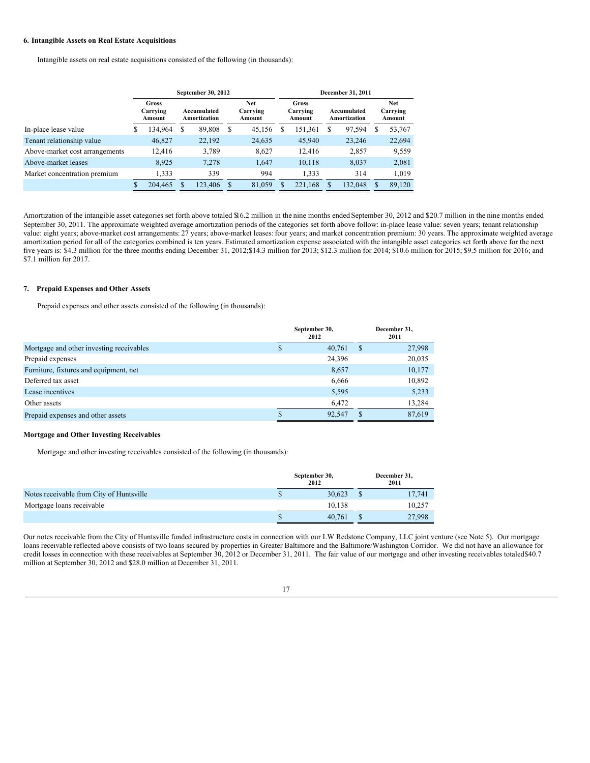# **6. Intangible Assets on Real Estate Acquisitions**

Intangible assets on real estate acquisitions consisted of the following (in thousands):

|                                |   |                             |   | September 30, 2012          |     |                                  |   |                             |               | <b>December 31, 2011</b>    |   |                                  |
|--------------------------------|---|-----------------------------|---|-----------------------------|-----|----------------------------------|---|-----------------------------|---------------|-----------------------------|---|----------------------------------|
|                                |   | Gross<br>Carrying<br>Amount |   | Accumulated<br>Amortization |     | <b>Net</b><br>Carrying<br>Amount |   | Gross<br>Carrying<br>Amount |               | Accumulated<br>Amortization |   | <b>Net</b><br>Carrying<br>Amount |
| In-place lease value           | S | 134.964                     | S | 89,808                      | S   | 45,156                           | S | 151.361                     | -S            | 97,594                      | S | 53,767                           |
| Tenant relationship value      |   | 46.827                      |   | 22,192                      |     | 24,635                           |   | 45,940                      |               | 23.246                      |   | 22,694                           |
| Above-market cost arrangements |   | 12.416                      |   | 3,789                       |     | 8.627                            |   | 12.416                      |               | 2,857                       |   | 9,559                            |
| Above-market leases            |   | 8,925                       |   | 7,278                       |     | 1.647                            |   | 10.118                      |               | 8,037                       |   | 2,081                            |
| Market concentration premium   |   | 1,333                       |   | 339                         |     | 994                              |   | 1,333                       |               | 314                         |   | 1,019                            |
|                                |   | 204,465                     | S | 123.406                     | \$. | 81.059                           |   | 221,168                     | <sup>\$</sup> | 132.048                     |   | 89.120                           |

Amortization of the intangible asset categories set forth above totaled \$16.2 million in the nine months ended September 30, 2012 and \$20.7 million in the nine months ended September 30, 2011. The approximate weighted average amortization periods of the categories set forth above follow: in-place lease value: seven years; tenant relationship value: eight years; above-market cost arrangements: 27 years; above-market leases: four years; and market concentration premium: 30 years. The approximate weighted average amortization period for all of the categories combined is ten years. Estimated amortization expense associated with the intangible asset categories set forth above for the next five years is: \$4.3 million for the three months ending December 31, 2012;\$14.3 million for 2013; \$12.3 million for 2014; \$10.6 million for 2015; \$9.5 million for 2016; and \$7.1 million for 2017.

### **7. Prepaid Expenses and Other Assets**

Prepaid expenses and other assets consisted of the following (in thousands):

|                                          | September 30,<br>2012 |        | December 31,<br>2011 |        |
|------------------------------------------|-----------------------|--------|----------------------|--------|
| Mortgage and other investing receivables | Φ                     | 40,761 | <sup>S</sup>         | 27,998 |
| Prepaid expenses                         |                       | 24,396 |                      | 20,035 |
| Furniture, fixtures and equipment, net   |                       | 8,657  |                      | 10,177 |
| Deferred tax asset                       |                       | 6,666  |                      | 10,892 |
| Lease incentives                         |                       | 5,595  |                      | 5,233  |
| Other assets                             |                       | 6,472  |                      | 13,284 |
| Prepaid expenses and other assets        |                       | 92.547 |                      | 87,619 |

# **Mortgage and Other Investing Receivables**

Mortgage and other investing receivables consisted of the following (in thousands):

|                                          | September 30,<br>2012 |        | December 31,<br>2011 |
|------------------------------------------|-----------------------|--------|----------------------|
| Notes receivable from City of Huntsville |                       | 30.623 | 17,741               |
| Mortgage loans receivable                |                       | 10.138 | 10,257               |
|                                          |                       | 40.761 | 27,998               |

Our notes receivable from the City of Huntsville funded infrastructure costs in connection with our LW Redstone Company, LLC joint venture (see Note 5). Our mortgage loans receivable reflected above consists of two loans secured by properties in Greater Baltimore and the Baltimore/Washington Corridor. We did not have an allowance for credit losses in connection with these receivables at September 30, 2012 or December 31, 2011. The fair value of our mortgage and other investing receivables totaled\$40.7 million at September 30, 2012 and \$28.0 million at December 31, 2011.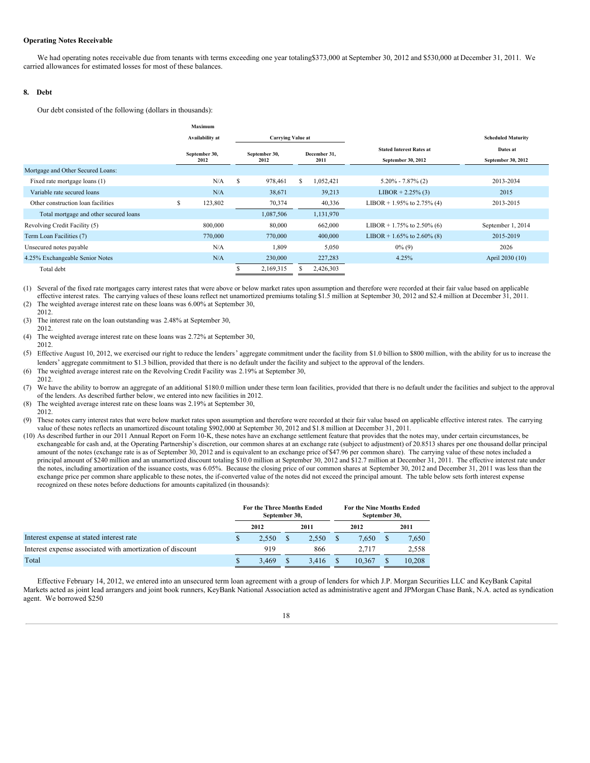# **Operating Notes Receivable**

We had operating notes receivable due from tenants with terms exceeding one year totaling\$373,000 at September 30, 2012 and \$530,000 at December 31, 2011. We carried allowances for estimated losses for most of these balances.

#### **8. Debt**

Our debt consisted of the following (dollars in thousands):

|                                        |   | Maximum               |   |                          |   |                      |                                                       |                                |
|----------------------------------------|---|-----------------------|---|--------------------------|---|----------------------|-------------------------------------------------------|--------------------------------|
|                                        |   | Availability at       |   | <b>Carrying Value at</b> |   |                      |                                                       | <b>Scheduled Maturity</b>      |
|                                        |   | September 30,<br>2012 |   | September 30,<br>2012    |   | December 31,<br>2011 | <b>Stated Interest Rates at</b><br>September 30, 2012 | Dates at<br>September 30, 2012 |
| Mortgage and Other Secured Loans:      |   |                       |   |                          |   |                      |                                                       |                                |
| Fixed rate mortgage loans (1)          |   | N/A                   | S | 978,461                  | S | 1,052,421            | $5.20\% - 7.87\%$ (2)                                 | 2013-2034                      |
| Variable rate secured loans            |   | N/A                   |   | 38,671                   |   | 39,213               | $LIBOR + 2.25\% (3)$                                  | 2015                           |
| Other construction loan facilities     | S | 123,802               |   | 70,374                   |   | 40,336               | LIBOR + 1.95% to 2.75% (4)                            | 2013-2015                      |
| Total mortgage and other secured loans |   |                       |   | 1,087,506                |   | 1,131,970            |                                                       |                                |
| Revolving Credit Facility (5)          |   | 800,000               |   | 80,000                   |   | 662,000              | LIBOR + 1.75% to 2.50% (6)                            | September 1, 2014              |
| Term Loan Facilities (7)               |   | 770,000               |   | 770,000                  |   | 400,000              | LIBOR + 1.65% to 2.60% (8)                            | 2015-2019                      |
| Unsecured notes payable                |   | N/A                   |   | 1,809                    |   | 5,050                | $0\%$ (9)                                             | 2026                           |
| 4.25% Exchangeable Senior Notes        |   | N/A                   |   | 230,000                  |   | 227,283              | 4.25%                                                 | April 2030 (10)                |
| Total debt                             |   |                       | S | 2,169,315                |   | 2,426,303            |                                                       |                                |

(1) Several of the fixed rate mortgages carry interest rates that were above or below market rates upon assumption and therefore were recorded at their fair value based on applicable effective interest rates. The carrying values of these loans reflect net unamortized premiums totaling \$1.5 million at September 30, 2012 and \$2.4 million at December 31, 2011. (2) The weighted average interest rate on these loans was 6.00% at September 30,

2012.

2012.

2012.

(3) The interest rate on the loan outstanding was 2.48% at September 30,

2012. (4) The weighted average interest rate on these loans was 2.72% at September 30,

(5) Effective August 10, 2012, we exercised our right to reduce the lenders' aggregate commitment under the facility from \$1.0 billion to \$800 million, with the ability for us to increase the lenders' aggregate commitment to \$1.3 billion, provided that there is no default under the facility and subject to the approval of the lenders.

(6) The weighted average interest rate on the Revolving Credit Facility was 2.19% at September 30,

(7) We have the ability to borrow an aggregate of an additional \$180.0 million under these term loan facilities, provided that there is no default under the facilities and subject to the approval of the lenders. As described further below, we entered into new facilities in 2012.

(8) The weighted average interest rate on these loans was 2.19% at September 30,

2012.

(9) These notes carry interest rates that were below market rates upon assumption and therefore were recorded at their fair value based on applicable effective interest rates. The carrying value of these notes reflects an unamortized discount totaling \$902,000 at September 30, 2012 and \$1.8 million at December 31, 2011.

(10) As described further in our 2011 Annual Report on Form 10-K, these notes have an exchange settlement feature that provides that the notes may, under certain circumstances, be exchangeable for cash and, at the Operating Partnership's discretion, our common shares at an exchange rate (subject to adjustment) of 20.8513 shares per one thousand dollar principal amount of the notes (exchange rate is as of September 30, 2012 and is equivalent to an exchange price of \$47.96 per common share). The carrying value of these notes included a principal amount of \$240 million and an unamortized discount totaling \$10.0 million at September 30, 2012 and \$12.7 million at December 31, 2011. The effective interest rate under the notes, including amortization of the issuance costs, was 6.05%. Because the closing price of our common shares at September 30, 2012 and December 31, 2011 was less than the exchange price per common share applicable to these notes, the if-converted value of the notes did not exceed the principal amount. The table below sets forth interest expense recognized on these notes before deductions for amounts capitalized (in thousands):

|                                                           | <b>For the Three Months Ended</b><br>September 30, |      |       |  | <b>For the Nine Months Ended</b><br>September 30, |        |
|-----------------------------------------------------------|----------------------------------------------------|------|-------|--|---------------------------------------------------|--------|
|                                                           | 2012                                               | 2011 |       |  | 2012                                              | 2011   |
| Interest expense at stated interest rate                  | 2.550                                              |      | 2.550 |  | 7.650                                             | 7,650  |
| Interest expense associated with amortization of discount | 919                                                |      | 866   |  | 2.717                                             | 2.558  |
| Total                                                     | 3.469                                              |      | 3.416 |  | 10.367                                            | 10.208 |

Effective February 14, 2012, we entered into an unsecured term loan agreement with a group of lenders for which J.P. Morgan Securities LLC and KeyBank Capital Markets acted as joint lead arrangers and joint book runners, KeyBank National Association acted as administrative agent and JPMorgan Chase Bank, N.A. acted as syndication agent. We borrowed \$250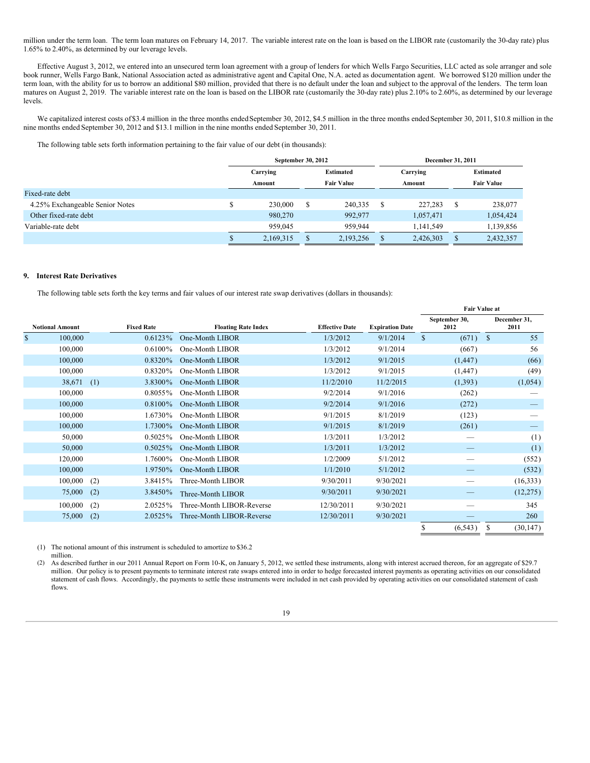million under the term loan. The term loan matures on February 14, 2017. The variable interest rate on the loan is based on the LIBOR rate (customarily the 30-day rate) plus 1.65% to 2.40%, as determined by our leverage levels.

Effective August 3, 2012, we entered into an unsecured term loan agreement with a group of lenders for which Wells Fargo Securities, LLC acted as sole arranger and sole book runner, Wells Fargo Bank, National Association acted as administrative agent and Capital One, N.A. acted as documentation agent. We borrowed \$120 million under the term loan, with the ability for us to borrow an additional \$80 million, provided that there is no default under the loan and subject to the approval of the lenders. The term loan matures on August 2, 2019. The variable interest rate on the loan is based on the LIBOR rate (customarily the 30-day rate) plus 2.10% to 2.60%, as determined by our leverage levels.

We capitalized interest costs of \$3.4 million in the three months ended September 30, 2012, \$4.5 million in the three months ended September 30, 2011, \$10.8 million in the nine months ended September 30, 2012 and \$13.1 million in the nine months ended September 30, 2011.

The following table sets forth information pertaining to the fair value of our debt (in thousands):

|                                 | September 30, 2012 |                   |                  |    | <b>December 31, 2011</b> |                   |
|---------------------------------|--------------------|-------------------|------------------|----|--------------------------|-------------------|
|                                 | Carrying           |                   | <b>Estimated</b> |    | Carrying                 | <b>Estimated</b>  |
|                                 | Amount             | <b>Fair Value</b> |                  |    | Amount                   | <b>Fair Value</b> |
| Fixed-rate debt                 |                    |                   |                  |    |                          |                   |
| 4.25% Exchangeable Senior Notes | 230,000            | S                 | 240,335          | -S | 227,283                  | 238,077           |
| Other fixed-rate debt           | 980,270            |                   | 992,977          |    | 1,057,471                | 1,054,424         |
| Variable-rate debt              | 959,045            |                   | 959.944          |    | 1.141.549                | 1,139,856         |
|                                 | 2,169,315          |                   | 2,193,256        |    | 2,426,303                | 2,432,357         |

#### **9. Interest Rate Derivatives**

The following table sets forth the key terms and fair values of our interest rate swap derivatives (dollars in thousands):

|                        |         |     |                   |                            |                       |                        | ган уанне ас |                       |               |                      |
|------------------------|---------|-----|-------------------|----------------------------|-----------------------|------------------------|--------------|-----------------------|---------------|----------------------|
| <b>Notional Amount</b> |         |     | <b>Fixed Rate</b> | <b>Floating Rate Index</b> | <b>Effective Date</b> | <b>Expiration Date</b> |              | September 30,<br>2012 |               | December 31,<br>2011 |
| \$                     | 100,000 |     | $0.6123\%$        | One-Month LIBOR            | 1/3/2012              | 9/1/2014               | S            | (671)                 | <b>S</b>      | 55                   |
|                        | 100,000 |     | $0.6100\%$        | One-Month LIBOR            | 1/3/2012              | 9/1/2014               |              | (667)                 |               | 56                   |
|                        | 100,000 |     | $0.8320\%$        | One-Month LIBOR            | 1/3/2012              | 9/1/2015               |              | (1, 447)              |               | (66)                 |
|                        | 100,000 |     | 0.8320%           | One-Month LIBOR            | 1/3/2012              | 9/1/2015               |              | (1, 447)              |               | (49)                 |
|                        | 38,671  | (1) | 3.8300%           | One-Month LIBOR            | 11/2/2010             | 11/2/2015              |              | (1,393)               |               | (1,054)              |
|                        | 100,000 |     | $0.8055\%$        | One-Month LIBOR            | 9/2/2014              | 9/1/2016               |              | (262)                 |               |                      |
|                        | 100,000 |     | $0.8100\%$        | One-Month LIBOR            | 9/2/2014              | 9/1/2016               |              | (272)                 |               |                      |
|                        | 100,000 |     | 1.6730%           | One-Month LIBOR            | 9/1/2015              | 8/1/2019               |              | (123)                 |               |                      |
|                        | 100,000 |     | 1.7300%           | One-Month LIBOR            | 9/1/2015              | 8/1/2019               |              | (261)                 |               |                      |
|                        | 50,000  |     | $0.5025\%$        | One-Month LIBOR            | 1/3/2011              | 1/3/2012               |              |                       |               | (1)                  |
|                        | 50,000  |     | $0.5025\%$        | One-Month LIBOR            | 1/3/2011              | 1/3/2012               |              |                       |               | (1)                  |
|                        | 120,000 |     | 1.7600%           | One-Month LIBOR            | 1/2/2009              | 5/1/2012               |              |                       |               | (552)                |
|                        | 100,000 |     | 1.9750%           | One-Month LIBOR            | 1/1/2010              | 5/1/2012               |              |                       |               | (532)                |
|                        | 100,000 | (2) | 3.8415%           | Three-Month LIBOR          | 9/30/2011             | 9/30/2021              |              |                       |               | (16, 333)            |
|                        | 75,000  | (2) | 3.8450%           | Three-Month LIBOR          | 9/30/2011             | 9/30/2021              |              |                       |               | (12, 275)            |
|                        | 100,000 | (2) | 2.0525%           | Three-Month LIBOR-Reverse  | 12/30/2011            | 9/30/2021              |              | -                     |               | 345                  |
|                        | 75,000  | (2) | 2.0525%           | Three-Month LIBOR-Reverse  | 12/30/2011            | 9/30/2021              |              |                       |               | 260                  |
|                        |         |     |                   |                            |                       |                        | S            | (6, 543)              | <sup>\$</sup> | (30, 147)            |

**Fair Value at**

(1) The notional amount of this instrument is scheduled to amortize to\$36.2 million.

(2) As described further in our 2011 Annual Report on Form 10-K, on January 5, 2012, we settled these instruments, along with interest accrued thereon, for an aggregate of \$29.7 million. Our policy is to present payments to terminate interest rate swaps entered into in order to hedge forecasted interest payments as operating activities on our consolidated statement of cash flows. Accordingly, the payments to settle these instruments were included in net cash provided by operating activities on our consolidated statement of cash flows.

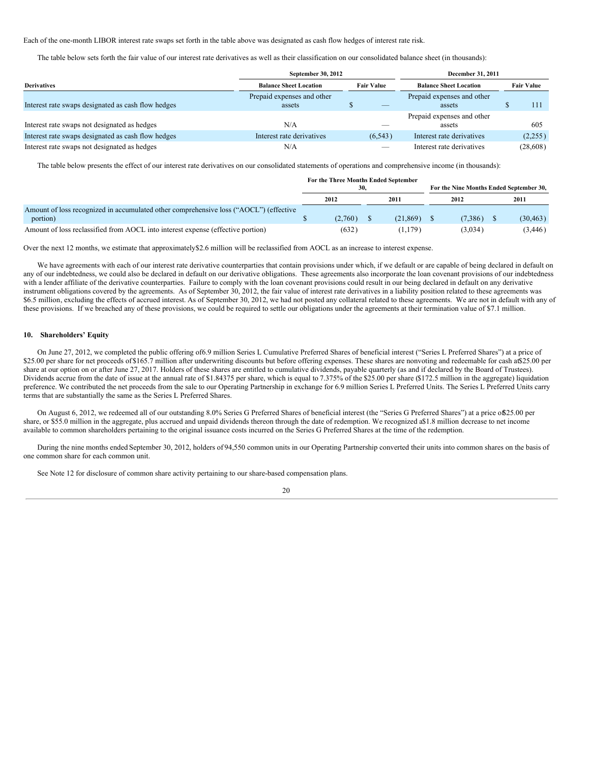Each of the one-month LIBOR interest rate swaps set forth in the table above was designated as cash flow hedges of interest rate risk.

The table below sets forth the fair value of our interest rate derivatives as well as their classification on our consolidated balance sheet (in thousands):

|                                                    | September 30, 2012                   |                   | December 31, 2011                    |                   |  |  |  |  |
|----------------------------------------------------|--------------------------------------|-------------------|--------------------------------------|-------------------|--|--|--|--|
| <b>Derivatives</b>                                 | <b>Balance Sheet Location</b>        | <b>Fair Value</b> | <b>Balance Sheet Location</b>        | <b>Fair Value</b> |  |  |  |  |
| Interest rate swaps designated as cash flow hedges | Prepaid expenses and other<br>assets |                   | Prepaid expenses and other<br>assets | 111               |  |  |  |  |
| Interest rate swaps not designated as hedges       | N/A                                  |                   | Prepaid expenses and other<br>assets | 605               |  |  |  |  |
| Interest rate swaps designated as cash flow hedges | Interest rate derivatives            | (6, 543)          | Interest rate derivatives            | (2,255)           |  |  |  |  |
| Interest rate swaps not designated as hedges       | N/A                                  |                   | Interest rate derivatives            | (28, 608)         |  |  |  |  |

The table below presents the effect of our interest rate derivatives on our consolidated statements of operations and comprehensive income (in thousands):

|                                                                                       |              | For the Three Months Ended September<br>30. |  |          |  | For the Nine Months Ended September 30, |  |           |  |  |
|---------------------------------------------------------------------------------------|--------------|---------------------------------------------|--|----------|--|-----------------------------------------|--|-----------|--|--|
|                                                                                       | 2012<br>2011 |                                             |  |          |  | 2012                                    |  | 2011      |  |  |
| Amount of loss recognized in accumulated other comprehensive loss ("AOCL") (effective |              |                                             |  |          |  |                                         |  |           |  |  |
| portion)                                                                              |              | (2,760)                                     |  | (21.869) |  | (7.386)                                 |  | (30, 463) |  |  |
| Amount of loss reclassified from AOCL into interest expense (effective portion)       |              | (632)                                       |  | (1.179)  |  | (3.034)                                 |  | (3, 446)  |  |  |

Over the next 12 months, we estimate that approximately\$2.6 million will be reclassified from AOCL as an increase to interest expense.

We have agreements with each of our interest rate derivative counterparties that contain provisions under which, if we default or are capable of being declared in default on any of our indebtedness, we could also be declared in default on our derivative obligations. These agreements also incorporate the loan covenant provisions of our indebtedness with a lender affiliate of the derivative counterparties. Failure to comply with the loan covenant provisions could result in our being declared in default on any derivative instrument obligations covered by the agreements. As of September 30, 2012, the fair value of interest rate derivatives in a liability position related to these agreements was \$6.5 million, excluding the effects of accrued interest. As of September 30, 2012, we had not posted any collateral related to these agreements. We are not in default with any of these provisions. If we breached any of these provisions, we could be required to settle our obligations under the agreements at their termination value of \$7.1 million.

#### **10. Shareholders' Equity**

On June 27, 2012, we completed the public offering of6.9 million Series L Cumulative Preferred Shares of beneficial interest ("Series L Preferred Shares") at a price of \$25.00 per share for net proceeds of \$165.7 million after underwriting discounts but before offering expenses. These shares are nonvoting and redeemable for cash at\$25.00 per share at our option on or after June 27, 2017. Holders of these shares are entitled to cumulative dividends, payable quarterly (as and if declared by the Board of Trustees). Dividends accrue from the date of issue at the annual rate of \$1.84375 per share, which is equal to 7.375% of the \$25.00 per share (\$172.5 million in the aggregate) liquidation preference. We contributed the net proceeds from the sale to our Operating Partnership in exchange for 6.9 million Series L Preferred Units. The Series L Preferred Units carry terms that are substantially the same as the Series L Preferred Shares.

On August 6, 2012, we redeemed all of our outstanding 8.0% Series G Preferred Shares of beneficial interest (the "Series G Preferred Shares") at a price of\$25.00 per share, or \$55.0 million in the aggregate, plus accrued and unpaid dividends thereon through the date of redemption. We recognized a\$1.8 million decrease to net income available to common shareholders pertaining to the original issuance costs incurred on the Series G Preferred Shares at the time of the redemption.

During the nine months ended September 30, 2012, holders of 94,550 common units in our Operating Partnership converted their units into common shares on the basis of one common share for each common unit.

See Note 12 for disclosure of common share activity pertaining to our share-based compensation plans.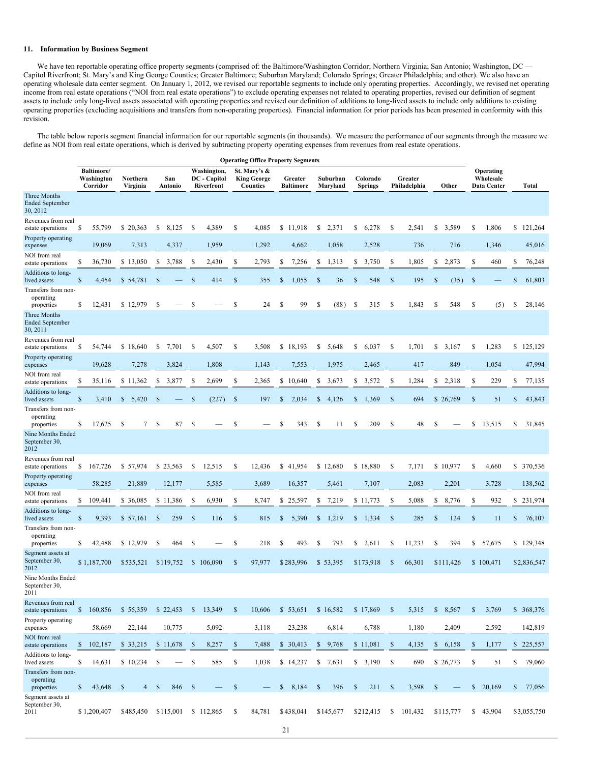# **11. Information by Business Segment**

We have ten reportable operating office property segments (comprised of: the Baltimore/Washington Corridor; Northern Virginia; San Antonio; Washington, DC — Capitol Riverfront; St. Mary's and King George Counties; Greater Baltimore; Suburban Maryland; Colorado Springs; Greater Philadelphia; and other). We also have an operating wholesale data center segment. On January 1, 2012, we revised our reportable segments to include only operating properties. Accordingly, we revised net operating income from real estate operations ("NOI from real estate operations") to exclude operating expenses not related to operating properties, revised our definition of segment assets to include only long-lived assets associated with operating properties and revised our definition of additions to long-lived assets to include only additions to existing operating properties (excluding acquisitions and transfers from non-operating properties). Financial information for prior periods has been presented in conformity with this revision.

The table below reports segment financial information for our reportable segments (in thousands). We measure the performance of our segments through the measure we define as NOI from real estate operations, which is derived by subtracting property operating expenses from revenues from real estate operations.

|                                                               | <b>Operating Office Property Segments</b> |                                      |                                      |               |                          |              |                                                  |                           |                                                       |              |                             |              |                      |              |                            |               |                         |    |           |              |                                       |    |              |
|---------------------------------------------------------------|-------------------------------------------|--------------------------------------|--------------------------------------|---------------|--------------------------|--------------|--------------------------------------------------|---------------------------|-------------------------------------------------------|--------------|-----------------------------|--------------|----------------------|--------------|----------------------------|---------------|-------------------------|----|-----------|--------------|---------------------------------------|----|--------------|
|                                                               |                                           | Baltimore/<br>Washington<br>Corridor | Northern<br>Virginia                 |               | San<br><b>Antonio</b>    |              | Washington,<br>DC - Capitol<br><b>Riverfront</b> |                           | St. Mary's &<br><b>King George</b><br><b>Counties</b> |              | Greater<br><b>Baltimore</b> |              | Suburban<br>Maryland |              | Colorado<br><b>Springs</b> |               | Greater<br>Philadelphia |    | Other     |              | Operating<br>Wholesale<br>Data Center |    | <b>Total</b> |
| Three Months                                                  |                                           |                                      |                                      |               |                          |              |                                                  |                           |                                                       |              |                             |              |                      |              |                            |               |                         |    |           |              |                                       |    |              |
| <b>Ended September</b><br>30, 2012                            |                                           |                                      |                                      |               |                          |              |                                                  |                           |                                                       |              |                             |              |                      |              |                            |               |                         |    |           |              |                                       |    |              |
| Revenues from real<br>estate operations                       | \$                                        | 55,799                               | \$20,363                             | \$            | 8,125                    | S            | 4,389                                            | \$                        | 4,085                                                 | \$           | 11,918                      | \$           | 2,371                | \$           | 6,278                      | S             | 2,541                   | \$ | 3,589     | \$           | 1,806                                 |    | \$121,264    |
| Property operating<br>expenses                                |                                           | 19,069                               | 7,313                                |               | 4,337                    |              | 1,959                                            |                           | 1,292                                                 |              | 4,662                       |              | 1,058                |              | 2,528                      |               | 736                     |    | 716       |              | 1,346                                 |    | 45,016       |
| NOI from real<br>estate operations                            | \$                                        | 36,730                               | \$13,050                             | \$            | 3,788                    | S            | 2,430                                            | \$                        | 2,793                                                 | \$           | 7,256                       | S            | 1,313                | \$           | 3,750                      | \$            | 1,805                   | S  | 2,873     | \$           | 460                                   | S  | 76,248       |
| Additions to long-<br>lived assets                            | $\mathbb{S}$                              | 4,454                                | \$54,781                             | <sup>\$</sup> |                          | \$           | 414                                              | $\mathcal{S}$             | 355                                                   | \$           | 1,055                       | $\mathbb{S}$ | 36                   | S            | 548                        | $\mathbb{S}$  | 195                     | S  | (35)      | -S           |                                       | \$ | 61,803       |
| Transfers from non-<br>operating<br>properties                | \$                                        | 12,431                               | \$12,979                             | S             |                          | S            |                                                  | \$                        | 24                                                    | \$           | 99                          | s            | (88)                 | \$           | 315                        | \$            | 1,843                   | S  | 548       | \$           | (5)                                   | S  | 28,146       |
| Three Months<br><b>Ended September</b><br>30, 2011            |                                           |                                      |                                      |               |                          |              |                                                  |                           |                                                       |              |                             |              |                      |              |                            |               |                         |    |           |              |                                       |    |              |
| Revenues from real<br>estate operations                       | \$                                        | 54,744                               | \$18,640                             | \$            | 7,701                    | S            | 4,507                                            | \$                        | 3,508                                                 | \$           | 18,193                      | \$           | 5,648                | \$           | 6,037                      | \$            | 1,701                   | S  | 3,167     | S            | 1,283                                 |    | \$125,129    |
| Property operating<br>expenses                                |                                           | 19,628                               | 7,278                                |               | 3,824                    |              | 1,808                                            |                           | 1,143                                                 |              | 7,553                       |              | 1,975                |              | 2,465                      |               | 417                     |    | 849       |              | 1,054                                 |    | 47,994       |
| NOI from real<br>estate operations                            | \$                                        | 35.116                               | \$11,362                             | \$            | 3,877                    | S            | 2,699                                            | \$                        | 2,365                                                 | \$           | 10,640                      | \$           | 3,673                | \$           | 3,572                      | \$            | 1,284                   | S  | 2,318     | \$           | 229                                   | S  | 77,135       |
| Additions to long-<br>lived assets<br>Transfers from non-     | $\mathsf{\$}$                             | 3,410                                | \$<br>5,420                          | <sup>\$</sup> |                          | S            | (227)                                            | $\boldsymbol{\mathsf{S}}$ | 197                                                   | \$           | 2,034                       | $\mathbb{S}$ | 4,126                | \$           | 1,369                      | $\mathbb{S}$  | 694                     |    | \$26,769  | $\mathbb{S}$ | 51                                    | \$ | 43,843       |
| operating<br>properties                                       | \$                                        | 17,625                               | 7<br>-S                              | \$            | 87                       | S            |                                                  | \$                        |                                                       | \$           | 343                         | s            | 11                   | \$           | 209                        | \$            | 48                      | S  |           | \$           | 13,515                                | \$ | 31,845       |
| Nine Months Ended<br>September 30,<br>2012                    |                                           |                                      |                                      |               |                          |              |                                                  |                           |                                                       |              |                             |              |                      |              |                            |               |                         |    |           |              |                                       |    |              |
| Revenues from real<br>estate operations                       |                                           | \$167,726                            | \$57,974                             |               | \$23,563                 | S            | 12,515                                           | \$                        | 12,436                                                |              | \$41,954                    |              | \$12,680             |              | \$18,880                   | \$            | 7,171                   |    | \$10,977  | S            | 4,660                                 |    | \$ 370,536   |
| Property operating<br>expenses                                |                                           | 58,285                               | 21,889                               |               | 12,177                   |              | 5,585                                            |                           | 3,689                                                 |              | 16,357                      |              | 5,461                |              | 7,107                      |               | 2,083                   |    | 2,201     |              | 3,728                                 |    | 138,562      |
| NOI from real<br>estate operations                            |                                           | \$109,441                            | \$ 36,085                            |               | \$11,386                 | S            | 6,930                                            | \$                        | 8,747                                                 |              | \$25,597                    | \$           | 7,219                |              | \$11,773                   | \$            | 5,088                   | S  | 8,776     | \$           | 932                                   |    | \$231,974    |
| Additions to long-<br>lived assets                            | $\mathbb{S}$                              | 9,393                                | \$57,161                             | S             | 259                      | \$           | 116                                              | \$                        | 815                                                   | \$           | 5,390                       | \$           | 1,219                | \$           | 1,334                      | \$            | 285                     | S  | 124       | \$           | 11                                    | \$ | 76,107       |
| Transfers from non-<br>operating<br>properties                | \$                                        | 42,488                               | \$12,979                             | <b>S</b>      | 464                      | S            |                                                  | \$                        | 218                                                   | -S           | 493                         | s            | 793                  | \$           | 2,611                      | <sup>\$</sup> | 11,233                  | S  | 394       | S.           | 57,675                                |    | \$129,348    |
| Segment assets at<br>September 30,<br>2012                    |                                           | \$1,187,700                          | \$535,521                            |               | \$119,752                | \$           | 106,090                                          | \$                        | 97,977                                                |              | \$283,996                   |              | \$53,395             |              | \$173,918                  | \$            | 66,301                  |    | \$111,426 |              | \$100,471                             |    | \$2,836,547  |
| Nine Months Ended<br>September 30,<br>2011                    |                                           |                                      |                                      |               |                          |              |                                                  |                           |                                                       |              |                             |              |                      |              |                            |               |                         |    |           |              |                                       |    |              |
| Revenues from real<br>estate operations<br>Property operating |                                           | \$160,856                            | \$55,359                             |               | \$22,453                 | $\mathbf{s}$ | 13,349                                           | $\mathbb{S}$              | 10,606                                                |              | \$53,651                    |              | \$16,582             |              | \$17,869                   | $\mathbb{S}$  | 5,315                   |    | \$8,567   | \$           | 3,769                                 |    | \$ 368,376   |
| expenses                                                      |                                           | 58,669                               | 22,144                               |               | 10,775                   |              | 5,092                                            |                           | 3,118                                                 |              | 23,238                      |              | 6,814                |              | 6,788                      |               | 1,180                   |    | 2,409     |              | 2,592                                 |    | 142,819      |
| NOI from real<br>estate operations                            | <sup>\$</sup>                             | 102,187                              | \$ 33,215                            |               | \$11,678                 | S            | 8,257                                            | $\boldsymbol{\mathsf{s}}$ | 7,488                                                 |              | \$30,413                    | S,           | 9,768                |              | \$11,081                   | \$            | 4,135                   | \$ | 6,158     | S            | 1,177                                 |    | \$225,557    |
| Additions to long-<br>lived assets                            | \$                                        | 14,631                               | \$10,234                             | \$            | $\overline{\phantom{0}}$ | S            | 585                                              | \$                        | 1,038                                                 |              | \$14,237                    | \$           | 7,631                |              | \$3,190                    | \$            | 690                     |    | \$26,773  | \$           | 51                                    | \$ | 79,060       |
| Transfers from non-<br>operating<br>properties                | \$                                        | 43,648                               | $\mathbf{\hat{s}}$<br>$\overline{4}$ | $\mathbb{S}$  | 846                      | $^{\circ}$   | $\qquad \qquad \overline{\qquad \qquad }$        | \$                        |                                                       | $\mathbb{S}$ | 8,184                       | $\mathbb{S}$ | 396                  | $\mathbb{S}$ | 211                        | $\mathbb{S}$  | 3,598                   | S, |           | $\mathbb{S}$ | 20,169                                | \$ | 77,056       |
| Segment assets at<br>September 30,<br>2011                    |                                           | \$1,200,407                          | \$485,450                            |               | \$115,001                |              | \$112,865                                        | \$                        | 84,781                                                |              | \$438,041                   |              | \$145,677            |              | \$212,415                  |               | \$101,432               |    | \$115,777 |              | \$43,904                              |    | \$3,055,750  |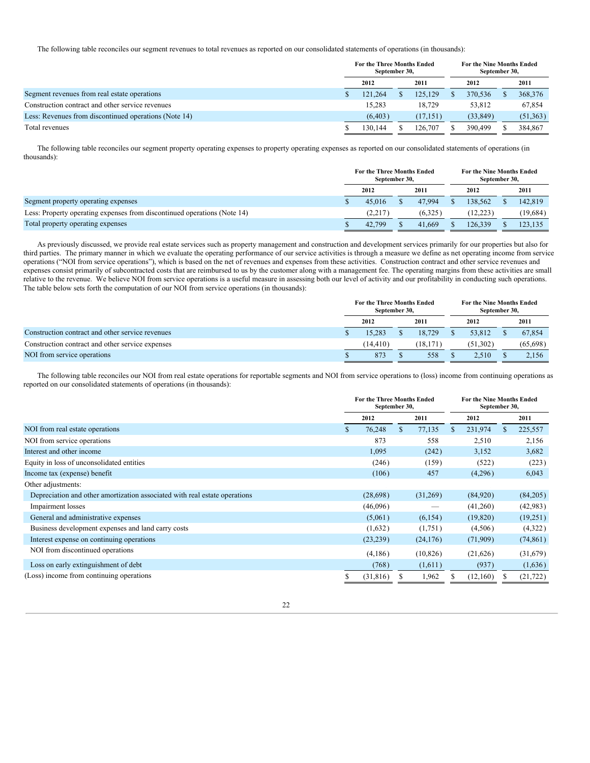The following table reconciles our segment revenues to total revenues as reported on our consolidated statements of operations (in thousands):

|                                                       | For the Three Months Ended<br>September 30, |  |          |  | <b>For the Nine Months Ended</b><br>September 30, |  |           |
|-------------------------------------------------------|---------------------------------------------|--|----------|--|---------------------------------------------------|--|-----------|
|                                                       | 2012                                        |  | 2011     |  | 2012                                              |  | 2011      |
| Segment revenues from real estate operations          | 121.264                                     |  | 125,129  |  | 370,536                                           |  | 368,376   |
| Construction contract and other service revenues      | 15.283                                      |  | 18.729   |  | 53.812                                            |  | 67.854    |
| Less: Revenues from discontinued operations (Note 14) | (6, 403)                                    |  | (17,151) |  | (33, 849)                                         |  | (51, 363) |
| Total revenues                                        | 130.144                                     |  | 126.707  |  | 390,499                                           |  | 384,867   |

The following table reconciles our segment property operating expenses to property operating expenses as reported on our consolidated statements of operations (in thousands):

|                                                                          | <b>For the Three Months Ended</b><br>September 30. |  |         | <b>For the Nine Months Ended</b><br>September 30, |          |
|--------------------------------------------------------------------------|----------------------------------------------------|--|---------|---------------------------------------------------|----------|
|                                                                          | 2012<br>2011                                       |  |         | 2012                                              | 2011     |
| Segment property operating expenses                                      | 45,016                                             |  | 47.994  | 138.562                                           | 142,819  |
| Less: Property operating expenses from discontinued operations (Note 14) | (2,217)                                            |  | (6,325) | (12, 223)                                         | (19,684) |
| Total property operating expenses                                        | 42,799                                             |  | 41,669  | 126.339                                           | 123,135  |

As previously discussed, we provide real estate services such as property management and construction and development services primarily for our properties but also for third parties. The primary manner in which we evaluate the operating performance of our service activities is through a measure we define as net operating income from service operations ("NOI from service operations"), which is based on the net of revenues and expenses from these activities. Construction contract and other service revenues and expenses consist primarily of subcontracted costs that are reimbursed to us by the customer along with a management fee. The operating margins from these activities are small relative to the revenue. We believe NOI from service operations is a useful measure in assessing both our level of activity and our profitability in conducting such operations. The table below sets forth the computation of our NOI from service operations (in thousands):

|                                                  | For the Three Months Ended<br>September 30, |          | For the Nine Months Ended<br>September 30, |           |
|--------------------------------------------------|---------------------------------------------|----------|--------------------------------------------|-----------|
|                                                  | 2012                                        | 2011     | 2012                                       | 2011      |
| Construction contract and other service revenues | 15.283                                      | 18.729   | 53.812                                     | 67,854    |
| Construction contract and other service expenses | (14.410)                                    | (18.171) | (51.302)                                   | (65, 698) |
| NOI from service operations                      | 873                                         | 558      | 2.510                                      | 2,156     |

The following table reconciles our NOI from real estate operations for reportable segments and NOI from service operations to (loss) income from continuing operations as reported on our consolidated statements of operations (in thousands):

|                                                                            | For the Three Months Ended<br>September 30, |           |     |           |    | <b>For the Nine Months Ended</b><br>September 30, |     |           |
|----------------------------------------------------------------------------|---------------------------------------------|-----------|-----|-----------|----|---------------------------------------------------|-----|-----------|
|                                                                            |                                             | 2012      |     | 2011      |    | 2012                                              |     | 2011      |
| NOI from real estate operations                                            | \$                                          | 76,248    | \$. | 77,135    | S. | 231,974                                           | \$. | 225,557   |
| NOI from service operations                                                |                                             | 873       |     | 558       |    | 2,510                                             |     | 2,156     |
| Interest and other income                                                  |                                             | 1,095     |     | (242)     |    | 3,152                                             |     | 3,682     |
| Equity in loss of unconsolidated entities                                  |                                             | (246)     |     | (159)     |    | (522)                                             |     | (223)     |
| Income tax (expense) benefit                                               |                                             | (106)     |     | 457       |    | (4,296)                                           |     | 6,043     |
| Other adjustments:                                                         |                                             |           |     |           |    |                                                   |     |           |
| Depreciation and other amortization associated with real estate operations |                                             | (28, 698) |     | (31,269)  |    | (84,920)                                          |     | (84,205)  |
| Impairment losses                                                          |                                             | (46,096)  |     |           |    | (41,260)                                          |     | (42,983)  |
| General and administrative expenses                                        |                                             | (5,061)   |     | (6,154)   |    | (19, 820)                                         |     | (19,251)  |
| Business development expenses and land carry costs                         |                                             | (1,632)   |     | (1,751)   |    | (4,506)                                           |     | (4,322)   |
| Interest expense on continuing operations                                  |                                             | (23, 239) |     | (24, 176) |    | (71,909)                                          |     | (74, 861) |
| NOI from discontinued operations                                           |                                             | (4,186)   |     | (10, 826) |    | (21,626)                                          |     | (31,679)  |
| Loss on early extinguishment of debt                                       |                                             | (768)     |     | (1,611)   |    | (937)                                             |     | (1,636)   |
| (Loss) income from continuing operations                                   |                                             | (31, 816) |     | 1,962     |    | (12,160)                                          |     | (21, 722) |

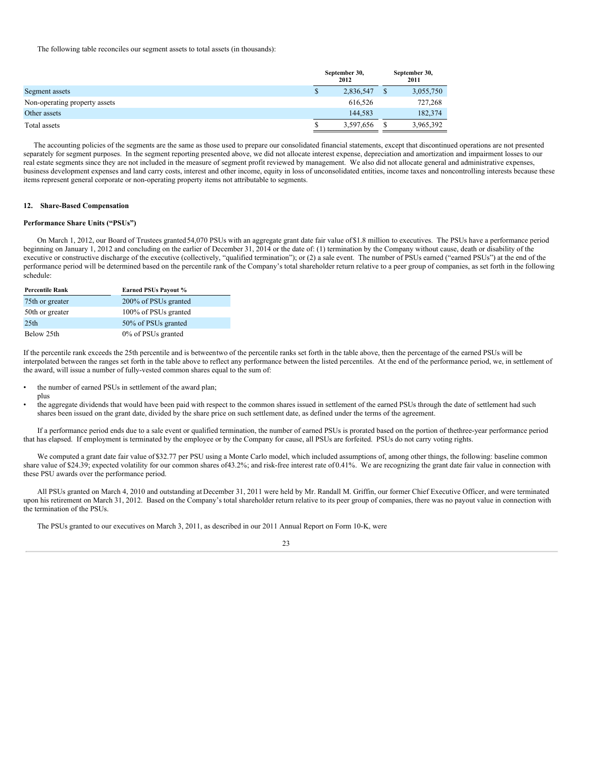The following table reconciles our segment assets to total assets (in thousands):

|                               |    | September 30,<br>2012 | September 30,<br>2011 |
|-------------------------------|----|-----------------------|-----------------------|
| Segment assets                | \$ | 2,836,547             | 3,055,750             |
| Non-operating property assets |    | 616.526               | 727,268               |
| Other assets                  |    | 144.583               | 182,374               |
| Total assets                  | S  | 3,597,656             | 3,965,392             |

The accounting policies of the segments are the same as those used to prepare our consolidated financial statements, except that discontinued operations are not presented separately for segment purposes. In the segment reporting presented above, we did not allocate interest expense, depreciation and amortization and impairment losses to our real estate segments since they are not included in the measure of segment profit reviewed by management. We also did not allocate general and administrative expenses, business development expenses and land carry costs, interest and other income, equity in loss of unconsolidated entities, income taxes and noncontrolling interests because these items represent general corporate or non-operating property items not attributable to segments.

#### **12. Share-Based Compensation**

#### **Performance Share Units ("PSUs")**

plus

On March 1, 2012, our Board of Trustees granted54,070 PSUs with an aggregate grant date fair value of \$1.8 million to executives. The PSUs have a performance period beginning on January 1, 2012 and concluding on the earlier of December 31, 2014 or the date of: (1) termination by the Company without cause, death or disability of the executive or constructive discharge of the executive (collectively, "qualified termination"); or (2) a sale event. The number of PSUs earned ("earned PSUs") at the end of the performance period will be determined based on the percentile rank of the Company's total shareholder return relative to a peer group of companies, as set forth in the following schedule:

| <b>Percentile Rank</b> | <b>Earned PSUs Payout %</b> |
|------------------------|-----------------------------|
| 75th or greater        | 200% of PSUs granted        |
| 50th or greater        | 100% of PSUs granted        |
| 25 <sub>th</sub>       | 50% of PSUs granted         |
| Below 25th             | 0% of PSUs granted          |

If the percentile rank exceeds the 25th percentile and is betweentwo of the percentile ranks set forth in the table above, then the percentage of the earned PSUs will be interpolated between the ranges set forth in the table above to reflect any performance between the listed percentiles. At the end of the performance period, we, in settlement of the award, will issue a number of fully-vested common shares equal to the sum of:

- the number of earned PSUs in settlement of the award plan;
- the aggregate dividends that would have been paid with respect to the common shares issued in settlement of the earned PSUs through the date of settlement had such shares been issued on the grant date, divided by the share price on such settlement date, as defined under the terms of the agreement.

If a performance period ends due to a sale event or qualified termination, the number of earned PSUs is prorated based on the portion of thethree-year performance period that has elapsed. If employment is terminated by the employee or by the Company for cause, all PSUs are forfeited. PSUs do not carry voting rights.

We computed a grant date fair value of \$32.77 per PSU using a Monte Carlo model, which included assumptions of, among other things, the following: baseline common share value of \$24.39; expected volatility for our common shares of 43.2%; and risk-free interest rate of 0.41%. We are recognizing the grant date fair value in connection with these PSU awards over the performance period.

All PSUs granted on March 4, 2010 and outstanding at December 31, 2011 were held by Mr. Randall M. Griffin, our former Chief Executive Officer, and were terminated upon his retirement on March 31, 2012. Based on the Company's total shareholder return relative to its peer group of companies, there was no payout value in connection with the termination of the PSUs.

The PSUs granted to our executives on March 3, 2011, as described in our 2011 Annual Report on Form 10-K, were

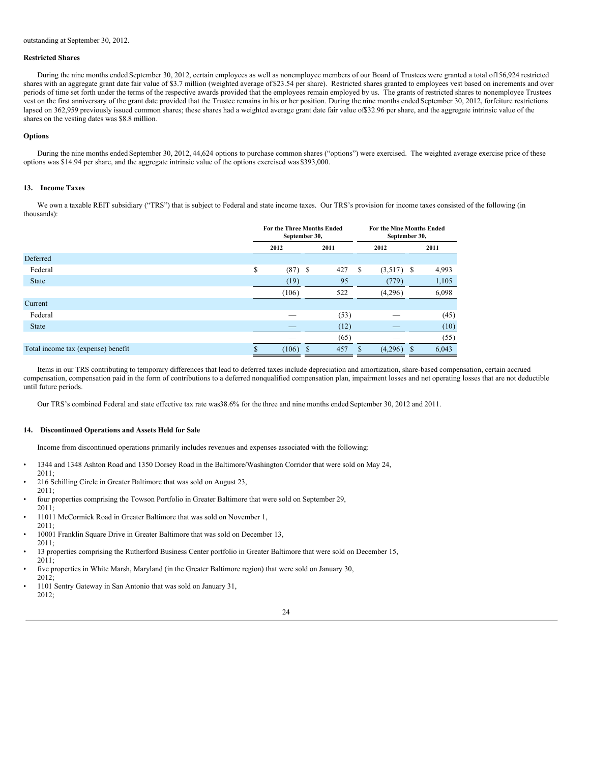# **Restricted Shares**

During the nine months ended September 30, 2012, certain employees as well as nonemployee members of our Board of Trustees were granted a total of156,924 restricted shares with an aggregate grant date fair value of \$3.7 million (weighted average of \$23.54 per share). Restricted shares granted to employees vest based on increments and over periods of time set forth under the terms of the respective awards provided that the employees remain employed by us. The grants of restricted shares to nonemployee Trustees vest on the first anniversary of the grant date provided that the Trustee remains in his or her position. During the nine months ended September 30, 2012, forfeiture restrictions lapsed on 362,959 previously issued common shares; these shares had a weighted average grant date fair value of\$32.96 per share, and the aggregate intrinsic value of the shares on the vesting dates was \$8.8 million.

#### **Options**

During the nine months ended September 30, 2012, 44,624 options to purchase common shares ("options") were exercised. The weighted average exercise price of these options was \$14.94 per share, and the aggregate intrinsic value of the options exercised was \$393,000.

### **13. Income Taxes**

We own a taxable REIT subsidiary ("TRS") that is subject to Federal and state income taxes. Our TRS's provision for income taxes consisted of the following (in thousands):

|                                    |    | For the Three Months Ended<br>September 30, |    |      |   | For the Nine Months Ended<br>September 30, |              |       |  |      |
|------------------------------------|----|---------------------------------------------|----|------|---|--------------------------------------------|--------------|-------|--|------|
|                                    |    | 2012                                        |    | 2011 |   |                                            |              | 2012  |  | 2011 |
| Deferred                           |    |                                             |    |      |   |                                            |              |       |  |      |
| Federal                            | \$ | $(87)$ \$                                   |    | 427  | S | $(3,517)$ \$                               |              | 4,993 |  |      |
| <b>State</b>                       |    | (19)                                        |    | 95   |   | (779)                                      |              | 1,105 |  |      |
|                                    |    | (106)                                       |    | 522  |   | (4,296)                                    |              | 6,098 |  |      |
| Current                            |    |                                             |    |      |   |                                            |              |       |  |      |
| Federal                            |    |                                             |    | (53) |   |                                            |              | (45)  |  |      |
| <b>State</b>                       |    |                                             |    | (12) |   |                                            |              | (10)  |  |      |
|                                    |    |                                             |    | (65) |   |                                            |              | (55)  |  |      |
| Total income tax (expense) benefit | ъ  | (106)                                       | \$ | 457  | S | (4,296)                                    | <sup>S</sup> | 6,043 |  |      |

Items in our TRS contributing to temporary differences that lead to deferred taxes include depreciation and amortization, share-based compensation, certain accrued compensation, compensation paid in the form of contributions to a deferred nonqualified compensation plan, impairment losses and net operating losses that are not deductible until future periods.

Our TRS's combined Federal and state effective tax rate was38.6% for the three and nine months ended September 30, 2012 and 2011.

### **14. Discontinued Operations and Assets Held for Sale**

Income from discontinued operations primarily includes revenues and expenses associated with the following:

- 1344 and 1348 Ashton Road and 1350 Dorsey Road in the Baltimore/Washington Corridor that were sold on May 24,
- 216 Schilling Circle in Greater Baltimore that was sold on August 23,
- $2011$

2011;

- four properties comprising the Towson Portfolio in Greater Baltimore that were sold on September 29, 2011;
- 11011 McCormick Road in Greater Baltimore that was sold on November 1,
- 2011;
- 10001 Franklin Square Drive in Greater Baltimore that was sold on December 13, 2011;
- 13 properties comprising the Rutherford Business Center portfolio in Greater Baltimore that were sold on December 15,  $2011$
- five properties in White Marsh, Maryland (in the Greater Baltimore region) that were sold on January 30,
- 2012; • 1101 Sentry Gateway in San Antonio that was sold on January 31,
- 2012;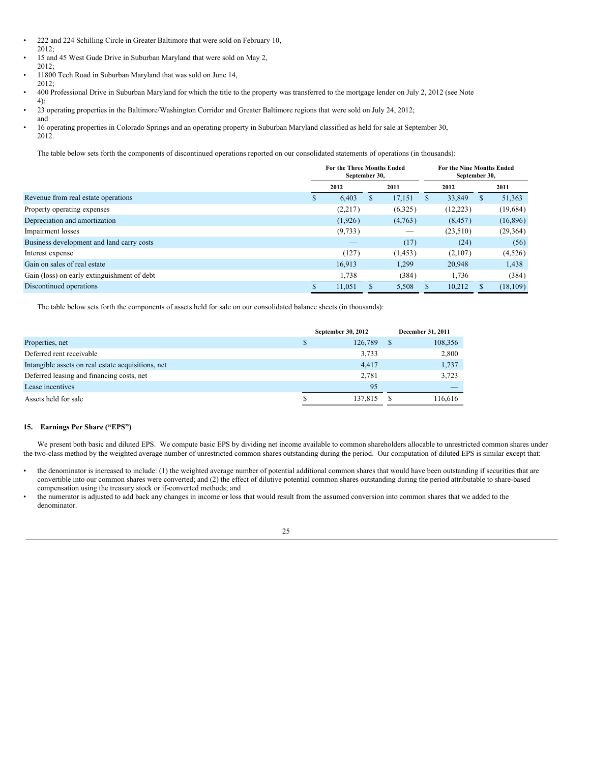- 222 and 224 Schilling Circle in Greater Baltimore that were sold on February 10, 2012;
- 15 and 45 West Gude Drive in Suburban Maryland that were sold on May 2,
- 2012;
- 11800 Tech Road in Suburban Maryland that was sold on June 14, 2012;
- 400 Professional Drive in Suburban Maryland for which the title to the property was transferred to the mortgage lender on July 2, 2012 (see Note
- 4); • 23 operating properties in the Baltimore/Washington Corridor and Greater Baltimore regions that were sold on July 24, 2012;
- and • 16 operating properties in Colorado Springs and an operating property in Suburban Maryland classified as held for sale at September 30, 2012.

The table below sets forth the components of discontinued operations reported on our consolidated statements of operations (in thousands):

|                                             |   | <b>For the Three Months Ended</b><br>September 30, |   |          |               | <b>For the Nine Months Ended</b><br>September 30, |   |           |
|---------------------------------------------|---|----------------------------------------------------|---|----------|---------------|---------------------------------------------------|---|-----------|
|                                             |   | 2012                                               |   | 2011     |               | 2012                                              |   | 2011      |
| Revenue from real estate operations         | ъ | 6,403                                              | S | 17,151   | <sup>\$</sup> | 33,849                                            | S | 51,363    |
| Property operating expenses                 |   | (2,217)                                            |   | (6,325)  |               | (12, 223)                                         |   | (19, 684) |
| Depreciation and amortization               |   | (1,926)                                            |   | (4,763)  |               | (8, 457)                                          |   | (16,896)  |
| Impairment losses                           |   | (9,733)                                            |   |          |               | (23,510)                                          |   | (29, 364) |
| Business development and land carry costs   |   |                                                    |   | (17)     |               | (24)                                              |   | (56)      |
| Interest expense                            |   | (127)                                              |   | (1, 453) |               | (2,107)                                           |   | (4,526)   |
| Gain on sales of real estate                |   | 16,913                                             |   | 1,299    |               | 20,948                                            |   | 1,438     |
| Gain (loss) on early extinguishment of debt |   | 1,738                                              |   | (384)    |               | 1,736                                             |   | (384)     |
| Discontinued operations                     |   | 11.051                                             | S | 5,508    |               | 10.212                                            |   | (18, 109) |

The table below sets forth the components of assets held for sale on our consolidated balance sheets (in thousands):

|                                                    | September 30, 2012 |    | December 31, 2011 |
|----------------------------------------------------|--------------------|----|-------------------|
| Properties, net                                    | 126,789            | S  | 108,356           |
| Deferred rent receivable                           | 3,733              |    | 2,800             |
| Intangible assets on real estate acquisitions, net | 4,417              |    | 1,737             |
| Deferred leasing and financing costs, net          | 2,781              |    | 3,723             |
| Lease incentives                                   |                    | 95 |                   |
| Assets held for sale                               | 137.815            |    | 116,616           |

# **15. Earnings Per Share ("EPS")**

We present both basic and diluted EPS. We compute basic EPS by dividing net income available to common shareholders allocable to unrestricted common shares under the two-class method by the weighted average number of unrestricted common shares outstanding during the period. Our computation of diluted EPS is similar except that:

- the denominator is increased to include: (1) the weighted average number of potential additional common shares that would have been outstanding if securities that are convertible into our common shares were converted; and (2) the effect of dilutive potential common shares outstanding during the period attributable to share-based compensation using the treasury stock or if-converted methods; and
- the numerator is adjusted to add back any changes in income or loss that would result from the assumed conversion into common shares that we added to the denominator.

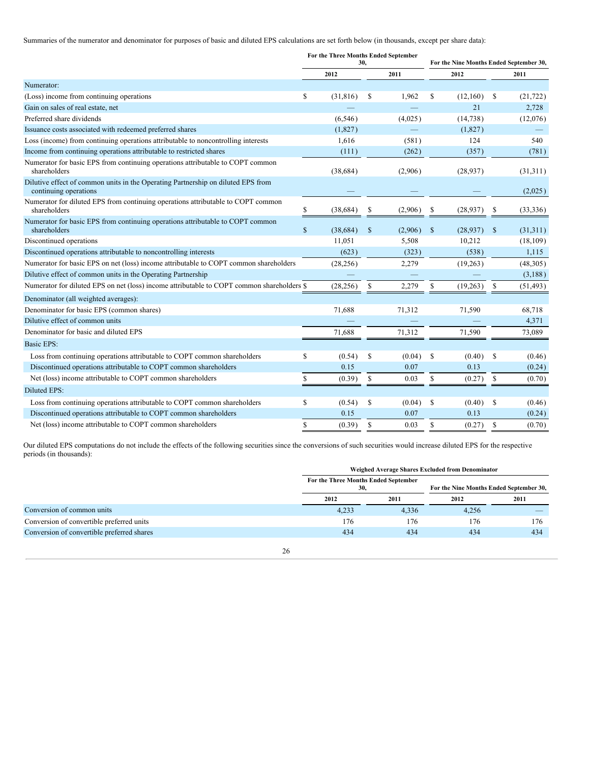Summaries of the numerator and denominator for purposes of basic and diluted EPS calculations are set forth below (in thousands, except per share data):

|                                                                                                           |              | For the Three Months Ended September<br>30, |               |         | For the Nine Months Ended September 30, |           |              |           |  |
|-----------------------------------------------------------------------------------------------------------|--------------|---------------------------------------------|---------------|---------|-----------------------------------------|-----------|--------------|-----------|--|
|                                                                                                           |              | 2012                                        |               | 2011    |                                         | 2012      |              | 2011      |  |
| Numerator:                                                                                                |              |                                             |               |         |                                         |           |              |           |  |
| (Loss) income from continuing operations                                                                  | \$           | (31, 816)                                   | \$            | 1,962   | \$                                      | (12,160)  | S            | (21, 722) |  |
| Gain on sales of real estate, net                                                                         |              |                                             |               |         |                                         | 21        |              | 2,728     |  |
| Preferred share dividends                                                                                 |              | (6, 546)                                    |               | (4,025) |                                         | (14, 738) |              | (12,076)  |  |
| Issuance costs associated with redeemed preferred shares                                                  |              | (1,827)                                     |               |         |                                         | (1,827)   |              |           |  |
| Loss (income) from continuing operations attributable to noncontrolling interests                         |              | 1,616                                       |               | (581)   |                                         | 124       |              | 540       |  |
| Income from continuing operations attributable to restricted shares                                       |              | (111)                                       |               | (262)   |                                         | (357)     |              | (781)     |  |
| Numerator for basic EPS from continuing operations attributable to COPT common<br>shareholders            |              | (38, 684)                                   |               | (2,906) |                                         | (28,937)  |              | (31,311)  |  |
| Dilutive effect of common units in the Operating Partnership on diluted EPS from<br>continuing operations |              |                                             |               |         |                                         |           |              | (2,025)   |  |
| Numerator for diluted EPS from continuing operations attributable to COPT common<br>shareholders          | \$           | (38, 684)                                   | S             | (2,906) | S                                       | (28,937)  | S            | (33, 336) |  |
| Numerator for basic EPS from continuing operations attributable to COPT common<br>shareholders            | $\mathbb{S}$ | (38, 684)                                   | $\mathsf{\$}$ | (2,906) | $\mathbb{S}$                            | (28, 937) | $^{\circ}$   | (31,311)  |  |
| Discontinued operations                                                                                   |              | 11,051                                      |               | 5,508   |                                         | 10,212    |              | (18, 109) |  |
| Discontinued operations attributable to noncontrolling interests                                          |              | (623)                                       |               | (323)   |                                         | (538)     |              | 1,115     |  |
| Numerator for basic EPS on net (loss) income attributable to COPT common shareholders                     |              | (28, 256)                                   |               | 2,279   |                                         | (19,263)  |              | (48,305)  |  |
| Dilutive effect of common units in the Operating Partnership                                              |              |                                             |               |         |                                         |           |              | (3,188)   |  |
| Numerator for diluted EPS on net (loss) income attributable to COPT common shareholders \$                |              | (28, 256)                                   | \$            | 2,279   | \$                                      | (19,263)  | $\mathbb{S}$ | (51, 493) |  |
| Denominator (all weighted averages):                                                                      |              |                                             |               |         |                                         |           |              |           |  |
| Denominator for basic EPS (common shares)                                                                 |              | 71,688                                      |               | 71,312  |                                         | 71,590    |              | 68,718    |  |
| Dilutive effect of common units                                                                           |              |                                             |               |         |                                         |           |              | 4,371     |  |
| Denominator for basic and diluted EPS                                                                     |              | 71,688                                      |               | 71,312  |                                         | 71,590    |              | 73,089    |  |
| Basic EPS:                                                                                                |              |                                             |               |         |                                         |           |              |           |  |
| Loss from continuing operations attributable to COPT common shareholders                                  | \$           | (0.54)                                      | \$            | (0.04)  | S                                       | (0.40)    | S            | (0.46)    |  |
| Discontinued operations attributable to COPT common shareholders                                          |              | 0.15                                        |               | 0.07    |                                         | 0.13      |              | (0.24)    |  |
| Net (loss) income attributable to COPT common shareholders                                                | \$           | (0.39)                                      | \$            | 0.03    | \$                                      | (0.27)    | S            | (0.70)    |  |
| <b>Diluted EPS:</b>                                                                                       |              |                                             |               |         |                                         |           |              |           |  |
| Loss from continuing operations attributable to COPT common shareholders                                  | \$           | (0.54)                                      | \$            | (0.04)  | S                                       | (0.40)    | S            | (0.46)    |  |
| Discontinued operations attributable to COPT common shareholders                                          |              | 0.15                                        |               | 0.07    |                                         | 0.13      |              | (0.24)    |  |
| Net (loss) income attributable to COPT common shareholders                                                | \$           | (0.39)                                      | \$            | 0.03    | S                                       | (0.27)    | <sup>S</sup> | (0.70)    |  |

Our diluted EPS computations do not include the effects of the following securities since the conversions of such securities would increase diluted EPS for the respective periods (in thousands):

|                                            |       | Weighed Average Shares Excluded from Denominator |                                         |      |  |  |  |
|--------------------------------------------|-------|--------------------------------------------------|-----------------------------------------|------|--|--|--|
|                                            |       | For the Three Months Ended September<br>30.      | For the Nine Months Ended September 30, |      |  |  |  |
|                                            | 2012  | 2011                                             | 2012                                    | 2011 |  |  |  |
| Conversion of common units                 | 4,233 | 4.336                                            | 4.256                                   |      |  |  |  |
| Conversion of convertible preferred units  | 176   | 176                                              | 176                                     | 176  |  |  |  |
| Conversion of convertible preferred shares | 434   | 434                                              | 434                                     | 434  |  |  |  |
|                                            |       |                                                  |                                         |      |  |  |  |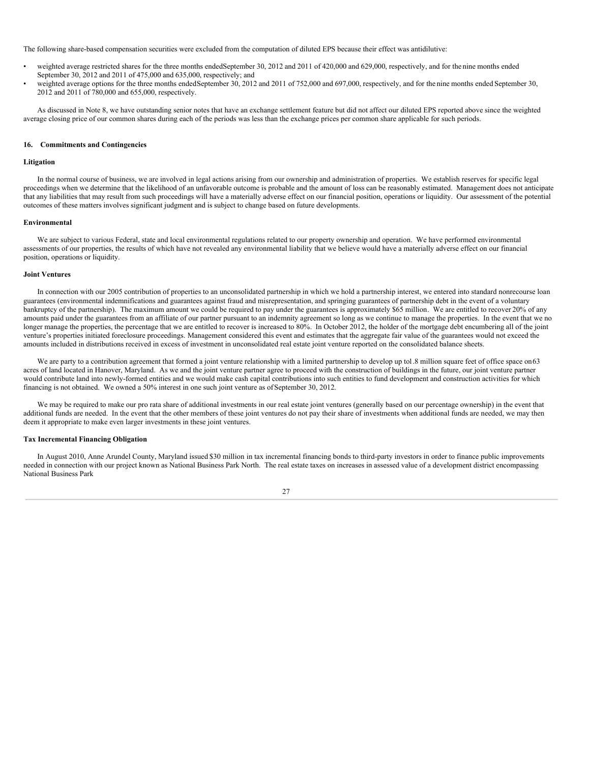The following share-based compensation securities were excluded from the computation of diluted EPS because their effect was antidilutive:

- weighted average restricted shares for the three months endedSeptember 30, 2012 and 2011 of 420,000 and 629,000, respectively, and for the nine months ended September 30, 2012 and 2011 of 475,000 and 635,000, respectively; and
- weighted average options for the three months ended September 30, 2012 and 2011 of 752,000 and 697,000, respectively, and for the nine months ended September 30, 2012 and 2011 of 780,000 and 655,000, respectively.

As discussed in Note 8, we have outstanding senior notes that have an exchange settlement feature but did not affect our diluted EPS reported above since the weighted average closing price of our common shares during each of the periods was less than the exchange prices per common share applicable for such periods.

#### **16. Commitments and Contingencies**

#### **Litigation**

In the normal course of business, we are involved in legal actions arising from our ownership and administration of properties. We establish reserves for specific legal proceedings when we determine that the likelihood of an unfavorable outcome is probable and the amount of loss can be reasonably estimated. Management does not anticipate that any liabilities that may result from such proceedings will have a materially adverse effect on our financial position, operations or liquidity. Our assessment of the potential outcomes of these matters involves significant judgment and is subject to change based on future developments.

#### **Environmental**

We are subject to various Federal, state and local environmental regulations related to our property ownership and operation. We have performed environmental assessments of our properties, the results of which have not revealed any environmental liability that we believe would have a materially adverse effect on our financial position, operations or liquidity.

#### **Joint Ventures**

In connection with our 2005 contribution of properties to an unconsolidated partnership in which we hold a partnership interest, we entered into standard nonrecourse loan guarantees (environmental indemnifications and guarantees against fraud and misrepresentation, and springing guarantees of partnership debt in the event of a voluntary bankruptcy of the partnership). The maximum amount we could be required to pay under the guarantees is approximately \$65 million. We are entitled to recover 20% of any amounts paid under the guarantees from an affiliate of our partner pursuant to an indemnity agreement so long as we continue to manage the properties. In the event that we no longer manage the properties, the percentage that we are entitled to recover is increased to 80%. In October 2012, the holder of the mortgage debt encumbering all of the joint venture's properties initiated foreclosure proceedings. Management considered this event and estimates that the aggregate fair value of the guarantees would not exceed the amounts included in distributions received in excess of investment in unconsolidated real estate joint venture reported on the consolidated balance sheets.

We are party to a contribution agreement that formed a joint venture relationship with a limited partnership to develop up tol.8 million square feet of office space on 63 acres of land located in Hanover, Maryland. As we and the joint venture partner agree to proceed with the construction of buildings in the future, our joint venture partner would contribute land into newly-formed entities and we would make cash capital contributions into such entities to fund development and construction activities for which financing is not obtained. We owned a 50% interest in one such joint venture as ofSeptember 30, 2012.

We may be required to make our pro rata share of additional investments in our real estate joint ventures (generally based on our percentage ownership) in the event that additional funds are needed. In the event that the other members of these joint ventures do not pay their share of investments when additional funds are needed, we may then deem it appropriate to make even larger investments in these joint ventures.

# **Tax Incremental Financing Obligation**

In August 2010, Anne Arundel County, Maryland issued \$30 million in tax incremental financing bonds to third-party investors in order to finance public improvements needed in connection with our project known as National Business Park North. The real estate taxes on increases in assessed value of a development district encompassing National Business Park

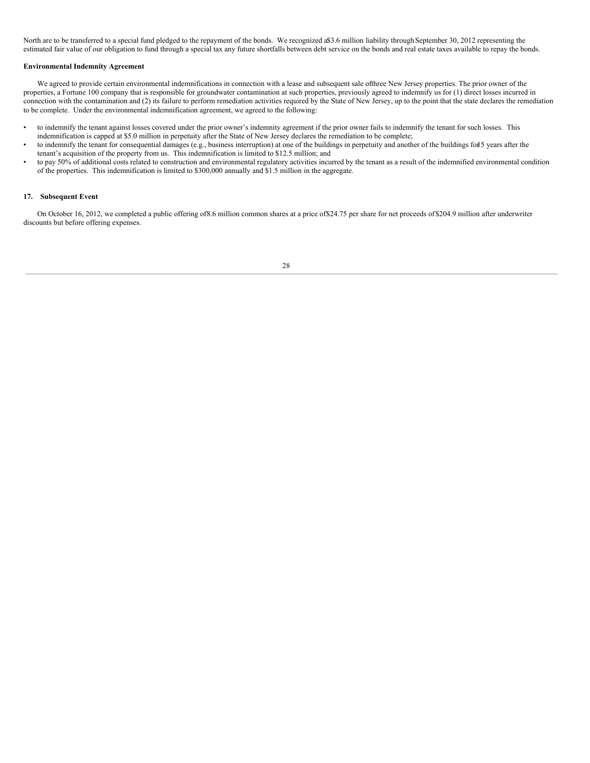North are to be transferred to a special fund pledged to the repayment of the bonds. We recognized a\$3.6 million liability through September 30, 2012 representing the estimated fair value of our obligation to fund through a special tax any future shortfalls between debt service on the bonds and real estate taxes available to repay the bonds.

# **Environmental Indemnity Agreement**

We agreed to provide certain environmental indemnifications in connection with a lease and subsequent sale ofthree New Jersey properties. The prior owner of the properties, a Fortune 100 company that is responsible for groundwater contamination at such properties, previously agreed to indemnify us for (1) direct losses incurred in connection with the contamination and (2) its failure to perform remediation activities required by the State of New Jersey, up to the point that the state declares the remediation to be complete. Under the environmental indemnification agreement, we agreed to the following:

- to indemnify the tenant against losses covered under the prior owner's indemnity agreement if the prior owner fails to indemnify the tenant for such losses. This indemnification is capped at \$5.0 million in perpetuity after the State of New Jersey declares the remediation to be complete;
- to indemnify the tenant for consequential damages (e.g., business interruption) at one of the buildings in perpetuity and another of the buildings for15 years after the tenant's acquisition of the property from us. This indemnification is limited to \$12.5 million; and
- to pay 50% of additional costs related to construction and environmental regulatory activities incurred by the tenant as a result of the indemnified environmental condition of the properties. This indemnification is limited to \$300,000 annually and \$1.5 million in the aggregate.

### **17. Subsequent Event**

On October 16, 2012, we completed a public offering of8.6 million common shares at a price of\$24.75 per share for net proceeds of\$204.9 million after underwriter discounts but before offering expenses.

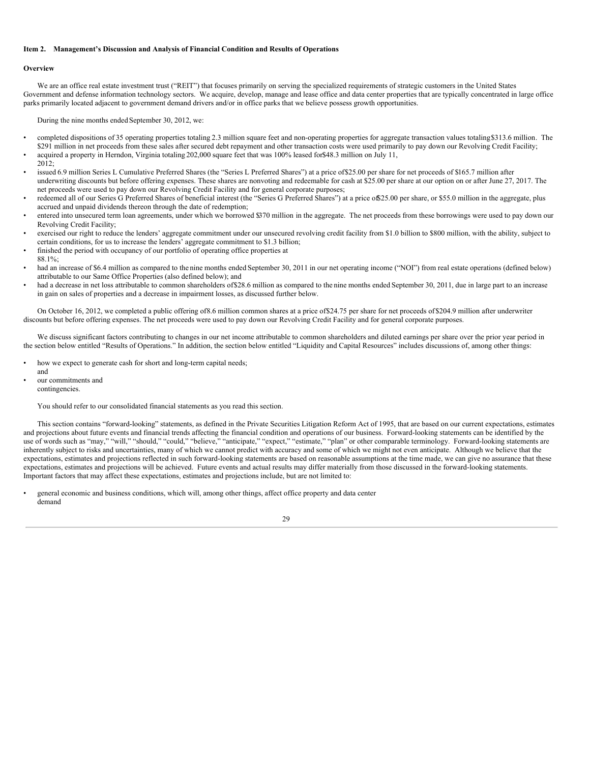#### <span id="page-28-0"></span>**Item 2. Management's Discussion and Analysis of Financial Condition and Results of Operations**

#### **Overview**

We are an office real estate investment trust ("REIT") that focuses primarily on serving the specialized requirements of strategic customers in the United States Government and defense information technology sectors. We acquire, develop, manage and lease office and data center properties that are typically concentrated in large office parks primarily located adjacent to government demand drivers and/or in office parks that we believe possess growth opportunities.

During the nine months ended September 30, 2012, we:

- completed dispositions of 35 operating properties totaling 2.3 million square feet and non-operating properties for aggregate transaction values totaling\$313.6 million. The \$291 million in net proceeds from these sales after secured debt repayment and other transaction costs were used primarily to pay down our Revolving Credit Facility;
- acquired a property in Herndon, Virginia totaling 202,000 square feet that was 100% leased for\$48.3 million on July 11,  $2012$
- issued 6.9 million Series L Cumulative Preferred Shares (the "Series L Preferred Shares") at a price of\$25.00 per share for net proceeds of \$165.7 million after underwriting discounts but before offering expenses. These shares are nonvoting and redeemable for cash at \$25.00 per share at our option on or after June 27, 2017. The net proceeds were used to pay down our Revolving Credit Facility and for general corporate purposes;
- redeemed all of our Series G Preferred Shares of beneficial interest (the "Series G Preferred Shares") at a price of\$25.00 per share, or \$55.0 million in the aggregate, plus accrued and unpaid dividends thereon through the date of redemption;
- entered into unsecured term loan agreements, under which we borrowed \$370 million in the aggregate. The net proceeds from these borrowings were used to pay down our Revolving Credit Facility;
- exercised our right to reduce the lenders' aggregate commitment under our unsecured revolving credit facility from \$1.0 billion to \$800 million, with the ability, subject to certain conditions, for us to increase the lenders' aggregate commitment to \$1.3 billion;
- finished the period with occupancy of our portfolio of operating office properties at
- 88.1%;
- had an increase of \$6.4 million as compared to the nine months ended September 30, 2011 in our net operating income ("NOI") from real estate operations (defined below) attributable to our Same Office Properties (also defined below); and
- had a decrease in net loss attributable to common shareholders of \$28.6 million as compared to the nine months ended September 30, 2011, due in large part to an increase in gain on sales of properties and a decrease in impairment losses, as discussed further below.

On October 16, 2012, we completed a public offering of8.6 million common shares at a price of\$24.75 per share for net proceeds of\$204.9 million after underwriter discounts but before offering expenses. The net proceeds were used to pay down our Revolving Credit Facility and for general corporate purposes.

We discuss significant factors contributing to changes in our net income attributable to common shareholders and diluted earnings per share over the prior year period in the section below entitled "Results of Operations." In addition, the section below entitled "Liquidity and Capital Resources" includes discussions of, among other things:

- how we expect to generate cash for short and long-term capital needs;
- and

our commitments and contingencies.

You should refer to our consolidated financial statements as you read this section.

This section contains "forward-looking" statements, as defined in the Private Securities Litigation Reform Act of 1995, that are based on our current expectations, estimates and projections about future events and financial trends affecting the financial condition and operations of our business. Forward-looking statements can be identified by the use of words such as "may," "will," "should," "could," "believe," "anticipate," "expect," "estimate," "plan" or other comparable terminology. Forward-looking statements are inherently subject to risks and uncertainties, many of which we cannot predict with accuracy and some of which we might not even anticipate. Although we believe that the expectations, estimates and projections reflected in such forward-looking statements are based on reasonable assumptions at the time made, we can give no assurance that these expectations, estimates and projections will be achieved. Future events and actual results may differ materially from those discussed in the forward-looking statements. Important factors that may affect these expectations, estimates and projections include, but are not limited to:

• general economic and business conditions, which will, among other things, affect office property and data center demand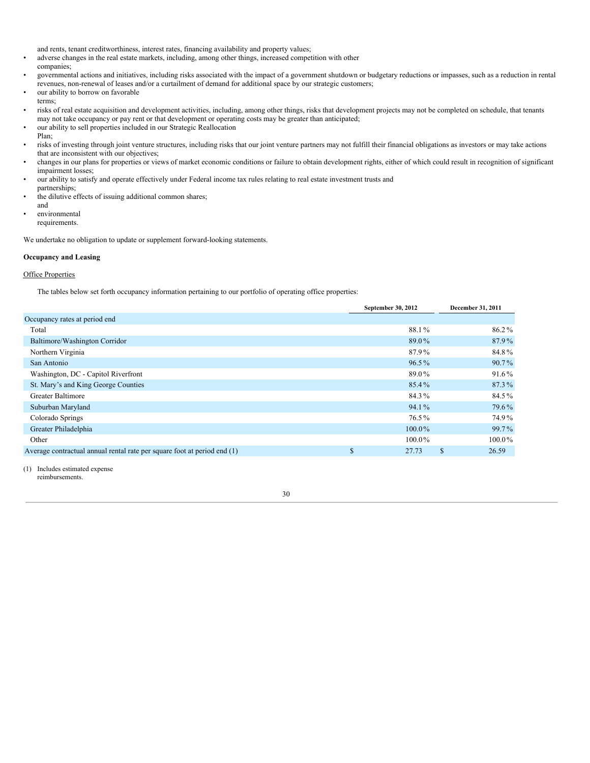and rents, tenant creditworthiness, interest rates, financing availability and property values;

- adverse changes in the real estate markets, including, among other things, increased competition with other companies;
- governmental actions and initiatives, including risks associated with the impact of a government shutdown or budgetary reductions or impasses, such as a reduction in rental revenues, non-renewal of leases and/or a curtailment of demand for additional space by our strategic customers;
- our ability to borrow on favorable
- terms;
- risks of real estate acquisition and development activities, including, among other things, risks that development projects may not be completed on schedule, that tenants may not take occupancy or pay rent or that development or operating costs may be greater than anticipated;
- our ability to sell properties included in our Strategic Reallocation
- Plan;
- risks of investing through joint venture structures, including risks that our joint venture partners may not fulfill their financial obligations as investors or may take actions that are inconsistent with our objectives;
- changes in our plans for properties or views of market economic conditions or failure to obtain development rights, either of which could result in recognition of significant impairment losses;
- our ability to satisfy and operate effectively under Federal income tax rules relating to real estate investment trusts and
- partnerships; the dilutive effects of issuing additional common shares;
- and environmental
- requirements.

We undertake no obligation to update or supplement forward-looking statements.

# **Occupancy and Leasing**

# Office Properties

The tables below set forth occupancy information pertaining to our portfolio of operating office properties:

|                                                                          | September 30, 2012 |           | December 31, 2011 |
|--------------------------------------------------------------------------|--------------------|-----------|-------------------|
| Occupancy rates at period end                                            |                    |           |                   |
| Total                                                                    |                    | 88.1%     | 86.2%             |
| Baltimore/Washington Corridor                                            |                    | 89.0%     | 87.9%             |
| Northern Virginia                                                        |                    | 87.9%     | 84.8%             |
| San Antonio                                                              |                    | $96.5\%$  | $90.7\%$          |
| Washington, DC - Capitol Riverfront                                      |                    | 89.0%     | 91.6%             |
| St. Mary's and King George Counties                                      |                    | 85.4%     | 87.3%             |
| <b>Greater Baltimore</b>                                                 |                    | 84.3%     | 84.5%             |
| Suburban Maryland                                                        |                    | $94.1\%$  | 79.6%             |
| Colorado Springs                                                         |                    | 76.5%     | 74.9%             |
| Greater Philadelphia                                                     |                    | $100.0\%$ | 99.7%             |
| Other                                                                    |                    | $100.0\%$ | $100.0\%$         |
| Average contractual annual rental rate per square foot at period end (1) | $\mathbb{S}$       | 27.73     | \$<br>26.59       |
|                                                                          |                    |           |                   |

(1) Includes estimated expense reimbursements.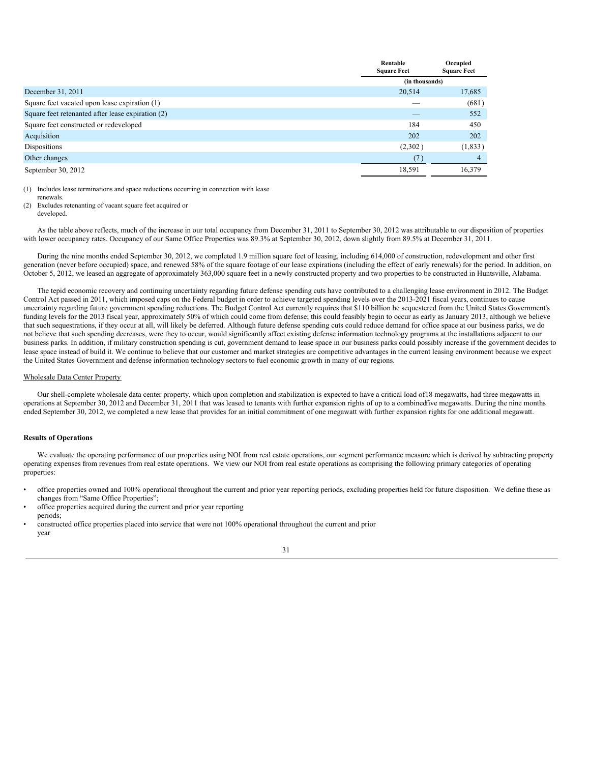|                                                   | Rentable<br><b>Square Feet</b> | Occupied<br><b>Square Feet</b> |
|---------------------------------------------------|--------------------------------|--------------------------------|
|                                                   |                                | (in thousands)                 |
| December 31, 2011                                 | 20,514                         | 17,685                         |
| Square feet vacated upon lease expiration (1)     |                                | (681)                          |
| Square feet retenanted after lease expiration (2) |                                | 552                            |
| Square feet constructed or redeveloped            | 184                            | 450                            |
| Acquisition                                       | 202                            | 202                            |
| Dispositions                                      | (2,302)                        | (1, 833)                       |
| Other changes                                     | (7)                            | $\overline{4}$                 |
| September 30, 2012                                | 18,591                         | 16,379                         |
|                                                   |                                |                                |

(1) Includes lease terminations and space reductions occurring in connection with lease

(2) Excludes retenanting of vacant square feet acquired or developed.

As the table above reflects, much of the increase in our total occupancy from December 31, 2011 to September 30, 2012 was attributable to our disposition of properties with lower occupancy rates. Occupancy of our Same Office Properties was 89.3% at September 30, 2012, down slightly from 89.5% at December 31, 2011.

During the nine months ended September 30, 2012, we completed 1.9 million square feet of leasing, including 614,000 of construction, redevelopment and other first generation (never before occupied) space, and renewed 58% of the square footage of our lease expirations (including the effect of early renewals) for the period. In addition, on October 5, 2012, we leased an aggregate of approximately 363,000 square feet in a newly constructed property and two properties to be constructed in Huntsville, Alabama.

The tepid economic recovery and continuing uncertainty regarding future defense spending cuts have contributed to a challenging lease environment in 2012. The Budget Control Act passed in 2011, which imposed caps on the Federal budget in order to achieve targeted spending levels over the 2013-2021 fiscal years, continues to cause uncertainty regarding future government spending reductions. The Budget Control Act currently requires that \$110 billion be sequestered from the United States Government's funding levels for the 2013 fiscal year, approximately 50% of which could come from defense; this could feasibly begin to occur as early as January 2013, although we believe that such sequestrations, if they occur at all, will likely be deferred. Although future defense spending cuts could reduce demand for office space at our business parks, we do not believe that such spending decreases, were they to occur, would significantly affect existing defense information technology programs at the installations adjacent to our business parks. In addition, if military construction spending is cut, government demand to lease space in our business parks could possibly increase if the government decides to lease space instead of build it. We continue to believe that our customer and market strategies are competitive advantages in the current leasing environment because we expect the United States Government and defense information technology sectors to fuel economic growth in many of our regions.

# Wholesale Data Center Property

Our shell-complete wholesale data center property, which upon completion and stabilization is expected to have a critical load of18 megawatts, had three megawatts in operations at September 30, 2012 and December 31, 2011 that was leased to tenants with further expansion rights of up to a combinedfive megawatts. During the nine months ended September 30, 2012, we completed a new lease that provides for an initial commitment of one megawatt with further expansion rights for one additional megawatt.

# **Results of Operations**

We evaluate the operating performance of our properties using NOI from real estate operations, our segment performance measure which is derived by subtracting property operating expenses from revenues from real estate operations. We view our NOI from real estate operations as comprising the following primary categories of operating properties:

- office properties owned and 100% operational throughout the current and prior year reporting periods, excluding properties held for future disposition. We define these as changes from "Same Office Properties";
- office properties acquired during the current and prior year reporting periods;
- constructed office properties placed into service that were not 100% operational throughout the current and prior year

renewals.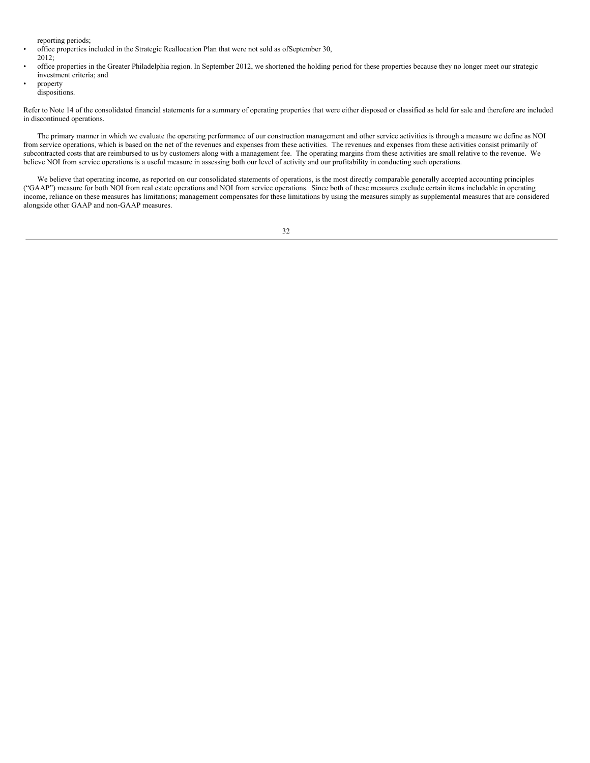reporting periods;

- office properties included in the Strategic Reallocation Plan that were not sold as ofSeptember 30,
- 2012;
- office properties in the Greater Philadelphia region. In September 2012, we shortened the holding period for these properties because they no longer meet our strategic investment criteria; and
- property

dispositions.

Refer to Note 14 of the consolidated financial statements for a summary of operating properties that were either disposed or classified as held for sale and therefore are included in discontinued operations.

The primary manner in which we evaluate the operating performance of our construction management and other service activities is through a measure we define as NOI from service operations, which is based on the net of the revenues and expenses from these activities. The revenues and expenses from these activities consist primarily of subcontracted costs that are reimbursed to us by customers along with a management fee. The operating margins from these activities are small relative to the revenue. We believe NOI from service operations is a useful measure in assessing both our level of activity and our profitability in conducting such operations.

We believe that operating income, as reported on our consolidated statements of operations, is the most directly comparable generally accepted accounting principles ("GAAP") measure for both NOI from real estate operations and NOI from service operations. Since both of these measures exclude certain items includable in operating income, reliance on these measures has limitations; management compensates for these limitations by using the measures simply as supplemental measures that are considered alongside other GAAP and non-GAAP measures.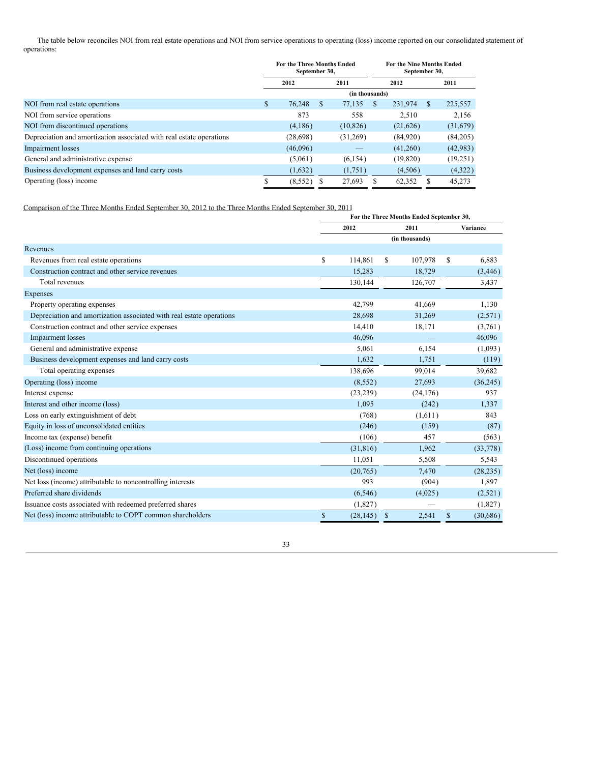The table below reconciles NOI from real estate operations and NOI from service operations to operating (loss) income reported on our consolidated statement of operations:

|                                                                      |      | <b>For the Three Months Ended</b><br>September 30, |   |                |   | <b>For the Nine Months Ended</b><br>September 30, |   |          |
|----------------------------------------------------------------------|------|----------------------------------------------------|---|----------------|---|---------------------------------------------------|---|----------|
|                                                                      | 2012 |                                                    |   | 2011           |   | 2012                                              |   | 2011     |
|                                                                      |      |                                                    |   | (in thousands) |   |                                                   |   |          |
| NOI from real estate operations                                      | \$   | 76.248                                             | S | 77,135         | S | 231,974                                           | S | 225,557  |
| NOI from service operations                                          |      | 873                                                |   | 558            |   | 2.510                                             |   | 2,156    |
| NOI from discontinued operations                                     |      | (4,186)                                            |   | (10, 826)      |   | (21,626)                                          |   | (31,679) |
| Depreciation and amortization associated with real estate operations |      | (28, 698)                                          |   | (31,269)       |   | (84,920)                                          |   | (84,205) |
| Impairment losses                                                    |      | (46,096)                                           |   |                |   | (41,260)                                          |   | (42,983) |
| General and administrative expense                                   |      | (5,061)                                            |   | (6.154)        |   | (19,820)                                          |   | (19,251) |
| Business development expenses and land carry costs                   |      | (1,632)                                            |   | (1,751)        |   | (4,506)                                           |   | (4,322)  |
| Operating (loss) income                                              |      | (8, 552)                                           |   | 27.693         |   | 62.352                                            |   | 45.273   |

Comparison of the Three Months Ended September 30, 2012 to the Three Months Ended September 30, 2011

|                                                                      | For the Three Months Ended September 30, |                |           |              |           |  |
|----------------------------------------------------------------------|------------------------------------------|----------------|-----------|--------------|-----------|--|
|                                                                      | 2012                                     | 2011           |           |              | Variance  |  |
|                                                                      |                                          | (in thousands) |           |              |           |  |
| Revenues                                                             |                                          |                |           |              |           |  |
| Revenues from real estate operations                                 | \$<br>114,861                            | S              | 107.978   | S            | 6,883     |  |
| Construction contract and other service revenues                     | 15,283                                   |                | 18,729    |              | (3, 446)  |  |
| Total revenues                                                       | 130,144                                  |                | 126,707   |              | 3,437     |  |
| <b>Expenses</b>                                                      |                                          |                |           |              |           |  |
| Property operating expenses                                          | 42,799                                   |                | 41,669    |              | 1,130     |  |
| Depreciation and amortization associated with real estate operations | 28,698                                   |                | 31,269    |              | (2,571)   |  |
| Construction contract and other service expenses                     | 14,410                                   |                | 18,171    |              | (3,761)   |  |
| <b>Impairment</b> losses                                             | 46,096                                   |                |           |              | 46,096    |  |
| General and administrative expense                                   | 5,061                                    |                | 6,154     |              | (1,093)   |  |
| Business development expenses and land carry costs                   | 1,632                                    |                | 1,751     |              | (119)     |  |
| Total operating expenses                                             | 138,696                                  |                | 99,014    |              | 39,682    |  |
| Operating (loss) income                                              | (8,552)                                  |                | 27,693    |              | (36,245)  |  |
| Interest expense                                                     | (23, 239)                                |                | (24, 176) |              | 937       |  |
| Interest and other income (loss)                                     | 1,095                                    |                | (242)     |              | 1,337     |  |
| Loss on early extinguishment of debt                                 | (768)                                    |                | (1,611)   |              | 843       |  |
| Equity in loss of unconsolidated entities                            | (246)                                    |                | (159)     |              | (87)      |  |
| Income tax (expense) benefit                                         | (106)                                    |                | 457       |              | (563)     |  |
| (Loss) income from continuing operations                             | (31, 816)                                |                | 1,962     |              | (33,778)  |  |
| Discontinued operations                                              | 11,051                                   |                | 5,508     |              | 5,543     |  |
| Net (loss) income                                                    | (20,765)                                 |                | 7,470     |              | (28, 235) |  |
| Net loss (income) attributable to noncontrolling interests           | 993                                      |                | (904)     |              | 1,897     |  |
| Preferred share dividends                                            | (6, 546)                                 |                | (4,025)   |              | (2,521)   |  |
| Issuance costs associated with redeemed preferred shares             | (1,827)                                  |                |           |              | (1,827)   |  |
| Net (loss) income attributable to COPT common shareholders           | \$<br>(28, 145)                          | $\mathbb{S}$   | 2,541     | $\mathbb{S}$ | (30, 686) |  |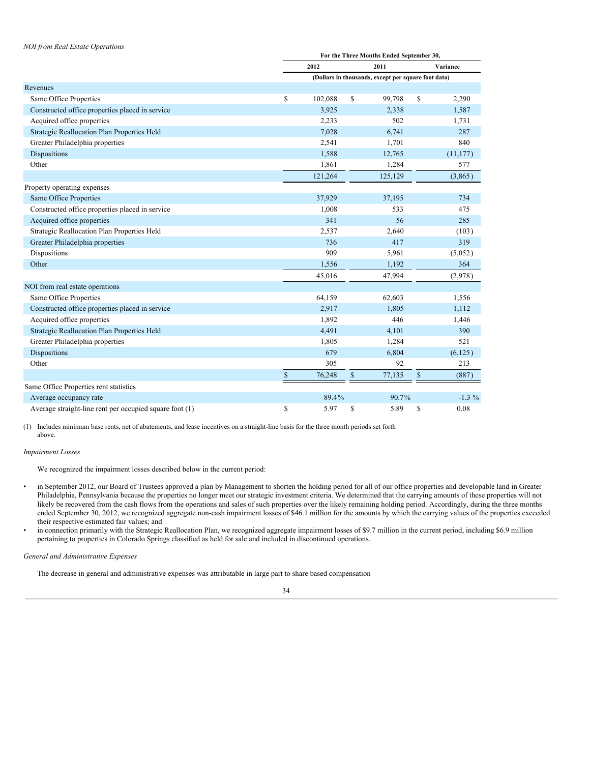# *NOI from Real Estate Operations*

|                                                         | For the Three Months Ended September 30,            |      |          |    |           |  |  |
|---------------------------------------------------------|-----------------------------------------------------|------|----------|----|-----------|--|--|
|                                                         | 2012                                                |      | Variance |    |           |  |  |
|                                                         | (Dollars in thousands, except per square foot data) |      |          |    |           |  |  |
| Revenues                                                |                                                     |      |          |    |           |  |  |
| Same Office Properties                                  | \$<br>102,088                                       | \$   | 99,798   | \$ | 2,290     |  |  |
| Constructed office properties placed in service         | 3,925                                               |      | 2,338    |    | 1,587     |  |  |
| Acquired office properties                              | 2,233                                               |      | 502      |    | 1,731     |  |  |
| Strategic Reallocation Plan Properties Held             | 7,028                                               |      | 6,741    |    | 287       |  |  |
| Greater Philadelphia properties                         | 2,541                                               |      | 1,701    |    | 840       |  |  |
| Dispositions                                            | 1,588                                               |      | 12,765   |    | (11, 177) |  |  |
| Other                                                   | 1,861                                               |      | 1,284    |    | 577       |  |  |
|                                                         | 121,264                                             |      | 125,129  |    | (3,865)   |  |  |
| Property operating expenses                             |                                                     |      |          |    |           |  |  |
| Same Office Properties                                  | 37,929                                              |      | 37,195   |    | 734       |  |  |
| Constructed office properties placed in service         | 1,008                                               |      | 533      |    | 475       |  |  |
| Acquired office properties                              | 341                                                 |      | 56       |    | 285       |  |  |
| Strategic Reallocation Plan Properties Held             | 2,537                                               |      | 2,640    |    | (103)     |  |  |
| Greater Philadelphia properties                         | 736                                                 |      | 417      |    | 319       |  |  |
| Dispositions                                            | 909                                                 |      | 5,961    |    | (5,052)   |  |  |
| Other                                                   | 1,556                                               |      | 1,192    |    | 364       |  |  |
|                                                         | 45,016                                              |      | 47,994   |    | (2,978)   |  |  |
| NOI from real estate operations                         |                                                     |      |          |    |           |  |  |
| Same Office Properties                                  | 64,159                                              |      | 62,603   |    | 1,556     |  |  |
| Constructed office properties placed in service         | 2,917                                               |      | 1,805    |    | 1,112     |  |  |
| Acquired office properties                              | 1,892                                               |      | 446      |    | 1,446     |  |  |
| Strategic Reallocation Plan Properties Held             | 4,491                                               |      | 4,101    |    | 390       |  |  |
| Greater Philadelphia properties                         | 1,805                                               |      | 1,284    |    | 521       |  |  |
| <b>Dispositions</b>                                     | 679                                                 |      | 6,804    |    | (6, 125)  |  |  |
| Other                                                   | 305                                                 |      | 92       |    | 213       |  |  |
|                                                         | \$<br>76,248                                        | $\$$ | 77,135   | \$ | (887)     |  |  |
| Same Office Properties rent statistics                  |                                                     |      |          |    |           |  |  |
| Average occupancy rate                                  | 89.4%                                               |      | 90.7%    |    | $-1.3\%$  |  |  |
| Average straight-line rent per occupied square foot (1) | \$<br>5.97                                          | \$   | 5.89     | \$ | 0.08      |  |  |

(1) Includes minimum base rents, net of abatements, and lease incentives on a straight-line basis for the three month periods set forth above.

#### *Impairment Losses*

We recognized the impairment losses described below in the current period:

- in September 2012, our Board of Trustees approved a plan by Management to shorten the holding period for all of our office properties and developable land in Greater Philadelphia, Pennsylvania because the properties no longer meet our strategic investment criteria. We determined that the carrying amounts of these properties will not likely be recovered from the cash flows from the operations and sales of such properties over the likely remaining holding period. Accordingly, during the three months ended September 30, 2012, we recognized aggregate non-cash impairment losses of \$46.1 million for the amounts by which the carrying values of the properties exceeded their respective estimated fair values; and
- in connection primarily with the Strategic Reallocation Plan, we recognized aggregate impairment losses of \$9.7 million in the current period, including \$6.9 million pertaining to properties in Colorado Springs classified as held for sale and included in discontinued operations.

# *General and Administrative Expenses*

The decrease in general and administrative expenses was attributable in large part to share based compensation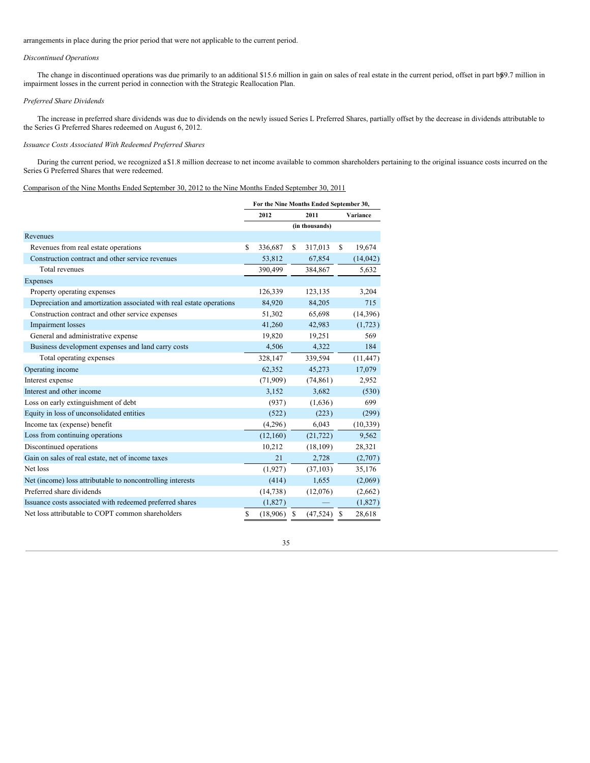# arrangements in place during the prior period that were not applicable to the current period.

# *Discontinued Operations*

The change in discontinued operations was due primarily to an additional \$15.6 million in gain on sales of real estate in the current period, offset in part b\$9.7 million in impairment losses in the current period in connection with the Strategic Reallocation Plan.

# *Preferred Share Dividends*

The increase in preferred share dividends was due to dividends on the newly issued Series L Preferred Shares, partially offset by the decrease in dividends attributable to the Series G Preferred Shares redeemed on August 6, 2012.

#### *Issuance Costs Associated With Redeemed Preferred Shares*

During the current period, we recognized a \$1.8 million decrease to net income available to common shareholders pertaining to the original issuance costs incurred on the Series G Preferred Shares that were redeemed.

### Comparison of the Nine Months Ended September 30, 2012 to the Nine Months Ended September 30, 2011

|                                                                      | For the Nine Months Ended September 30, |           |    |                |    |           |  |
|----------------------------------------------------------------------|-----------------------------------------|-----------|----|----------------|----|-----------|--|
|                                                                      |                                         | Variance  |    |                |    |           |  |
|                                                                      |                                         |           |    | (in thousands) |    |           |  |
| Revenues                                                             |                                         |           |    |                |    |           |  |
| Revenues from real estate operations                                 | S                                       | 336,687   | S  | 317,013        | \$ | 19,674    |  |
| Construction contract and other service revenues                     |                                         | 53,812    |    | 67,854         |    | (14, 042) |  |
| Total revenues                                                       |                                         | 390,499   |    | 384,867        |    | 5,632     |  |
| Expenses                                                             |                                         |           |    |                |    |           |  |
| Property operating expenses                                          |                                         | 126,339   |    | 123,135        |    | 3,204     |  |
| Depreciation and amortization associated with real estate operations |                                         | 84,920    |    | 84,205         |    | 715       |  |
| Construction contract and other service expenses                     |                                         | 51,302    |    | 65,698         |    | (14,396)  |  |
| <b>Impairment</b> losses                                             |                                         | 41,260    |    | 42,983         |    | (1, 723)  |  |
| General and administrative expense                                   |                                         | 19,820    |    | 19,251         |    | 569       |  |
| Business development expenses and land carry costs                   |                                         | 4,506     |    | 4,322          |    | 184       |  |
| Total operating expenses                                             |                                         | 328,147   |    | 339,594        |    | (11, 447) |  |
| Operating income                                                     |                                         | 62,352    |    | 45,273         |    | 17,079    |  |
| Interest expense                                                     |                                         | (71,909)  |    | (74, 861)      |    | 2,952     |  |
| Interest and other income                                            |                                         | 3,152     |    | 3,682          |    | (530)     |  |
| Loss on early extinguishment of debt                                 |                                         | (937)     |    | (1,636)        |    | 699       |  |
| Equity in loss of unconsolidated entities                            |                                         | (522)     |    | (223)          |    | (299)     |  |
| Income tax (expense) benefit                                         |                                         | (4,296)   |    | 6,043          |    | (10, 339) |  |
| Loss from continuing operations                                      |                                         | (12,160)  |    | (21, 722)      |    | 9,562     |  |
| Discontinued operations                                              |                                         | 10,212    |    | (18, 109)      |    | 28,321    |  |
| Gain on sales of real estate, net of income taxes                    |                                         | 21        |    | 2,728          |    | (2,707)   |  |
| Net loss                                                             |                                         | (1,927)   |    | (37, 103)      |    | 35,176    |  |
| Net (income) loss attributable to noncontrolling interests           |                                         | (414)     |    | 1,655          |    | (2,069)   |  |
| Preferred share dividends                                            |                                         | (14, 738) |    | (12,076)       |    | (2,662)   |  |
| Issuance costs associated with redeemed preferred shares             |                                         | (1,827)   |    |                |    | (1,827)   |  |
| Net loss attributable to COPT common shareholders                    | \$                                      | (18,906)  | \$ | (47, 524)      | \$ | 28,618    |  |

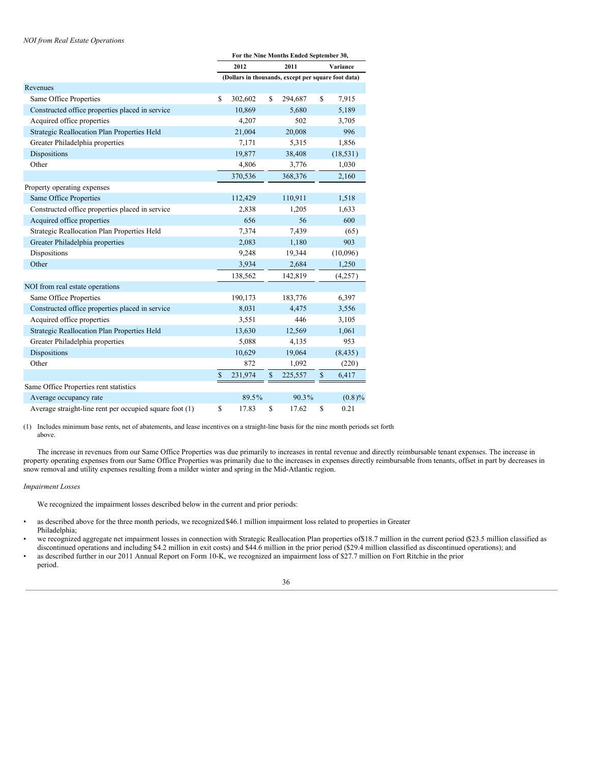# *NOI from Real Estate Operations*

|                                                         | For the Nine Months Ended September 30,             |         |    |         |    |           |  |  |  |
|---------------------------------------------------------|-----------------------------------------------------|---------|----|---------|----|-----------|--|--|--|
|                                                         | 2012<br>2011<br>Variance                            |         |    |         |    |           |  |  |  |
|                                                         | (Dollars in thousands, except per square foot data) |         |    |         |    |           |  |  |  |
| Revenues                                                |                                                     |         |    |         |    |           |  |  |  |
| Same Office Properties                                  | S                                                   | 302,602 | \$ | 294,687 | \$ | 7,915     |  |  |  |
| Constructed office properties placed in service         |                                                     | 10,869  |    | 5,680   |    | 5,189     |  |  |  |
| Acquired office properties                              |                                                     | 4,207   |    | 502     |    | 3,705     |  |  |  |
| Strategic Reallocation Plan Properties Held             |                                                     | 21,004  |    | 20,008  |    | 996       |  |  |  |
| Greater Philadelphia properties                         |                                                     | 7,171   |    | 5,315   |    | 1,856     |  |  |  |
| <b>Dispositions</b>                                     |                                                     | 19,877  |    | 38,408  |    | (18, 531) |  |  |  |
| Other                                                   |                                                     | 4,806   |    | 3,776   |    | 1,030     |  |  |  |
|                                                         |                                                     | 370,536 |    | 368,376 |    | 2,160     |  |  |  |
| Property operating expenses                             |                                                     |         |    |         |    |           |  |  |  |
| Same Office Properties                                  |                                                     | 112,429 |    | 110,911 |    | 1,518     |  |  |  |
| Constructed office properties placed in service         |                                                     | 2,838   |    | 1,205   |    | 1,633     |  |  |  |
| Acquired office properties                              |                                                     | 656     |    | 56      |    | 600       |  |  |  |
| Strategic Reallocation Plan Properties Held             |                                                     | 7,374   |    | 7,439   |    | (65)      |  |  |  |
| Greater Philadelphia properties                         |                                                     | 2,083   |    | 1,180   |    | 903       |  |  |  |
| Dispositions                                            |                                                     | 9,248   |    | 19,344  |    | (10,096)  |  |  |  |
| Other                                                   |                                                     | 3,934   |    | 2,684   |    | 1,250     |  |  |  |
|                                                         |                                                     | 138,562 |    | 142,819 |    | (4,257)   |  |  |  |
| NOI from real estate operations                         |                                                     |         |    |         |    |           |  |  |  |
| Same Office Properties                                  |                                                     | 190,173 |    | 183,776 |    | 6,397     |  |  |  |
| Constructed office properties placed in service         |                                                     | 8,031   |    | 4,475   |    | 3,556     |  |  |  |
| Acquired office properties                              |                                                     | 3,551   |    | 446     |    | 3,105     |  |  |  |
| Strategic Reallocation Plan Properties Held             |                                                     | 13,630  |    | 12,569  |    | 1,061     |  |  |  |
| Greater Philadelphia properties                         |                                                     | 5,088   |    | 4,135   |    | 953       |  |  |  |
| Dispositions                                            |                                                     | 10,629  |    | 19,064  |    | (8, 435)  |  |  |  |
| Other                                                   |                                                     | 872     |    | 1,092   |    | (220)     |  |  |  |
|                                                         | $\mathbb{S}$                                        | 231,974 | \$ | 225,557 | \$ | 6,417     |  |  |  |
| Same Office Properties rent statistics                  |                                                     |         |    |         |    |           |  |  |  |
| Average occupancy rate                                  |                                                     | 89.5%   |    | 90.3%   |    | $(0.8)\%$ |  |  |  |
| Average straight-line rent per occupied square foot (1) | \$                                                  | 17.83   | \$ | 17.62   | \$ | 0.21      |  |  |  |

(1) Includes minimum base rents, net of abatements, and lease incentives on a straight-line basis for the nine month periods set forth above.

The increase in revenues from our Same Office Properties was due primarily to increases in rental revenue and directly reimbursable tenant expenses. The increase in property operating expenses from our Same Office Properties was primarily due to the increases in expenses directly reimbursable from tenants, offset in part by decreases in snow removal and utility expenses resulting from a milder winter and spring in the Mid-Atlantic region.

#### *Impairment Losses*

We recognized the impairment losses described below in the current and prior periods:

- as described above for the three month periods, we recognized \$46.1 million impairment loss related to properties in Greater Philadelphia;
- we recognized aggregate net impairment losses in connection with Strategic Reallocation Plan properties of\$18.7 million in the current period (\$23.5 million classified as discontinued operations and including \$4.2 million in exit costs) and \$44.6 million in the prior period (\$29.4 million classified as discontinued operations); and
- as described further in our 2011 Annual Report on Form 10-K, we recognized an impairment loss of \$27.7 million on Fort Ritchie in the prior period.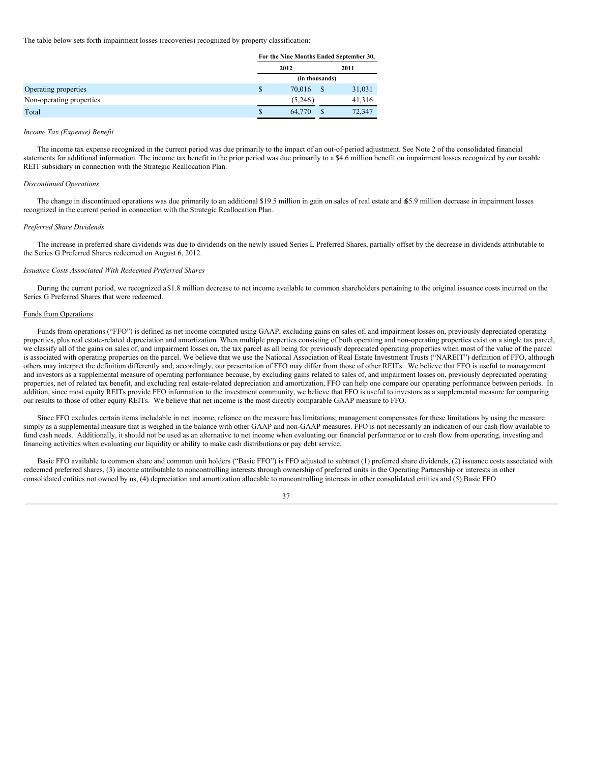The table below sets forth impairment losses (recoveries) recognized by property classification:

|                          | For the Nine Months Ended September 30, |                |  |        |  |  |
|--------------------------|-----------------------------------------|----------------|--|--------|--|--|
|                          |                                         | 2012           |  | 2011   |  |  |
|                          |                                         | (in thousands) |  |        |  |  |
| Operating properties     | \$                                      | 70.016         |  | 31,031 |  |  |
| Non-operating properties |                                         | (5.246)        |  | 41.316 |  |  |
| Total                    | \$                                      | 64,770         |  | 72,347 |  |  |

#### *Income Tax (Expense) Benefit*

The income tax expense recognized in the current period was due primarily to the impact of an out-of-period adjustment. See Note 2 of the consolidated financial statements for additional information. The income tax benefit in the prior period was due primarily to a \$4.6 million benefit on impairment losses recognized by our taxable REIT subsidiary in connection with the Strategic Reallocation Plan.

#### *Discontinued Operations*

The change in discontinued operations was due primarily to an additional \$19.5 million in gain on sales of real estate and \$5.9 million decrease in impairment losses recognized in the current period in connection with the Strategic Reallocation Plan.

#### *Preferred Share Dividends*

The increase in preferred share dividends was due to dividends on the newly issued Series L Preferred Shares, partially offset by the decrease in dividends attributable to the Series G Preferred Shares redeemed on August 6, 2012.

# *Issuance Costs Associated With Redeemed Preferred Shares*

During the current period, we recognized a \$1.8 million decrease to net income available to common shareholders pertaining to the original issuance costs incurred on the Series G Preferred Shares that were redeemed.

#### Funds from Operations

Funds from operations ("FFO") is defined as net income computed using GAAP, excluding gains on sales of, and impairment losses on, previously depreciated operating properties, plus real estate-related depreciation and amortization. When multiple properties consisting of both operating and non-operating properties exist on a single tax parcel, we classify all of the gains on sales of, and impairment losses on, the tax parcel as all being for previously depreciated operating properties when most of the value of the parcel is associated with operating properties on the parcel. We believe that we use the National Association of Real Estate Investment Trusts ("NAREIT") definition of FFO, although others may interpret the definition differently and, accordingly, our presentation of FFO may differ from those of other REITs. We believe that FFO is useful to management and investors as a supplemental measure of operating performance because, by excluding gains related to sales of, and impairment losses on, previously depreciated operating properties, net of related tax benefit, and excluding real estate-related depreciation and amortization, FFO can help one compare our operating performance between periods. In addition, since most equity REITs provide FFO information to the investment community, we believe that FFO is useful to investors as a supplemental measure for comparing our results to those of other equity REITs. We believe that net income is the most directly comparable GAAP measure to FFO.

Since FFO excludes certain items includable in net income, reliance on the measure has limitations; management compensates for these limitations by using the measure simply as a supplemental measure that is weighed in the balance with other GAAP and non-GAAP measures. FFO is not necessarily an indication of our cash flow available to fund cash needs. Additionally, it should not be used as an alternative to net income when evaluating our financial performance or to cash flow from operating, investing and financing activities when evaluating our liquidity or ability to make cash distributions or pay debt service.

Basic FFO available to common share and common unit holders ("Basic FFO") is FFO adjusted to subtract (1) preferred share dividends, (2) issuance costs associated with redeemed preferred shares, (3) income attributable to noncontrolling interests through ownership of preferred units in the Operating Partnership or interests in other consolidated entities not owned by us, (4) depreciation and amortization allocable to noncontrolling interests in other consolidated entities and (5) Basic FFO

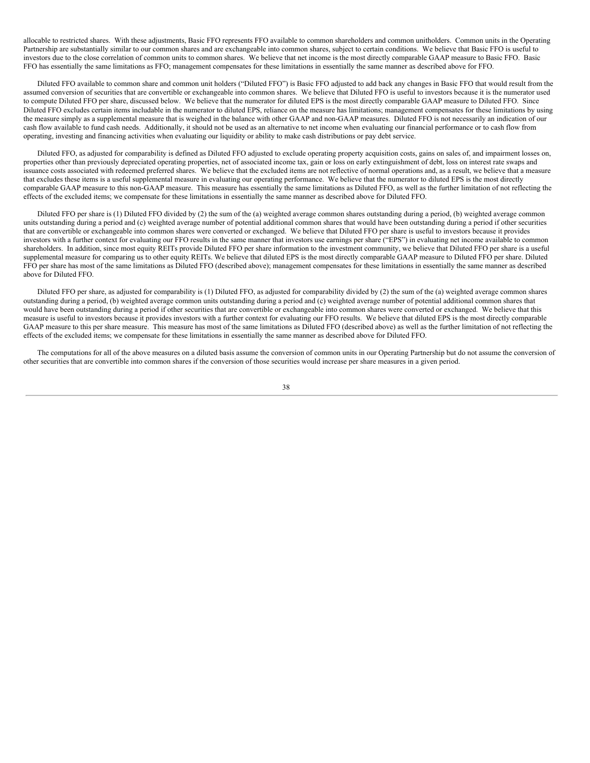allocable to restricted shares. With these adjustments, Basic FFO represents FFO available to common shareholders and common unitholders. Common units in the Operating Partnership are substantially similar to our common shares and are exchangeable into common shares, subject to certain conditions. We believe that Basic FFO is useful to investors due to the close correlation of common units to common shares. We believe that net income is the most directly comparable GAAP measure to Basic FFO. Basic FFO has essentially the same limitations as FFO; management compensates for these limitations in essentially the same manner as described above for FFO.

Diluted FFO available to common share and common unit holders ("Diluted FFO") is Basic FFO adjusted to add back any changes in Basic FFO that would result from the assumed conversion of securities that are convertible or exchangeable into common shares. We believe that Diluted FFO is useful to investors because it is the numerator used to compute Diluted FFO per share, discussed below. We believe that the numerator for diluted EPS is the most directly comparable GAAP measure to Diluted FFO. Since Diluted FFO excludes certain items includable in the numerator to diluted EPS, reliance on the measure has limitations; management compensates for these limitations by using the measure simply as a supplemental measure that is weighed in the balance with other GAAP and non-GAAP measures. Diluted FFO is not necessarily an indication of our cash flow available to fund cash needs. Additionally, it should not be used as an alternative to net income when evaluating our financial performance or to cash flow from operating, investing and financing activities when evaluating our liquidity or ability to make cash distributions or pay debt service.

Diluted FFO, as adjusted for comparability is defined as Diluted FFO adjusted to exclude operating property acquisition costs, gains on sales of, and impairment losses on, properties other than previously depreciated operating properties, net of associated income tax, gain or loss on early extinguishment of debt, loss on interest rate swaps and issuance costs associated with redeemed preferred shares. We believe that the excluded items are not reflective of normal operations and, as a result, we believe that a measure that excludes these items is a useful supplemental measure in evaluating our operating performance. We believe that the numerator to diluted EPS is the most directly comparable GAAP measure to this non-GAAP measure. This measure has essentially the same limitations as Diluted FFO, as well as the further limitation of not reflecting the effects of the excluded items; we compensate for these limitations in essentially the same manner as described above for Diluted FFO.

Diluted FFO per share is (1) Diluted FFO divided by (2) the sum of the (a) weighted average common shares outstanding during a period, (b) weighted average common units outstanding during a period and (c) weighted average number of potential additional common shares that would have been outstanding during a period if other securities that are convertible or exchangeable into common shares were converted or exchanged. We believe that Diluted FFO per share is useful to investors because it provides investors with a further context for evaluating our FFO results in the same manner that investors use earnings per share ("EPS") in evaluating net income available to common shareholders. In addition, since most equity REITs provide Diluted FFO per share information to the investment community, we believe that Diluted FFO per share is a useful supplemental measure for comparing us to other equity REITs. We believe that diluted EPS is the most directly comparable GAAP measure to Diluted FFO per share. Diluted FFO per share has most of the same limitations as Diluted FFO (described above); management compensates for these limitations in essentially the same manner as described above for Diluted FFO.

Diluted FFO per share, as adjusted for comparability is (1) Diluted FFO, as adjusted for comparability divided by (2) the sum of the (a) weighted average common shares outstanding during a period, (b) weighted average common units outstanding during a period and (c) weighted average number of potential additional common shares that would have been outstanding during a period if other securities that are convertible or exchangeable into common shares were converted or exchanged. We believe that this measure is useful to investors because it provides investors with a further context for evaluating our FFO results. We believe that diluted EPS is the most directly comparable GAAP measure to this per share measure. This measure has most of the same limitations as Diluted FFO (described above) as well as the further limitation of not reflecting the effects of the excluded items; we compensate for these limitations in essentially the same manner as described above for Diluted FFO.

The computations for all of the above measures on a diluted basis assume the conversion of common units in our Operating Partnership but do not assume the conversion of other securities that are convertible into common shares if the conversion of those securities would increase per share measures in a given period.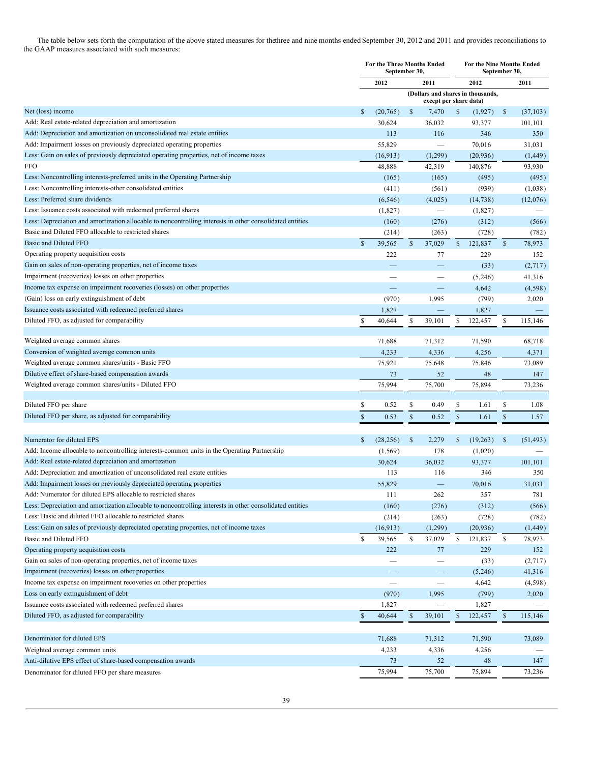The table below sets forth the computation of the above stated measures for thethree and nine months ended September 30, 2012 and 2011 and provides reconciliations to the GAAP measures associated with such measures:

|                                                                                                          | For the Three Months Ended<br>September 30, |           |              |                        | <b>For the Nine Months Ended</b><br>September 30, |                                   |              |           |
|----------------------------------------------------------------------------------------------------------|---------------------------------------------|-----------|--------------|------------------------|---------------------------------------------------|-----------------------------------|--------------|-----------|
|                                                                                                          |                                             | 2012      |              | 2011                   |                                                   | 2012                              |              | 2011      |
|                                                                                                          |                                             |           |              | except per share data) |                                                   | (Dollars and shares in thousands, |              |           |
| Net (loss) income                                                                                        | \$                                          | (20,765)  | \$           | 7,470                  | \$                                                | (1, 927)                          | -\$          | (37, 103) |
| Add: Real estate-related depreciation and amortization                                                   |                                             | 30,624    |              | 36,032                 |                                                   | 93,377                            |              | 101,101   |
| Add: Depreciation and amortization on unconsolidated real estate entities                                |                                             | 113       |              | 116                    |                                                   | 346                               |              | 350       |
| Add: Impairment losses on previously depreciated operating properties                                    |                                             | 55,829    |              |                        |                                                   | 70,016                            |              | 31,031    |
| Less: Gain on sales of previously depreciated operating properties, net of income taxes                  |                                             | (16,913)  |              | (1,299)                |                                                   | (20, 936)                         |              | (1, 449)  |
| <b>FFO</b>                                                                                               |                                             | 48,888    |              | 42,319                 |                                                   | 140,876                           |              | 93,930    |
| Less: Noncontrolling interests-preferred units in the Operating Partnership                              |                                             | (165)     |              | (165)                  |                                                   | (495)                             |              | (495)     |
| Less: Noncontrolling interests-other consolidated entities                                               |                                             | (411)     |              | (561)                  |                                                   | (939)                             |              | (1,038)   |
| Less: Preferred share dividends                                                                          |                                             | (6, 546)  |              | (4,025)                |                                                   | (14, 738)                         |              | (12,076)  |
| Less: Issuance costs associated with redeemed preferred shares                                           |                                             | (1,827)   |              |                        |                                                   | (1,827)                           |              |           |
| Less: Depreciation and amortization allocable to noncontrolling interests in other consolidated entities |                                             | (160)     |              | (276)                  |                                                   | (312)                             |              | (566)     |
| Basic and Diluted FFO allocable to restricted shares                                                     |                                             | (214)     |              | (263)                  |                                                   | (728)                             |              | (782)     |
| Basic and Diluted FFO                                                                                    | \$                                          | 39,565    | $\mathbb{S}$ | 37,029                 | $\mathbb{S}$                                      | 121,837                           | $\mathbb{S}$ | 78,973    |
| Operating property acquisition costs                                                                     |                                             | 222       |              | 77                     |                                                   | 229                               |              | 152       |
| Gain on sales of non-operating properties, net of income taxes                                           |                                             |           |              |                        |                                                   | (33)                              |              | (2,717)   |
| Impairment (recoveries) losses on other properties                                                       |                                             |           |              |                        |                                                   | (5,246)                           |              | 41,316    |
| Income tax expense on impairment recoveries (losses) on other properties                                 |                                             |           |              |                        |                                                   | 4,642                             |              | (4,598)   |
| (Gain) loss on early extinguishment of debt                                                              |                                             | (970)     |              | 1,995                  |                                                   | (799)                             |              | 2,020     |
| Issuance costs associated with redeemed preferred shares                                                 |                                             | 1,827     |              |                        |                                                   | 1,827                             |              |           |
| Diluted FFO, as adjusted for comparability                                                               | \$                                          | 40,644    | S            | 39,101                 | \$                                                | 122,457                           | \$           | 115,146   |
|                                                                                                          |                                             |           |              |                        |                                                   |                                   |              |           |
| Weighted average common shares                                                                           |                                             | 71,688    |              | 71,312                 |                                                   | 71,590                            |              | 68,718    |
| Conversion of weighted average common units                                                              |                                             | 4,233     |              | 4,336                  |                                                   | 4,256                             |              | 4,371     |
| Weighted average common shares/units - Basic FFO                                                         |                                             | 75,921    |              | 75,648                 |                                                   | 75,846                            |              | 73,089    |
| Dilutive effect of share-based compensation awards                                                       |                                             | 73        |              | 52                     |                                                   | 48                                |              | 147       |
| Weighted average common shares/units - Diluted FFO                                                       |                                             | 75,994    |              | 75,700                 |                                                   | 75,894                            |              | 73,236    |
|                                                                                                          |                                             |           |              |                        |                                                   |                                   |              |           |
| Diluted FFO per share                                                                                    | \$                                          | 0.52      | \$           | 0.49                   | \$                                                | 1.61                              | \$           | 1.08      |
| Diluted FFO per share, as adjusted for comparability                                                     | \$                                          | 0.53      | \$           | 0.52                   | $\mathbb{S}$                                      | 1.61                              | \$           | 1.57      |
|                                                                                                          |                                             |           |              |                        |                                                   |                                   |              |           |
| Numerator for diluted EPS                                                                                | \$                                          | (28, 256) | \$           | 2,279                  | \$                                                | (19,263)                          | $\mathbb{S}$ | (51, 493) |
| Add: Income allocable to noncontrolling interests-common units in the Operating Partnership              |                                             | (1, 569)  |              | 178                    |                                                   | (1,020)                           |              |           |
| Add: Real estate-related depreciation and amortization                                                   |                                             | 30,624    |              | 36,032                 |                                                   | 93,377                            |              | 101,101   |
| Add: Depreciation and amortization of unconsolidated real estate entities                                |                                             | 113       |              | 116                    |                                                   | 346                               |              | 350       |
| Add: Impairment losses on previously depreciated operating properties                                    |                                             | 55,829    |              |                        |                                                   | 70,016                            |              | 31,031    |
| Add: Numerator for diluted EPS allocable to restricted shares                                            |                                             | 111       |              | 262                    |                                                   | 357                               |              | 781       |
| Less: Depreciation and amortization allocable to noncontrolling interests in other consolidated entities |                                             | (160)     |              | (276)                  |                                                   | (312)                             |              | (566)     |
| Less: Basic and diluted FFO allocable to restricted shares                                               |                                             | (214)     |              | (263)                  |                                                   | (728)                             |              | (782)     |
| Less: Gain on sales of previously depreciated operating properties, net of income taxes                  |                                             | (16,913)  |              | (1,299)                |                                                   | (20, 936)                         |              | (1, 449)  |
| Basic and Diluted FFO                                                                                    | \$                                          | 39,565    | $\mathbb S$  | 37,029                 | \$                                                | 121,837                           | $\mathbb{S}$ | 78,973    |
| Operating property acquisition costs                                                                     |                                             | 222       |              | 77                     |                                                   | 229                               |              | 152       |
| Gain on sales of non-operating properties, net of income taxes                                           |                                             |           |              |                        |                                                   | (33)                              |              | (2,717)   |
| Impairment (recoveries) losses on other properties                                                       |                                             |           |              |                        |                                                   | (5,246)                           |              | 41,316    |
| Income tax expense on impairment recoveries on other properties                                          |                                             |           |              |                        |                                                   | 4,642                             |              | (4,598)   |
| Loss on early extinguishment of debt                                                                     |                                             | (970)     |              | 1,995                  |                                                   | (799)                             |              | 2,020     |
| Issuance costs associated with redeemed preferred shares                                                 |                                             | 1,827     |              |                        |                                                   | 1,827                             |              |           |
| Diluted FFO, as adjusted for comparability                                                               | $\mathbb{S}$                                | 40,644    | $\mathbb{S}$ | 39,101                 | $\mathbb{S}$                                      | 122,457                           | $\mathbb{S}$ | 115,146   |
|                                                                                                          |                                             |           |              |                        |                                                   |                                   |              |           |
| Denominator for diluted EPS                                                                              |                                             | 71,688    |              | 71,312                 |                                                   | 71,590                            |              | 73,089    |
| Weighted average common units                                                                            |                                             | 4,233     |              | 4,336                  |                                                   | 4,256                             |              |           |
| Anti-dilutive EPS effect of share-based compensation awards                                              |                                             | 73        |              | 52                     |                                                   | 48                                |              | 147       |
| Denominator for diluted FFO per share measures                                                           |                                             | 75,994    |              | 75,700                 |                                                   | 75,894                            |              | 73,236    |
|                                                                                                          |                                             |           |              |                        |                                                   |                                   |              |           |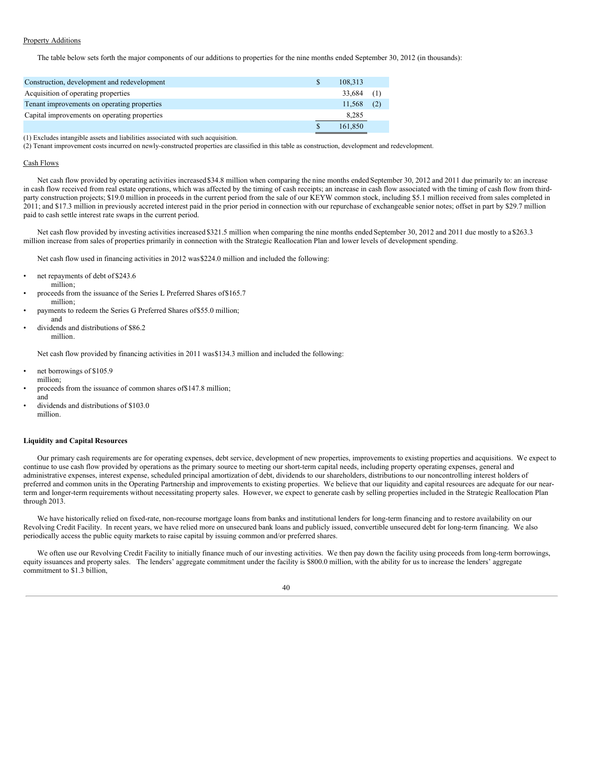# Property Additions

The table below sets forth the major components of our additions to properties for the nine months ended September 30, 2012 (in thousands):

| Construction, development and redevelopment  | S | 108.313 |       |
|----------------------------------------------|---|---------|-------|
| Acquisition of operating properties          |   | 33.684  | - (1) |
| Tenant improvements on operating properties  |   | 11.568  | (2)   |
| Capital improvements on operating properties |   | 8,285   |       |
|                                              |   | 161.850 |       |

(1) Excludes intangible assets and liabilities associated with such acquisition.

(2) Tenant improvement costs incurred on newly-constructed properties are classified in this table as construction, development and redevelopment.

# Cash Flows

Net cash flow provided by operating activities increased \$34.8 million when comparing the nine months ended September 30, 2012 and 2011 due primarily to: an increase in cash flow received from real estate operations, which was affected by the timing of cash receipts; an increase in cash flow associated with the timing of cash flow from thirdparty construction projects; \$19.0 million in proceeds in the current period from the sale of our KEYW common stock, including \$5.1 million received from sales completed in 2011; and \$17.3 million in previously accreted interest paid in the prior period in connection with our repurchase of exchangeable senior notes; offset in part by \$29.7 million paid to cash settle interest rate swaps in the current period.

Net cash flow provided by investing activities increased \$321.5 million when comparing the nine months ended September 30, 2012 and 2011 due mostly to a \$263.3 million increase from sales of properties primarily in connection with the Strategic Reallocation Plan and lower levels of development spending.

Net cash flow used in financing activities in 2012 was\$224.0 million and included the following:

- net repayments of debt of \$243.6
- million;
- proceeds from the issuance of the Series L Preferred Shares of\$165.7 million;
- payments to redeem the Series G Preferred Shares of \$55.0 million;
- and
- dividends and distributions of \$86.2 million.

Net cash flow provided by financing activities in 2011 was\$134.3 million and included the following:

- net borrowings of \$105.9 million;
- proceeds from the issuance of common shares of \$147.8 million;
- and • dividends and distributions of \$103.0 million.

### **Liquidity and Capital Resources**

Our primary cash requirements are for operating expenses, debt service, development of new properties, improvements to existing properties and acquisitions. We expect to continue to use cash flow provided by operations as the primary source to meeting our short-term capital needs, including property operating expenses, general and administrative expenses, interest expense, scheduled principal amortization of debt, dividends to our shareholders, distributions to our noncontrolling interest holders of preferred and common units in the Operating Partnership and improvements to existing properties. We believe that our liquidity and capital resources are adequate for our nearterm and longer-term requirements without necessitating property sales. However, we expect to generate cash by selling properties included in the Strategic Reallocation Plan through 2013.

We have historically relied on fixed-rate, non-recourse mortgage loans from banks and institutional lenders for long-term financing and to restore availability on our Revolving Credit Facility. In recent years, we have relied more on unsecured bank loans and publicly issued, convertible unsecured debt for long-term financing. We also periodically access the public equity markets to raise capital by issuing common and/or preferred shares.

We often use our Revolving Credit Facility to initially finance much of our investing activities. We then pay down the facility using proceeds from long-term borrowings, equity issuances and property sales. The lenders' aggregate commitment under the facility is \$800.0 million, with the ability for us to increase the lenders' aggregate commitment to \$1.3 billion,

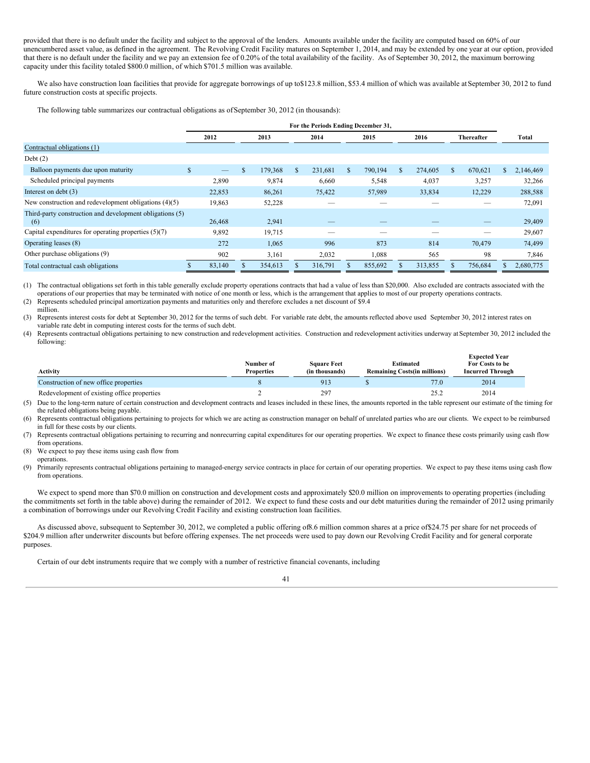provided that there is no default under the facility and subject to the approval of the lenders. Amounts available under the facility are computed based on 60% of our unencumbered asset value, as defined in the agreement. The Revolving Credit Facility matures on September 1, 2014, and may be extended by one year at our option, provided that there is no default under the facility and we pay an extension fee of 0.20% of the total availability of the facility. As of September 30, 2012, the maximum borrowing capacity under this facility totaled \$800.0 million, of which \$701.5 million was available.

We also have construction loan facilities that provide for aggregate borrowings of up to \$123.8 million, \$53.4 million of which was available at September 30, 2012 to fund future construction costs at specific projects.

The following table summarizes our contractual obligations as ofSeptember 30, 2012 (in thousands):

|                                                                 | For the Periods Ending December 31, |                   |             |         |    |         |              |         |      |         |            |         |       |           |
|-----------------------------------------------------------------|-------------------------------------|-------------------|-------------|---------|----|---------|--------------|---------|------|---------|------------|---------|-------|-----------|
|                                                                 |                                     | 2012              |             | 2013    |    | 2014    | 2015         |         | 2016 |         | Thereafter |         | Total |           |
| Contractual obligations (1)                                     |                                     |                   |             |         |    |         |              |         |      |         |            |         |       |           |
| Debt $(2)$                                                      |                                     |                   |             |         |    |         |              |         |      |         |            |         |       |           |
| Balloon payments due upon maturity                              | $\mathbf{\hat{s}}$                  | $\qquad \qquad -$ | $\mathbf S$ | 179,368 | \$ | 231,681 | $\mathbb{S}$ | 790,194 | \$   | 274,605 | \$.        | 670,621 | \$    | 2,146,469 |
| Scheduled principal payments                                    |                                     | 2,890             |             | 9,874   |    | 6,660   |              | 5,548   |      | 4,037   |            | 3,257   |       | 32,266    |
| Interest on debt $(3)$                                          |                                     | 22,853            |             | 86,261  |    | 75,422  |              | 57,989  |      | 33,834  |            | 12,229  |       | 288,588   |
| New construction and redevelopment obligations $(4)(5)$         |                                     | 19,863            |             | 52,228  |    |         |              |         |      |         |            |         |       | 72,091    |
| Third-party construction and development obligations (5)<br>(6) |                                     | 26,468            |             | 2,941   |    |         |              |         |      |         |            |         |       | 29,409    |
| Capital expenditures for operating properties $(5)(7)$          |                                     | 9,892             |             | 19,715  |    |         |              |         |      |         |            | __      |       | 29,607    |
| Operating leases (8)                                            |                                     | 272               |             | 1,065   |    | 996     |              | 873     |      | 814     |            | 70,479  |       | 74,499    |
| Other purchase obligations (9)                                  |                                     | 902               |             | 3,161   |    | 2,032   |              | 1,088   |      | 565     |            | 98      |       | 7,846     |
| Total contractual cash obligations                              |                                     | 83,140            |             | 354,613 |    | 316,791 |              | 855,692 |      | 313,855 |            | 756,684 |       | 2,680,775 |

(1) The contractual obligations set forth in this table generally exclude property operations contracts that had a value of less than \$20,000. Also excluded are contracts associated with the operations of our properties that may be terminated with notice of one month or less, which is the arrangement that applies to most of our property operations contracts.

(2) Represents scheduled principal amortization payments and maturities only and therefore excludes a net discount of \$9.4 million.

(3) Represents interest costs for debt at September 30, 2012 for the terms of such debt. For variable rate debt, the amounts reflected above used September 30, 2012 interest rates on variable rate debt in computing interest costs for the terms of such debt.

(4) Represents contractual obligations pertaining to new construction and redevelopment activities. Construction and redevelopment activities underway atSeptember 30, 2012 included the following:

| <b>Activity</b>                             | Number of<br><b>Properties</b> | <b>Square Feet</b><br>(in thousands) | Estimated<br><b>Remaining Costs(in millions)</b> | <b>Expected Year</b><br>For Costs to be<br><b>Incurred Through</b> |  |  |
|---------------------------------------------|--------------------------------|--------------------------------------|--------------------------------------------------|--------------------------------------------------------------------|--|--|
| Construction of new office properties       |                                | 913                                  | 77.0                                             | 2014                                                               |  |  |
| Redevelopment of existing office properties |                                | 297                                  | 25.2<br>ے ۔ ب                                    | 2014                                                               |  |  |

(5) Due to the long-term nature of certain construction and development contracts and leases included in these lines, the amounts reported in the table represent our estimate of the timing for the related obligations being payable.

(6) Represents contractual obligations pertaining to projects for which we are acting as construction manager on behalf of unrelated parties who are our clients. We expect to be reimbursed in full for these costs by our clients.

(7) Represents contractual obligations pertaining to recurring and nonrecurring capital expenditures for our operating properties. We expect to finance these costs primarily using cash flow from operations.

(8) We expect to pay these items using cash flow from operations.

(9) Primarily represents contractual obligations pertaining to managed-energy service contracts in place for certain of our operating properties. We expect to pay these items using cash flow from operations.

We expect to spend more than \$70.0 million on construction and development costs and approximately \$20.0 million on improvements to operating properties (including the commitments set forth in the table above) during the remainder of 2012. We expect to fund these costs and our debt maturities during the remainder of 2012 using primarily a combination of borrowings under our Revolving Credit Facility and existing construction loan facilities.

As discussed above, subsequent to September 30, 2012, we completed a public offering of8.6 million common shares at a price of \$24.75 per share for net proceeds of \$204.9 million after underwriter discounts but before offering expenses. The net proceeds were used to pay down our Revolving Credit Facility and for general corporate purposes.

Certain of our debt instruments require that we comply with a number of restrictive financial covenants, including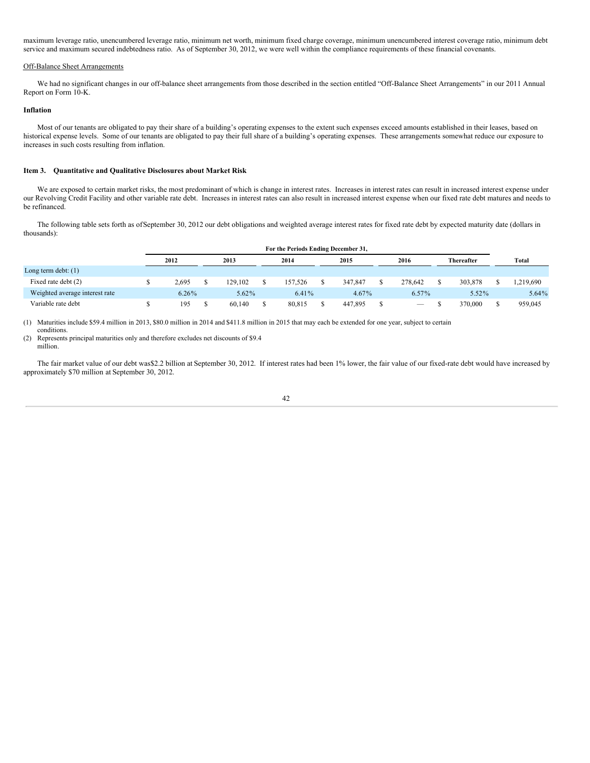maximum leverage ratio, unencumbered leverage ratio, minimum net worth, minimum fixed charge coverage, minimum unencumbered interest coverage ratio, minimum debt service and maximum secured indebtedness ratio. As of September 30, 2012, we were well within the compliance requirements of these financial covenants.

### Off-Balance Sheet Arrangements

We had no significant changes in our off-balance sheet arrangements from those described in the section entitled "Off-Balance Sheet Arrangements" in our 2011 Annual Report on Form 10-K.

#### **Inflation**

Most of our tenants are obligated to pay their share of a building's operating expenses to the extent such expenses exceed amounts established in their leases, based on historical expense levels. Some of our tenants are obligated to pay their full share of a building's operating expenses. These arrangements somewhat reduce our exposure to increases in such costs resulting from inflation.

#### <span id="page-41-0"></span>**Item 3. Quantitative and Qualitative Disclosures about Market Risk**

We are exposed to certain market risks, the most predominant of which is change in interest rates. Increases in interest rates can result in increased interest expense under our Revolving Credit Facility and other variable rate debt. Increases in interest rates can also result in increased interest expense when our fixed rate debt matures and needs to be refinanced.

The following table sets forth as ofSeptember 30, 2012 our debt obligations and weighted average interest rates for fixed rate debt by expected maturity date (dollars in thousands):

|                                | For the Periods Ending December 31, |  |          |  |          |  |         |  |         |                   |          |
|--------------------------------|-------------------------------------|--|----------|--|----------|--|---------|--|---------|-------------------|----------|
|                                | 2012                                |  | 2013     |  | 2014     |  | 2015    |  | 2016    | <b>Thereafter</b> | Total    |
| Long term debt: $(1)$          |                                     |  |          |  |          |  |         |  |         |                   |          |
| Fixed rate debt (2)            | 2.695                               |  | 129.102  |  | 157.526  |  | 347,847 |  | 278,642 | 303,878           | ,219,690 |
| Weighted average interest rate | $6.26\%$                            |  | $5.62\%$ |  | $6.41\%$ |  | 4.67%   |  | 6.57%   | 5.52%             | $5.64\%$ |
| Variable rate debt             | 195                                 |  | 60.140   |  | 80.815   |  | 447,895 |  |         | 370,000           | 959,045  |

(1) Maturities include \$59.4 million in 2013, \$80.0 million in 2014 and \$411.8 million in 2015 that may each be extended for one year, subject to certain conditions.

(2) Represents principal maturities only and therefore excludes net discounts of \$9.4 million.

The fair market value of our debt was\$2.2 billion at September 30, 2012. If interest rates had been 1% lower, the fair value of our fixed-rate debt would have increased by approximately \$70 million at September 30, 2012.

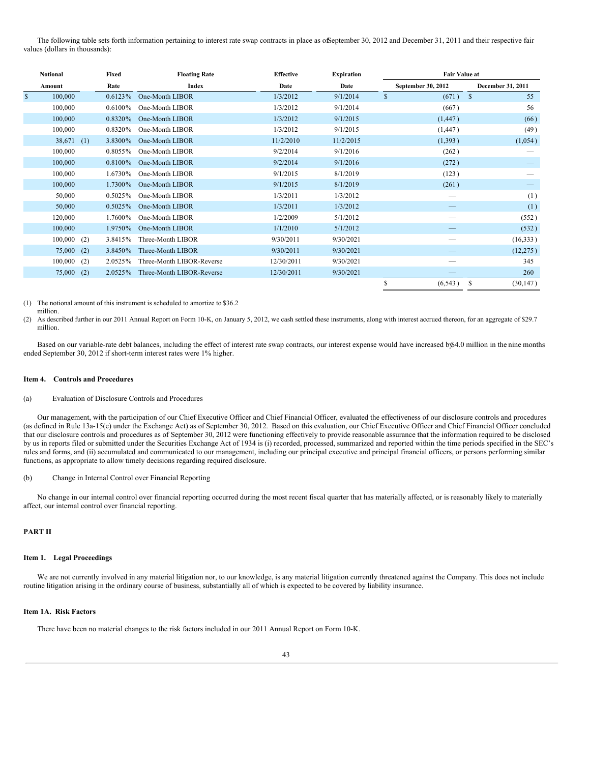The following table sets forth information pertaining to interest rate swap contracts in place as ofSeptember 30, 2012 and December 31, 2011 and their respective fair values (dollars in thousands):

| <b>Notional</b> |                | Fixed      | <b>Floating Rate</b>      | <b>Effective</b> | <b>Expiration</b> |    | Fair Value at      |   |                   |  |  |  |  |
|-----------------|----------------|------------|---------------------------|------------------|-------------------|----|--------------------|---|-------------------|--|--|--|--|
|                 | Amount         | Rate       | Index                     | Date             | Date              |    | September 30, 2012 |   | December 31, 2011 |  |  |  |  |
| $\mathbb{S}$    | 100,000        | $0.6123\%$ | One-Month LIBOR           | 1/3/2012         | 9/1/2014          | \$ | $(671)$ \$         |   | 55                |  |  |  |  |
|                 | 100,000        | $0.6100\%$ | One-Month LIBOR           | 1/3/2012         | 9/1/2014          |    | (667)              |   | 56                |  |  |  |  |
|                 | 100,000        | 0.8320%    | One-Month LIBOR           | 1/3/2012         | 9/1/2015          |    | (1, 447)           |   | (66)              |  |  |  |  |
|                 | 100,000        | 0.8320%    | One-Month LIBOR           | 1/3/2012         | 9/1/2015          |    | (1, 447)           |   | (49)              |  |  |  |  |
|                 | $38,671$ (1)   | 3.8300%    | One-Month LIBOR           | 11/2/2010        | 11/2/2015         |    | (1, 393)           |   | (1,054)           |  |  |  |  |
|                 | 100,000        | $0.8055\%$ | One-Month LIBOR           | 9/2/2014         | 9/1/2016          |    | (262)              |   |                   |  |  |  |  |
|                 | 100,000        | $0.8100\%$ | One-Month LIBOR           | 9/2/2014         | 9/1/2016          |    | (272)              |   |                   |  |  |  |  |
|                 | 100,000        | 1.6730%    | One-Month LIBOR           | 9/1/2015         | 8/1/2019          |    | (123)              |   |                   |  |  |  |  |
|                 | 100,000        | 1.7300%    | One-Month LIBOR           | 9/1/2015         | 8/1/2019          |    | (261)              |   |                   |  |  |  |  |
|                 | 50,000         | $0.5025\%$ | One-Month LIBOR           | 1/3/2011         | 1/3/2012          |    |                    |   | (1)               |  |  |  |  |
|                 | 50,000         | $0.5025\%$ | One-Month LIBOR           | 1/3/2011         | 1/3/2012          |    |                    |   | (1)               |  |  |  |  |
|                 | 120,000        | 1.7600%    | One-Month LIBOR           | 1/2/2009         | 5/1/2012          |    |                    |   | (552)             |  |  |  |  |
|                 | 100,000        | 1.9750%    | One-Month LIBOR           | 1/1/2010         | 5/1/2012          |    |                    |   | (532)             |  |  |  |  |
|                 | 100,000<br>(2) | 3.8415%    | Three-Month LIBOR         | 9/30/2011        | 9/30/2021         |    | --                 |   | (16, 333)         |  |  |  |  |
|                 | 75,000<br>(2)  | 3.8450%    | Three-Month LIBOR         | 9/30/2011        | 9/30/2021         |    |                    |   | (12, 275)         |  |  |  |  |
|                 | 100,000<br>(2) | 2.0525%    | Three-Month LIBOR-Reverse | 12/30/2011       | 9/30/2021         |    |                    |   | 345               |  |  |  |  |
|                 | 75,000<br>(2)  | 2.0525%    | Three-Month LIBOR-Reverse | 12/30/2011       | 9/30/2021         |    |                    |   | 260               |  |  |  |  |
|                 |                |            |                           |                  |                   | S  | (6, 543)           | S | (30, 147)         |  |  |  |  |

(1) The notional amount of this instrument is scheduled to amortize to\$36.2 million.

(2) As described further in our 2011 Annual Report on Form 10-K, on January 5, 2012, we cash settled these instruments, along with interest accrued thereon, for an aggregate of \$29.7 million.

Based on our variable-rate debt balances, including the effect of interest rate swap contracts, our interest expense would have increased by \$4.0 million in the nine months ended September 30, 2012 if short-term interest rates were 1% higher.

#### <span id="page-42-0"></span>**Item 4. Controls and Procedures**

#### (a) Evaluation of Disclosure Controls and Procedures

Our management, with the participation of our Chief Executive Officer and Chief Financial Officer, evaluated the effectiveness of our disclosure controls and procedures (as defined in Rule 13a-15(e) under the Exchange Act) as of September 30, 2012. Based on this evaluation, our Chief Executive Officer and Chief Financial Officer concluded that our disclosure controls and procedures as of September 30, 2012 were functioning effectively to provide reasonable assurance that the information required to be disclosed by us in reports filed or submitted under the Securities Exchange Act of 1934 is (i) recorded, processed, summarized and reported within the time periods specified in the SEC's rules and forms, and (ii) accumulated and communicated to our management, including our principal executive and principal financial officers, or persons performing similar functions, as appropriate to allow timely decisions regarding required disclosure.

### (b) Change in Internal Control over Financial Reporting

No change in our internal control over financial reporting occurred during the most recent fiscal quarter that has materially affected, or is reasonably likely to materially affect, our internal control over financial reporting.

# <span id="page-42-1"></span>**PART II**

#### <span id="page-42-2"></span>**Item 1. Legal Proceedings**

We are not currently involved in any material litigation nor, to our knowledge, is any material litigation currently threatened against the Company. This does not include routine litigation arising in the ordinary course of business, substantially all of which is expected to be covered by liability insurance.

#### <span id="page-42-3"></span>**Item 1A. Risk Factors**

There have been no material changes to the risk factors included in our 2011 Annual Report on Form 10-K.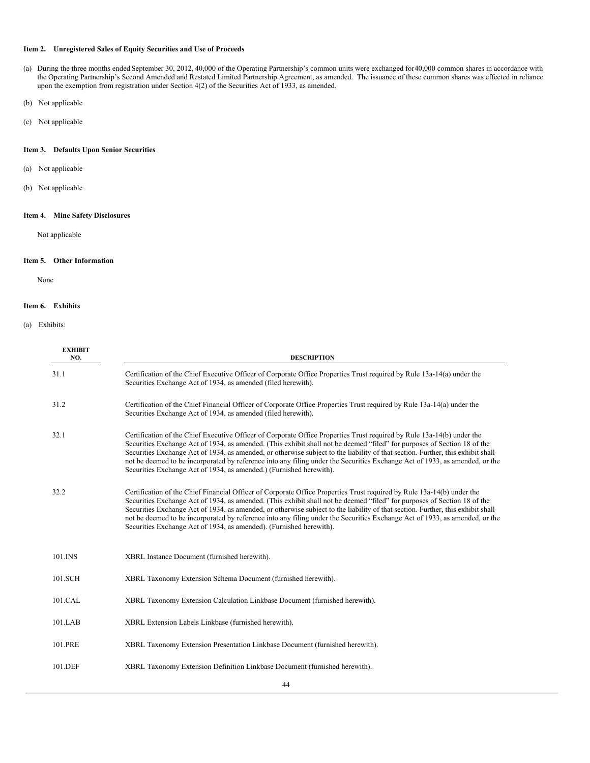# <span id="page-43-0"></span>**Item 2. Unregistered Sales of Equity Securities and Use of Proceeds**

- (a) During the three months ended September 30, 2012, 40,000 of the Operating Partnership's common units were exchanged for40,000 common shares in accordance with the Operating Partnership's Second Amended and Restated Limited Partnership Agreement, as amended. The issuance of these common shares was effected in reliance upon the exemption from registration under Section 4(2) of the Securities Act of 1933, as amended.
- (b) Not applicable
- (c) Not applicable

#### <span id="page-43-1"></span>**Item 3. Defaults Upon Senior Securities**

- (a) Not applicable
- (b) Not applicable

#### <span id="page-43-2"></span>**Item 4. Mine Safety Disclosures**

Not applicable

# <span id="page-43-3"></span>**Item 5. Other Information**

None

# <span id="page-43-4"></span>**Item 6. Exhibits**

# (a) Exhibits:

| <b>EXHIBIT</b><br>NO. | <b>DESCRIPTION</b>                                                                                                                                                                                                                                                                                                                                                                                                                                                                                                                                                                          |  |  |  |  |  |  |  |  |  |
|-----------------------|---------------------------------------------------------------------------------------------------------------------------------------------------------------------------------------------------------------------------------------------------------------------------------------------------------------------------------------------------------------------------------------------------------------------------------------------------------------------------------------------------------------------------------------------------------------------------------------------|--|--|--|--|--|--|--|--|--|
| 31.1                  | Certification of the Chief Executive Officer of Corporate Office Properties Trust required by Rule 13a-14(a) under the<br>Securities Exchange Act of 1934, as amended (filed herewith).                                                                                                                                                                                                                                                                                                                                                                                                     |  |  |  |  |  |  |  |  |  |
| 31.2                  | Certification of the Chief Financial Officer of Corporate Office Properties Trust required by Rule 13a-14(a) under the<br>Securities Exchange Act of 1934, as amended (filed herewith).                                                                                                                                                                                                                                                                                                                                                                                                     |  |  |  |  |  |  |  |  |  |
| 32.1                  | Certification of the Chief Executive Officer of Corporate Office Properties Trust required by Rule 13a-14(b) under the<br>Securities Exchange Act of 1934, as amended. (This exhibit shall not be deemed "filed" for purposes of Section 18 of the<br>Securities Exchange Act of 1934, as amended, or otherwise subject to the liability of that section. Further, this exhibit shall<br>not be deemed to be incorporated by reference into any filing under the Securities Exchange Act of 1933, as amended, or the<br>Securities Exchange Act of 1934, as amended.) (Furnished herewith). |  |  |  |  |  |  |  |  |  |
| 32.2                  | Certification of the Chief Financial Officer of Corporate Office Properties Trust required by Rule 13a-14(b) under the<br>Securities Exchange Act of 1934, as amended. (This exhibit shall not be deemed "filed" for purposes of Section 18 of the<br>Securities Exchange Act of 1934, as amended, or otherwise subject to the liability of that section. Further, this exhibit shall<br>not be deemed to be incorporated by reference into any filing under the Securities Exchange Act of 1933, as amended, or the<br>Securities Exchange Act of 1934, as amended). (Furnished herewith). |  |  |  |  |  |  |  |  |  |
| 101.INS               | XBRL Instance Document (furnished herewith).                                                                                                                                                                                                                                                                                                                                                                                                                                                                                                                                                |  |  |  |  |  |  |  |  |  |
| 101.SCH               | XBRL Taxonomy Extension Schema Document (furnished herewith).                                                                                                                                                                                                                                                                                                                                                                                                                                                                                                                               |  |  |  |  |  |  |  |  |  |
| 101.CAL               | XBRL Taxonomy Extension Calculation Linkbase Document (furnished herewith).                                                                                                                                                                                                                                                                                                                                                                                                                                                                                                                 |  |  |  |  |  |  |  |  |  |
| 101.LAB               | XBRL Extension Labels Linkbase (furnished herewith).                                                                                                                                                                                                                                                                                                                                                                                                                                                                                                                                        |  |  |  |  |  |  |  |  |  |
| 101.PRE               | XBRL Taxonomy Extension Presentation Linkbase Document (furnished herewith).                                                                                                                                                                                                                                                                                                                                                                                                                                                                                                                |  |  |  |  |  |  |  |  |  |
| 101.DEF               | XBRL Taxonomy Extension Definition Linkbase Document (furnished herewith).                                                                                                                                                                                                                                                                                                                                                                                                                                                                                                                  |  |  |  |  |  |  |  |  |  |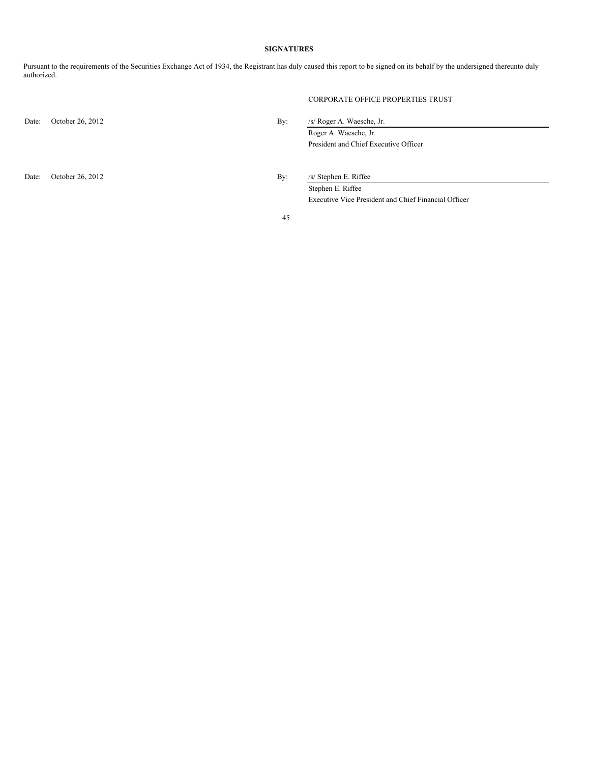# **SIGNATURES**

<span id="page-44-0"></span>Pursuant to the requirements of the Securities Exchange Act of 1934, the Registrant has duly caused this report to be signed on its behalf by the undersigned thereunto duly authorized.

CORPORATE OFFICE PROPERTIES TRUST

| Date: | October 26, 2012 | By: | /s/ Roger A. Waesche, Jr.                            |  |  |  |  |  |
|-------|------------------|-----|------------------------------------------------------|--|--|--|--|--|
|       |                  |     | Roger A. Waesche, Jr.                                |  |  |  |  |  |
|       |                  |     | President and Chief Executive Officer                |  |  |  |  |  |
|       |                  |     |                                                      |  |  |  |  |  |
| Date: | October 26, 2012 | By: | /s/ Stephen E. Riffee                                |  |  |  |  |  |
|       |                  |     | Stephen E. Riffee                                    |  |  |  |  |  |
|       |                  |     | Executive Vice President and Chief Financial Officer |  |  |  |  |  |
|       |                  | 45  |                                                      |  |  |  |  |  |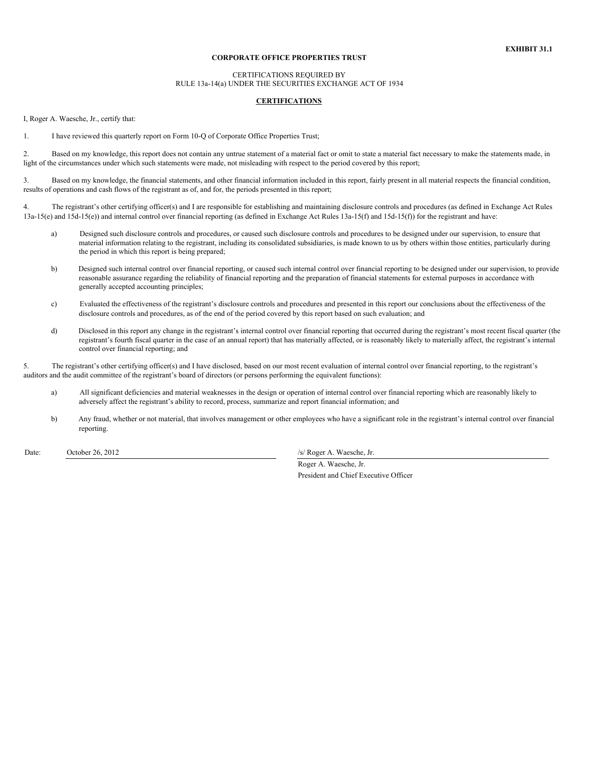# CERTIFICATIONS REQUIRED BY RULE 13a-14(a) UNDER THE SECURITIES EXCHANGE ACT OF 1934

### **CERTIFICATIONS**

I, Roger A. Waesche, Jr., certify that:

1. I have reviewed this quarterly report on Form 10-Q of Corporate Office Properties Trust;

2. Based on my knowledge, this report does not contain any untrue statement of a material fact or omit to state a material fact necessary to make the statements made, in light of the circumstances under which such statements were made, not misleading with respect to the period covered by this report;

3. Based on my knowledge, the financial statements, and other financial information included in this report, fairly present in all material respects the financial condition, results of operations and cash flows of the registrant as of, and for, the periods presented in this report;

4. The registrant's other certifying officer(s) and I are responsible for establishing and maintaining disclosure controls and procedures (as defined in Exchange Act Rules  $13a-15(e)$  and  $15d-15(e)$ ) and internal control over financial reporting (as defined in Exchange Act Rules  $13a-15(f)$  and  $15d-15(f)$ ) for the registrant and have:

- a) Designed such disclosure controls and procedures, or caused such disclosure controls and procedures to be designed under our supervision, to ensure that material information relating to the registrant, including its consolidated subsidiaries, is made known to us by others within those entities, particularly during the period in which this report is being prepared;
- b) Designed such internal control over financial reporting, or caused such internal control over financial reporting to be designed under our supervision, to provide reasonable assurance regarding the reliability of financial reporting and the preparation of financial statements for external purposes in accordance with generally accepted accounting principles;
- c) Evaluated the effectiveness of the registrant's disclosure controls and procedures and presented in this report our conclusions about the effectiveness of the disclosure controls and procedures, as of the end of the period covered by this report based on such evaluation; and
- d) Disclosed in this report any change in the registrant's internal control over financial reporting that occurred during the registrant's most recent fiscal quarter (the registrant's fourth fiscal quarter in the case of an annual report) that has materially affected, or is reasonably likely to materially affect, the registrant's internal control over financial reporting; and

5. The registrant's other certifying officer(s) and I have disclosed, based on our most recent evaluation of internal control over financial reporting, to the registrant's auditors and the audit committee of the registrant's board of directors (or persons performing the equivalent functions):

- a) All significant deficiencies and material weaknesses in the design or operation of internal control over financial reporting which are reasonably likely to adversely affect the registrant's ability to record, process, summarize and report financial information; and
- b) Any fraud, whether or not material, that involves management or other employees who have a significant role in the registrant's internal control over financial reporting.

Date: October 26, 2012 /s/ Roger A. Waesche, Jr.

Roger A. Waesche, Jr. President and Chief Executive Officer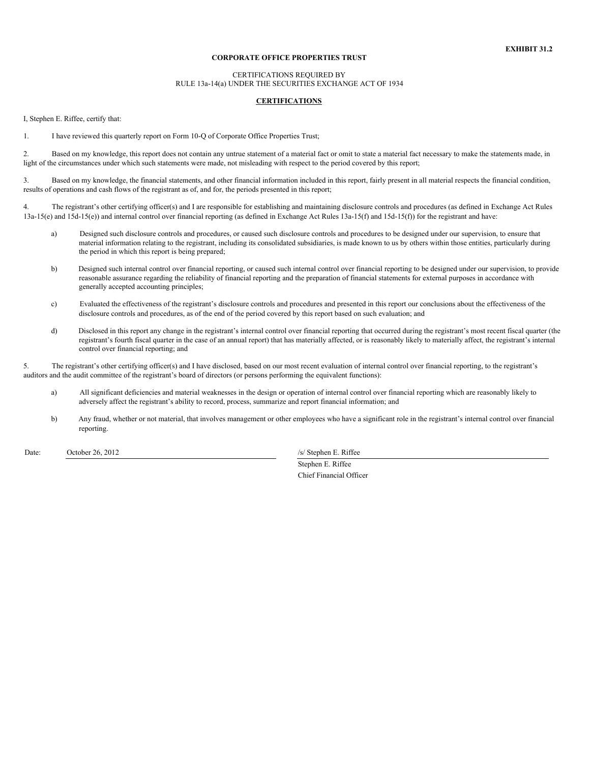# CERTIFICATIONS REQUIRED BY RULE 13a-14(a) UNDER THE SECURITIES EXCHANGE ACT OF 1934

# **CERTIFICATIONS**

I, Stephen E. Riffee, certify that:

1. I have reviewed this quarterly report on Form 10-Q of Corporate Office Properties Trust;

2. Based on my knowledge, this report does not contain any untrue statement of a material fact or omit to state a material fact necessary to make the statements made, in light of the circumstances under which such statements were made, not misleading with respect to the period covered by this report;

3. Based on my knowledge, the financial statements, and other financial information included in this report, fairly present in all material respects the financial condition, results of operations and cash flows of the registrant as of, and for, the periods presented in this report;

4. The registrant's other certifying officer(s) and I are responsible for establishing and maintaining disclosure controls and procedures (as defined in Exchange Act Rules  $13a-15(e)$  and  $15d-15(e)$ ) and internal control over financial reporting (as defined in Exchange Act Rules  $13a-15(f)$  and  $15d-15(f)$ ) for the registrant and have:

- a) Designed such disclosure controls and procedures, or caused such disclosure controls and procedures to be designed under our supervision, to ensure that material information relating to the registrant, including its consolidated subsidiaries, is made known to us by others within those entities, particularly during the period in which this report is being prepared;
- b) Designed such internal control over financial reporting, or caused such internal control over financial reporting to be designed under our supervision, to provide reasonable assurance regarding the reliability of financial reporting and the preparation of financial statements for external purposes in accordance with generally accepted accounting principles;
- c) Evaluated the effectiveness of the registrant's disclosure controls and procedures and presented in this report our conclusions about the effectiveness of the disclosure controls and procedures, as of the end of the period covered by this report based on such evaluation; and
- d) Disclosed in this report any change in the registrant's internal control over financial reporting that occurred during the registrant's most recent fiscal quarter (the registrant's fourth fiscal quarter in the case of an annual report) that has materially affected, or is reasonably likely to materially affect, the registrant's internal control over financial reporting; and

5. The registrant's other certifying officer(s) and I have disclosed, based on our most recent evaluation of internal control over financial reporting, to the registrant's auditors and the audit committee of the registrant's board of directors (or persons performing the equivalent functions):

- a) All significant deficiencies and material weaknesses in the design or operation of internal control over financial reporting which are reasonably likely to adversely affect the registrant's ability to record, process, summarize and report financial information; and
- b) Any fraud, whether or not material, that involves management or other employees who have a significant role in the registrant's internal control over financial reporting.

Date: October 26, 2012 /s/ Stephen E. Riffee

Stephen E. Riffee Chief Financial Officer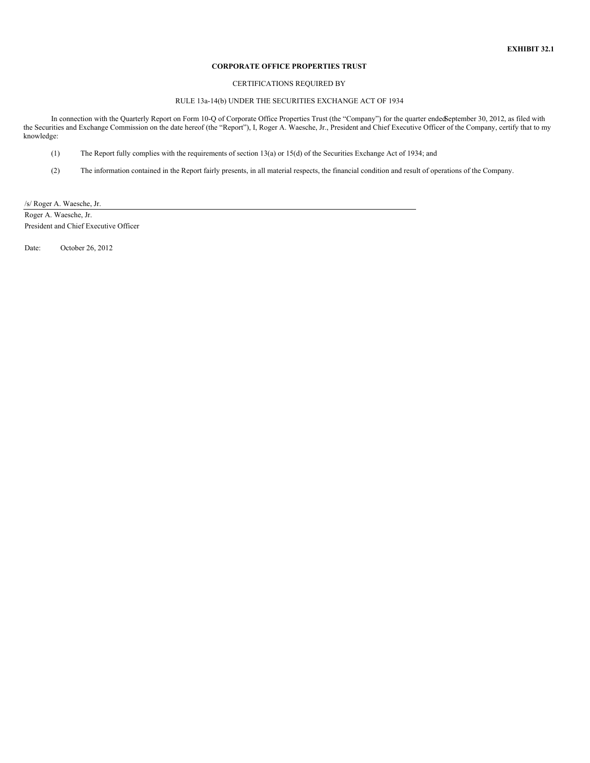# CERTIFICATIONS REQUIRED BY

# RULE 13a-14(b) UNDER THE SECURITIES EXCHANGE ACT OF 1934

In connection with the Quarterly Report on Form 10-Q of Corporate Office Properties Trust (the "Company") for the quarter endedSeptember 30, 2012, as filed with the Securities and Exchange Commission on the date hereof (the "Report"), I, Roger A. Waesche, Jr., President and Chief Executive Officer of the Company, certify that to my knowledge:

- (1) The Report fully complies with the requirements of section 13(a) or 15(d) of the Securities Exchange Act of 1934; and
- (2) The information contained in the Report fairly presents, in all material respects, the financial condition and result of operations of the Company.

/s/ Roger A. Waesche, Jr.

Roger A. Waesche, Jr. President and Chief Executive Officer

Date: October 26, 2012